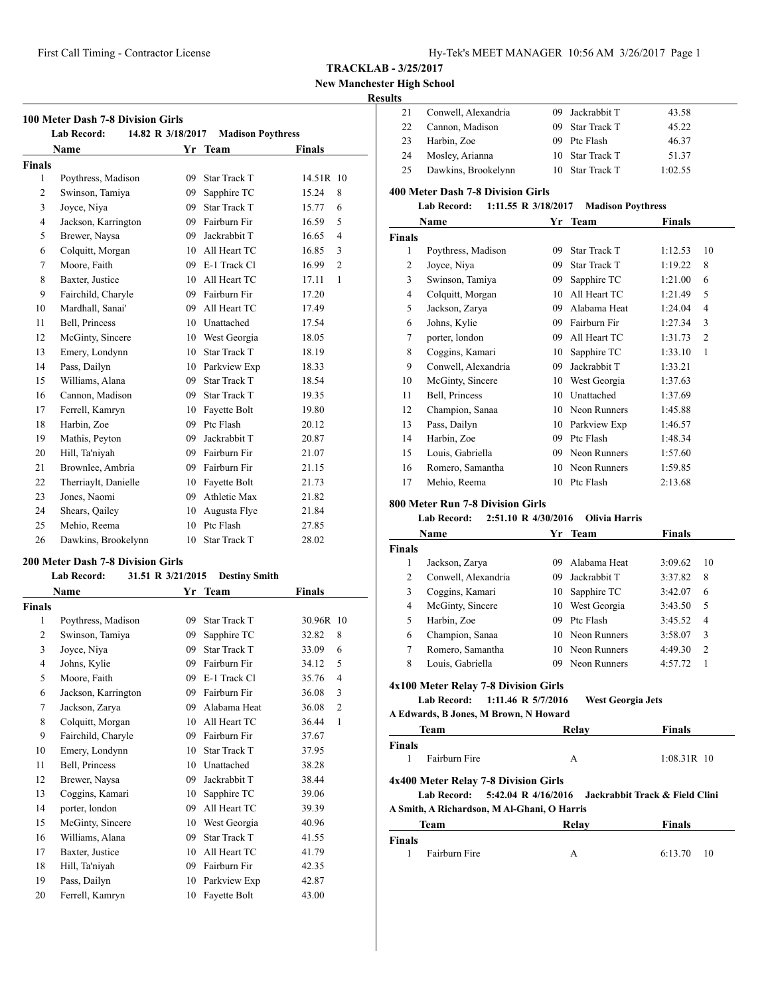# **New Manchester High School**

# **Results**

| 21 | Conwell, Alexandria | 09 Jackrabbit T | 43.58   |
|----|---------------------|-----------------|---------|
| 22 | Cannon, Madison     | 09 Star Track T | 45.22   |
| 23 | Harbin, Zoe         | 09 Ptc Flash    | 46.37   |
| 24 | Mosley, Arianna     | 10 Star Track T | 51.37   |
| 25 | Dawkins, Brookelynn | 10 Star Track T | 1:02.55 |

#### **400 Meter Dash 7-8 Division Girls**

#### **Lab Record: 1:11.55 R 3/18/2017 Madison Poythress**

|        | Name                | Yr | <b>Team</b>  | Finals  |    |
|--------|---------------------|----|--------------|---------|----|
| Finals |                     |    |              |         |    |
| 1      | Poythress, Madison  | 09 | Star Track T | 1:12.53 | 10 |
| 2      | Joyce, Niya         | 09 | Star Track T | 1:19.22 | 8  |
| 3      | Swinson, Tamiya     | 09 | Sapphire TC  | 1:21.00 | 6  |
| 4      | Colquitt, Morgan    | 10 | All Heart TC | 1:21.49 | 5  |
| 5      | Jackson, Zarya      | 09 | Alabama Heat | 1:24.04 | 4  |
| 6      | Johns, Kylie        | 09 | Fairburn Fir | 1:27.34 | 3  |
| 7      | porter, london      | 09 | All Heart TC | 1:31.73 | 2  |
| 8      | Coggins, Kamari     | 10 | Sapphire TC  | 1:33.10 | 1  |
| 9      | Conwell, Alexandria | 09 | Jackrabbit T | 1:33.21 |    |
| 10     | McGinty, Sincere    | 10 | West Georgia | 1:37.63 |    |
| 11     | Bell, Princess      | 10 | Unattached   | 1:37.69 |    |
| 12     | Champion, Sanaa     | 10 | Neon Runners | 1:45.88 |    |
| 13     | Pass, Dailyn        | 10 | Parkview Exp | 1:46.57 |    |
| 14     | Harbin, Zoe         | 09 | Ptc Flash    | 1:48.34 |    |
| 15     | Louis, Gabriella    | 09 | Neon Runners | 1:57.60 |    |
| 16     | Romero, Samantha    | 10 | Neon Runners | 1:59.85 |    |
| 17     | Mehio, Reema        | 10 | Ptc Flash    | 2:13.68 |    |

#### **800 Meter Run 7-8 Division Girls**

# **Lab Record: 2:51.10 R 4/30/2016 Olivia Harris**

|               | Name                                                                                                                      | Yr  | Team                           | Finals        |                |
|---------------|---------------------------------------------------------------------------------------------------------------------------|-----|--------------------------------|---------------|----------------|
| <b>Finals</b> |                                                                                                                           |     |                                |               |                |
| 1             | Jackson, Zarya                                                                                                            | 09  | Alabama Heat                   | 3:09.62       | 10             |
| 2             | Conwell, Alexandria                                                                                                       | 09  | Jackrabbit T                   | 3:37.82       | 8              |
| 3             | Coggins, Kamari                                                                                                           | 10  | Sapphire TC                    | 3:42.07       | 6              |
| 4             | McGinty, Sincere                                                                                                          | 10  | West Georgia                   | 3:43.50       | 5              |
| 5             | Harbin, Zoe                                                                                                               | 09  | Ptc Flash                      | 3:45.52       | 4              |
| 6             | Champion, Sanaa                                                                                                           | 10  | Neon Runners                   | 3:58.07       | 3              |
| 7             | Romero, Samantha                                                                                                          | 10  | Neon Runners                   | 4:49.30       | $\overline{c}$ |
| 8             | Louis, Gabriella                                                                                                          | 09. | Neon Runners                   | 4:57.72       | 1              |
|               | 4x100 Meter Relay 7-8 Division Girls<br>1:11.46 R 5/7/2016<br><b>Lab Record:</b><br>A Edwards, B Jones, M Brown, N Howard |     | <b>West Georgia Jets</b>       |               |                |
|               | Team                                                                                                                      |     | Relay                          | Finals        |                |
| <b>Finals</b> |                                                                                                                           |     |                                |               |                |
| 1             | Fairburn Fire                                                                                                             |     | A                              | $1:08.31R$ 10 |                |
|               | 4x400 Meter Relay 7-8 Division Girls<br>5:42.04 R 4/16/2016<br><b>Lab Record:</b>                                         |     | Jackrabbit Track & Field Clini |               |                |
|               | A Smith, A Richardson, M Al-Ghani, O Harris                                                                               |     |                                |               |                |

|               | Team          | Relay | <b>Finals</b>  |
|---------------|---------------|-------|----------------|
| <b>Finals</b> |               |       |                |
|               | Fairburn Fire |       | 6:13.70<br>-10 |

|                | <b>Name</b>                       |         | Yr Team             | <b>Finals</b>           |
|----------------|-----------------------------------|---------|---------------------|-------------------------|
|                |                                   |         |                     |                         |
| <b>Finals</b>  |                                   |         |                     |                         |
| 1              | Poythress, Madison                | 09      | <b>Star Track T</b> | 14.51R 10               |
| $\overline{2}$ | Swinson, Tamiya                   | 09      | Sapphire TC         | 8<br>15.24              |
| 3              | Joyce, Niya                       | 09      | <b>Star Track T</b> | 6<br>15.77              |
| $\overline{4}$ | Jackson, Karrington               | 09      | Fairburn Fir        | 16.59<br>5              |
| 5              | Brewer, Naysa                     | 09      | Jackrabbit T        | $\overline{4}$<br>16.65 |
| 6              | Colquitt, Morgan                  | 10      | All Heart TC        | 16.85<br>3              |
| 7              | Moore, Faith                      |         | 09 E-1 Track Cl     | $\overline{c}$<br>16.99 |
| 8              | Baxter, Justice                   |         | 10 All Heart TC     | $\mathbf{1}$<br>17.11   |
| 9              | Fairchild, Charyle                | 09      | Fairburn Fir        | 17.20                   |
| 10             | Mardhall, Sanai'                  | 09      | All Heart TC        | 17.49                   |
| 11             | Bell, Princess                    | 10      | Unattached          | 17.54                   |
| 12             | McGinty, Sincere                  |         | 10 West Georgia     | 18.05                   |
| 13             | Emery, Londynn                    | $10-10$ | <b>Star Track T</b> | 18.19                   |
| 14             | Pass, Dailyn                      |         | 10 Parkview Exp     | 18.33                   |
| 15             | Williams, Alana                   | 09      | <b>Star Track T</b> | 18.54                   |
| 16             | Cannon, Madison                   | 09      | <b>Star Track T</b> | 19.35                   |
| 17             | Ferrell, Kamryn                   | 10      | Fayette Bolt        | 19.80                   |
| 18             | Harbin, Zoe                       | 09      | Ptc Flash           | 20.12                   |
| 19             | Mathis, Peyton                    | 09      | Jackrabbit T        | 20.87                   |
| 20             | Hill, Ta'niyah                    | 09      | Fairburn Fir        | 21.07                   |
| 21             | Brownlee, Ambria                  | 09      | Fairburn Fir        | 21.15                   |
| 22             | Therriaylt, Danielle              | 10      | Fayette Bolt        | 21.73                   |
| 23             | Jones, Naomi                      | 09      | Athletic Max        | 21.82                   |
| 24             | Shears, Qailey                    | 10      | Augusta Flye        | 21.84                   |
| 25             | Mehio, Reema                      | 10      | Ptc Flash           | 27.85                   |
| 26             | Dawkins, Brookelynn               | 10      | <b>Star Track T</b> | 28.02                   |
|                | 200 Meter Dash 7-8 Division Girls |         |                     |                         |

| <b>Lab Record:</b><br>31.51 R 3/21/2015<br><b>Destiny Smith</b> |                     |    |                     |        |                |
|-----------------------------------------------------------------|---------------------|----|---------------------|--------|----------------|
|                                                                 | <b>Name</b>         | Yr | <b>Team</b>         | Finals |                |
| <b>Finals</b>                                                   |                     |    |                     |        |                |
| $\mathbf{1}$                                                    | Poythress, Madison  | 09 | <b>Star Track T</b> | 30.96R | 10             |
| $\overline{2}$                                                  | Swinson, Tamiya     | 09 | Sapphire TC         | 32.82  | 8              |
| 3                                                               | Joyce, Niya         | 09 | <b>Star Track T</b> | 33.09  | 6              |
| $\overline{4}$                                                  | Johns, Kylie        | 09 | Fairburn Fir        | 34.12  | 5              |
| 5                                                               | Moore, Faith        | 09 | E-1 Track Cl        | 35.76  | $\overline{4}$ |
| 6                                                               | Jackson, Karrington | 09 | Fairburn Fir        | 36.08  | 3              |
| 7                                                               | Jackson, Zarya      | 09 | Alabama Heat        | 36.08  | $\overline{c}$ |
| 8                                                               | Colquitt, Morgan    | 10 | All Heart TC        | 36.44  | 1              |
| 9                                                               | Fairchild, Charyle  | 09 | Fairburn Fir        | 37.67  |                |
| 10                                                              | Emery, Londynn      | 10 | <b>Star Track T</b> | 37.95  |                |
| 11                                                              | Bell, Princess      | 10 | Unattached          | 38.28  |                |
| 12                                                              | Brewer, Naysa       | 09 | Jackrabbit T        | 38.44  |                |
| 13                                                              | Coggins, Kamari     | 10 | Sapphire TC         | 39.06  |                |
| 14                                                              | porter, london      | 09 | All Heart TC        | 39.39  |                |
| 15                                                              | McGinty, Sincere    | 10 | West Georgia        | 40.96  |                |
| 16                                                              | Williams, Alana     | 09 | <b>Star Track T</b> | 41.55  |                |
| 17                                                              | Baxter, Justice     | 10 | All Heart TC        | 41.79  |                |
| 18                                                              | Hill, Ta'niyah      | 09 | Fairburn Fir        | 42.35  |                |
| 19                                                              | Pass, Dailyn        | 10 | Parkview Exp        | 42.87  |                |
| 20                                                              | Ferrell, Kamryn     | 10 | Fayette Bolt        | 43.00  |                |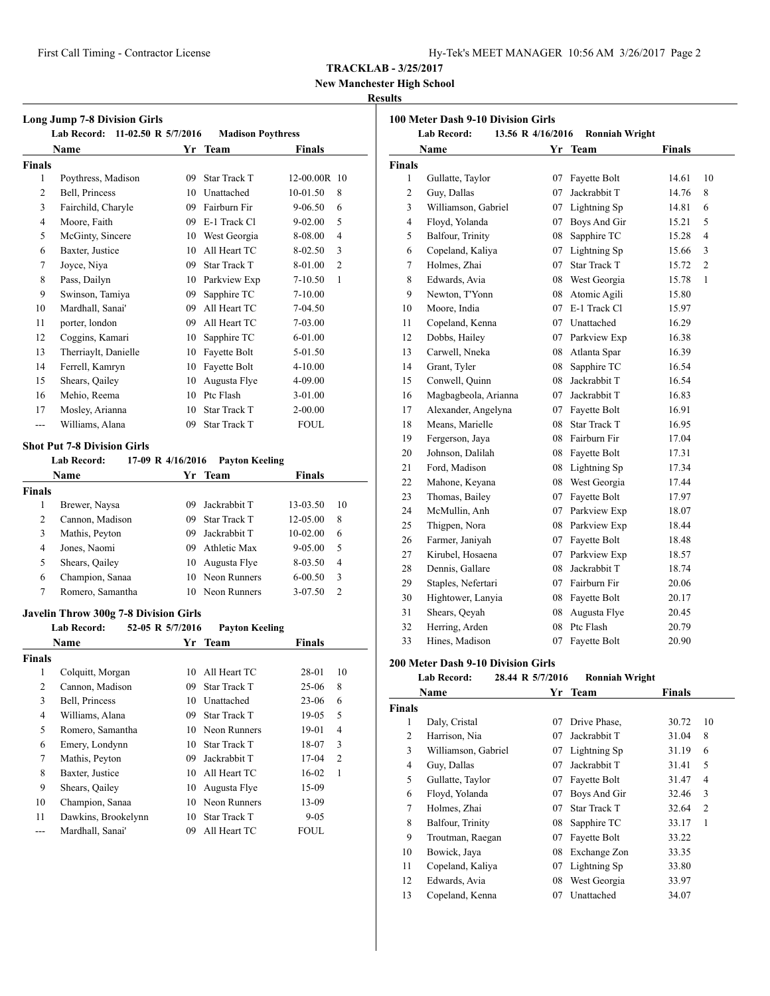**New Manchester High School**

### **Results**

| <b>Long Jump 7-8 Division Girls</b><br>Lab Record: 11-02.50 R 5/7/2016<br><b>Madison Poythress</b> |                      |    |                     |              |                |  |
|----------------------------------------------------------------------------------------------------|----------------------|----|---------------------|--------------|----------------|--|
|                                                                                                    | <b>Name</b>          | Yr | <b>Team</b>         | Finals       |                |  |
| Finals                                                                                             |                      |    |                     |              |                |  |
| 1                                                                                                  | Poythress, Madison   | 09 | <b>Star Track T</b> | 12-00.00R 10 |                |  |
| $\overline{2}$                                                                                     | Bell, Princess       | 10 | Unattached          | 10-01.50     | 8              |  |
| 3                                                                                                  | Fairchild, Charyle   | 09 | Fairburn Fir        | $9 - 06.50$  | 6              |  |
| $\overline{4}$                                                                                     | Moore, Faith         | 09 | E-1 Track Cl        | $9 - 02.00$  | 5              |  |
| 5                                                                                                  | McGinty, Sincere     | 10 | West Georgia        | 8-08.00      | $\overline{4}$ |  |
| 6                                                                                                  | Baxter, Justice      | 10 | All Heart TC        | 8-02.50      | 3              |  |
| 7                                                                                                  | Joyce, Niya          | 09 | Star Track T        | 8-01.00      | $\overline{c}$ |  |
| 8                                                                                                  | Pass, Dailyn         | 10 | Parkview Exp        | 7-10.50      | 1              |  |
| 9                                                                                                  | Swinson, Tamiya      | 09 | Sapphire TC         | $7 - 10.00$  |                |  |
| 10                                                                                                 | Mardhall, Sanai'     | 09 | All Heart TC        | 7-04.50      |                |  |
| 11                                                                                                 | porter, london       | 09 | All Heart TC        | 7-03.00      |                |  |
| 12                                                                                                 | Coggins, Kamari      | 10 | Sapphire TC         | $6 - 01.00$  |                |  |
| 13                                                                                                 | Therriaylt, Danielle | 10 | Fayette Bolt        | 5-01.50      |                |  |
| 14                                                                                                 | Ferrell, Kamryn      | 10 | Fayette Bolt        | 4-10.00      |                |  |
| 15                                                                                                 | Shears, Qailey       | 10 | Augusta Flye        | 4-09.00      |                |  |
| 16                                                                                                 | Mehio, Reema         | 10 | Ptc Flash           | $3 - 01.00$  |                |  |
| 17                                                                                                 | Mosley, Arianna      | 10 | <b>Star Track T</b> | $2 - 00.00$  |                |  |
| $---$                                                                                              | Williams, Alana      | 09 | <b>Star Track T</b> | <b>FOUL</b>  |                |  |

#### **Shot Put 7-8 Division Girls**

|               | <b>Lab Record:</b> | 17-09 R 4/16/2016 | <b>Payton Keeling</b> |               |               |
|---------------|--------------------|-------------------|-----------------------|---------------|---------------|
|               | Name               | Yr                | Team                  | <b>Finals</b> |               |
| <b>Finals</b> |                    |                   |                       |               |               |
| 1             | Brewer, Naysa      | 09                | Jackrabbit T          | 13-03.50      | 10            |
| 2             | Cannon, Madison    | 09                | <b>Star Track T</b>   | 12-05.00      | 8             |
| 3             | Mathis, Peyton     | 09                | Jackrabbit T          | $10-02.00$    | 6             |
| 4             | Jones, Naomi       | 09                | Athletic Max          | $9 - 05.00$   | .5            |
| 5             | Shears, Qailey     | 10                | Augusta Flye          | 8-03.50       | 4             |
| 6             | Champion, Sanaa    |                   | 10 Neon Runners       | $6 - 00.50$   | 3             |
|               | Romero, Samantha   | 10                | Neon Runners          | 3-07.50       | $\mathcal{D}$ |

# **Javelin Throw 300g 7-8 Division Girls**

|        | o<br><b>Lab Record:</b> | 52-05 R 5/7/2016 | <b>Payton Keeling</b> |               |                |
|--------|-------------------------|------------------|-----------------------|---------------|----------------|
|        | Name                    |                  | Yr Team               | <b>Finals</b> |                |
| Finals |                         |                  |                       |               |                |
| 1      | Colquitt, Morgan        | 10               | All Heart TC          | 28-01         | 10             |
| 2      | Cannon, Madison         | 09               | <b>Star Track T</b>   | $25-06$       | 8              |
| 3      | Bell, Princess          | 10               | Unattached            | $23-06$       | 6              |
| 4      | Williams, Alana         | 09               | <b>Star Track T</b>   | 19-05         | 5              |
| 5      | Romero, Samantha        | 10               | Neon Runners          | 19-01         | $\overline{4}$ |
| 6      | Emery, Londynn          | 10               | <b>Star Track T</b>   | 18-07         | 3              |
| 7      | Mathis, Peyton          | 09               | Jackrabbit T          | $17-04$       | $\overline{2}$ |
| 8      | Baxter, Justice         | 10               | All Heart TC          | 16-02         | 1              |
| 9      | Shears, Qailey          | 10               | Augusta Flye          | 15-09         |                |
| 10     | Champion, Sanaa         | 10               | Neon Runners          | 13-09         |                |
| 11     | Dawkins, Brookelynn     | 10               | <b>Star Track T</b>   | $9 - 05$      |                |
|        | Mardhall, Sanai'        | 09               | All Heart TC          | <b>FOUL</b>   |                |
|        |                         |                  |                       |               |                |

| 100 Meter Dash 9-10 Division Girls |                                         |    |                       |        |                |  |
|------------------------------------|-----------------------------------------|----|-----------------------|--------|----------------|--|
|                                    | <b>Lab Record:</b><br>13.56 R 4/16/2016 |    | <b>Ronniah Wright</b> |        |                |  |
|                                    | Name                                    | Yr | <b>Team</b>           | Finals |                |  |
| <b>Finals</b>                      |                                         |    |                       |        |                |  |
| 1                                  | Gullatte, Taylor                        | 07 | Fayette Bolt          | 14.61  | 10             |  |
| $\mathfrak{2}$                     | Guy, Dallas                             | 07 | Jackrabbit T          | 14.76  | 8              |  |
| 3                                  | Williamson, Gabriel                     | 07 | Lightning Sp          | 14.81  | 6              |  |
| 4                                  | Floyd, Yolanda                          | 07 | Boys And Gir          | 15.21  | 5              |  |
| 5                                  | Balfour, Trinity                        | 08 | Sapphire TC           | 15.28  | $\overline{4}$ |  |
| 6                                  | Copeland, Kaliya                        | 07 | Lightning Sp          | 15.66  | 3              |  |
| 7                                  | Holmes, Zhai                            | 07 | <b>Star Track T</b>   | 15.72  | $\overline{c}$ |  |
| 8                                  | Edwards, Avia                           |    | 08 West Georgia       | 15.78  | 1              |  |
| 9                                  | Newton, T'Yonn                          | 08 | Atomic Agili          | 15.80  |                |  |
| 10                                 | Moore, India                            | 07 | E-1 Track C1          | 15.97  |                |  |
| 11                                 | Copeland, Kenna                         | 07 | Unattached            | 16.29  |                |  |
| 12                                 | Dobbs, Hailey                           | 07 | Parkview Exp          | 16.38  |                |  |
| 13                                 | Carwell, Nneka                          | 08 | Atlanta Spar          | 16.39  |                |  |
| 14                                 | Grant, Tyler                            | 08 | Sapphire TC           | 16.54  |                |  |
| 15                                 | Conwell, Quinn                          | 08 | Jackrabbit T          | 16.54  |                |  |
| 16                                 | Magbagbeola, Arianna                    | 07 | Jackrabbit T          | 16.83  |                |  |
| 17                                 | Alexander, Angelyna                     |    | 07 Fayette Bolt       | 16.91  |                |  |
| 18                                 | Means, Marielle                         | 08 | <b>Star Track T</b>   | 16.95  |                |  |
| 19                                 | Fergerson, Jaya                         |    | 08 Fairburn Fir       | 17.04  |                |  |
| 20                                 | Johnson, Dalilah                        |    | 08 Fayette Bolt       | 17.31  |                |  |
| 21                                 | Ford, Madison                           |    | 08 Lightning Sp       | 17.34  |                |  |
| 22                                 | Mahone, Keyana                          |    | 08 West Georgia       | 17.44  |                |  |
| 23                                 | Thomas, Bailey                          |    | 07 Fayette Bolt       | 17.97  |                |  |
| 24                                 | McMullin, Anh                           |    | 07 Parkview Exp       | 18.07  |                |  |
| 25                                 | Thigpen, Nora                           |    | 08 Parkview Exp       | 18.44  |                |  |
| 26                                 | Farmer, Janiyah                         |    | 07 Fayette Bolt       | 18.48  |                |  |
| 27                                 | Kirubel, Hosaena                        |    | 07 Parkview Exp       | 18.57  |                |  |
| 28                                 | Dennis, Gallare                         |    | 08 Jackrabbit T       | 18.74  |                |  |
| 29                                 | Staples, Nefertari                      |    | 07 Fairburn Fir       | 20.06  |                |  |
| 30                                 | Hightower, Lanyia                       |    | 08 Fayette Bolt       | 20.17  |                |  |
| 31                                 | Shears, Qeyah                           | 08 | Augusta Flye          | 20.45  |                |  |
| 32                                 | Herring, Arden                          | 08 | Ptc Flash             | 20.79  |                |  |
| 33                                 | Hines, Madison                          | 07 | Fayette Bolt          | 20.90  |                |  |

#### **200 Meter Dash 9-10 Division Girls**

| <b>Lab Record:</b> | 28.44 R 5/7/2016 | <b>Ronniah Wright</b> |
|--------------------|------------------|-----------------------|
|                    |                  |                       |

|               | Name                | Yr | <b>Team</b>  | Finals |                |
|---------------|---------------------|----|--------------|--------|----------------|
| <b>Finals</b> |                     |    |              |        |                |
| 1             | Daly, Cristal       | 07 | Drive Phase, | 30.72  | 10             |
| 2             | Harrison, Nia       | 07 | Jackrabbit T | 31.04  | 8              |
| 3             | Williamson, Gabriel | 07 | Lightning Sp | 31.19  | 6              |
| 4             | Guy, Dallas         | 07 | Jackrabbit T | 31.41  | 5              |
| 5             | Gullatte, Taylor    | 07 | Fayette Bolt | 31.47  | 4              |
| 6             | Floyd, Yolanda      | 07 | Boys And Gir | 32.46  | 3              |
| 7             | Holmes, Zhai        | 07 | Star Track T | 32.64  | $\overline{c}$ |
| 8             | Balfour, Trinity    | 08 | Sapphire TC  | 33.17  | 1              |
| 9             | Troutman, Raegan    | 07 | Fayette Bolt | 33.22  |                |
| 10            | Bowick, Jaya        | 08 | Exchange Zon | 33.35  |                |
| 11            | Copeland, Kaliya    | 07 | Lightning Sp | 33.80  |                |
| 12            | Edwards, Avia       | 08 | West Georgia | 33.97  |                |
| 13            | Copeland, Kenna     | 07 | Unattached   | 34.07  |                |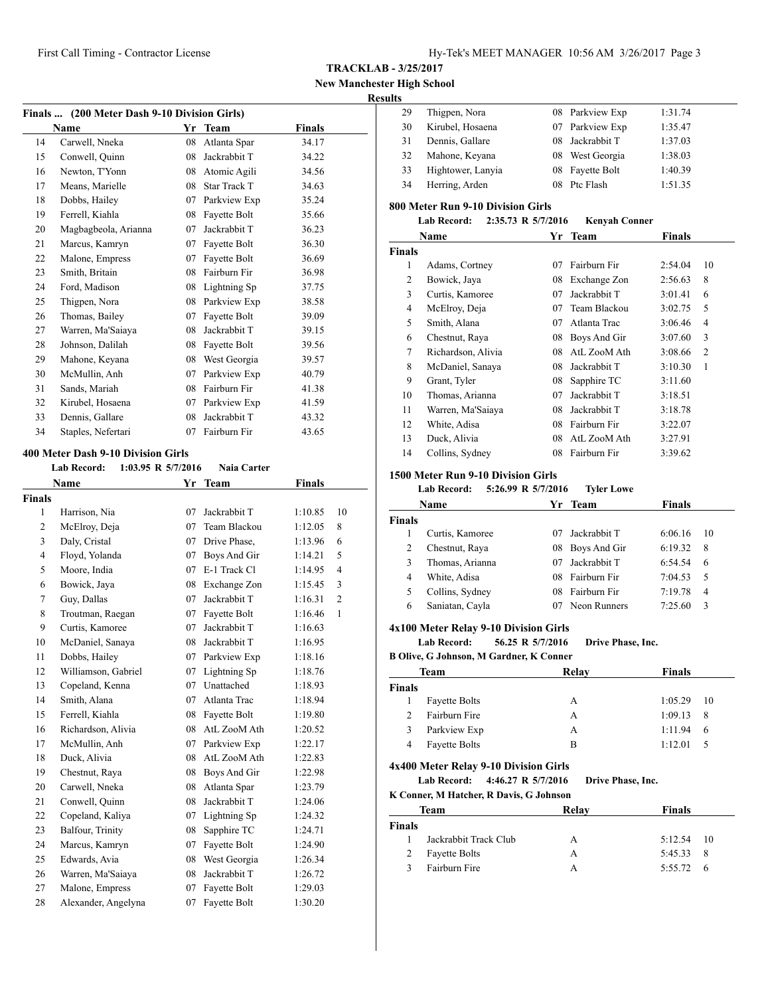# **New Manchester High School**

#### **Results**

|    | Finals  (200 Meter Dash 9-10 Division Girls) |    |                     |        |  |  |  |
|----|----------------------------------------------|----|---------------------|--------|--|--|--|
|    | <b>Name</b>                                  | Yr | <b>Team</b>         | Finals |  |  |  |
| 14 | Carwell, Nneka                               | 08 | Atlanta Spar        | 34.17  |  |  |  |
| 15 | Conwell, Quinn                               | 08 | Jackrabbit T        | 34.22  |  |  |  |
| 16 | Newton, T'Yonn                               | 08 | Atomic Agili        | 34.56  |  |  |  |
| 17 | Means, Marielle                              | 08 | <b>Star Track T</b> | 34.63  |  |  |  |
| 18 | Dobbs, Hailey                                | 07 | Parkview Exp        | 35.24  |  |  |  |
| 19 | Ferrell, Kiahla                              | 08 | Fayette Bolt        | 35.66  |  |  |  |
| 20 | Magbagbeola, Arianna                         | 07 | Jackrabbit T        | 36.23  |  |  |  |
| 21 | Marcus, Kamryn                               | 07 | Fayette Bolt        | 36.30  |  |  |  |
| 22 | Malone, Empress                              | 07 | Fayette Bolt        | 36.69  |  |  |  |
| 23 | Smith, Britain                               | 08 | Fairburn Fir        | 36.98  |  |  |  |
| 24 | Ford, Madison                                | 08 | Lightning Sp        | 37.75  |  |  |  |
| 25 | Thigpen, Nora                                | 08 | Parkview Exp        | 38.58  |  |  |  |
| 26 | Thomas, Bailey                               | 07 | Fayette Bolt        | 39.09  |  |  |  |
| 27 | Warren, Ma'Saiaya                            | 08 | Jackrabbit T        | 39.15  |  |  |  |
| 28 | Johnson, Dalilah                             | 08 | Fayette Bolt        | 39.56  |  |  |  |
| 29 | Mahone, Keyana                               | 08 | West Georgia        | 39.57  |  |  |  |
| 30 | McMullin, Anh                                | 07 | Parkview Exp        | 40.79  |  |  |  |
| 31 | Sands, Mariah                                | 08 | Fairburn Fir        | 41.38  |  |  |  |
| 32 | Kirubel, Hosaena                             | 07 | Parkview Exp        | 41.59  |  |  |  |
| 33 | Dennis, Gallare                              | 08 | Jackrabbit T        | 43.32  |  |  |  |
| 34 | Staples, Nefertari                           | 07 | Fairburn Fir        | 43.65  |  |  |  |
|    |                                              |    |                     |        |  |  |  |

#### **400 Meter Dash 9-10 Division Girls**

| <b>Lab Record:</b>  |    | <b>Naia Carter</b> |                    |                |
|---------------------|----|--------------------|--------------------|----------------|
| Name                | Yr | <b>Team</b>        | Finals             |                |
| <b>Finals</b>       |    |                    |                    |                |
| Harrison, Nia       | 07 | Jackrabbit T       | 1:10.85            | 10             |
| McElroy, Deja       | 07 | Team Blackou       | 1:12.05            | 8              |
| Daly, Cristal       | 07 | Drive Phase,       | 1:13.96            | 6              |
| Floyd, Yolanda      | 07 | Boys And Gir       | 1:14.21            | 5              |
| Moore, India        | 07 | E-1 Track Cl       | 1:14.95            | $\overline{4}$ |
| Bowick, Jaya        | 08 | Exchange Zon       | 1:15.45            | 3              |
| Guy, Dallas         | 07 | Jackrabbit T       | 1:16.31            | $\overline{c}$ |
| Troutman, Raegan    | 07 | Fayette Bolt       | 1:16.46            | 1              |
| Curtis, Kamoree     | 07 | Jackrabbit T       | 1:16.63            |                |
| McDaniel, Sanaya    | 08 | Jackrabbit T       | 1:16.95            |                |
| Dobbs, Hailey       | 07 | Parkview Exp       | 1:18.16            |                |
| Williamson, Gabriel | 07 | Lightning Sp       | 1:18.76            |                |
| Copeland, Kenna     | 07 | Unattached         | 1:18.93            |                |
| Smith, Alana        | 07 | Atlanta Trac       | 1:18.94            |                |
| Ferrell, Kiahla     | 08 | Fayette Bolt       | 1:19.80            |                |
| Richardson, Alivia  | 08 | AtL ZooM Ath       | 1:20.52            |                |
| McMullin, Anh       | 07 | Parkview Exp       | 1:22.17            |                |
| Duck, Alivia        | 08 | AtL ZooM Ath       | 1:22.83            |                |
| Chestnut, Raya      | 08 | Boys And Gir       | 1:22.98            |                |
| Carwell, Nneka      | 08 | Atlanta Spar       | 1:23.79            |                |
| Conwell, Quinn      | 08 | Jackrabbit T       | 1:24.06            |                |
| Copeland, Kaliya    | 07 | Lightning Sp       | 1:24.32            |                |
| Balfour, Trinity    | 08 | Sapphire TC        | 1:24.71            |                |
| Marcus, Kamryn      | 07 | Fayette Bolt       | 1:24.90            |                |
| Edwards, Avia       | 08 | West Georgia       | 1:26.34            |                |
| Warren, Ma'Saiaya   | 08 | Jackrabbit T       | 1:26.72            |                |
| Malone, Empress     | 07 | Fayette Bolt       | 1:29.03            |                |
| Alexander, Angelyna | 07 | Fayette Bolt       | 1:30.20            |                |
|                     |    |                    | 1:03.95 R 5/7/2016 |                |

| 29 | Thigpen, Nora     |    | 08 Parkview Exp | 1:31.74 |
|----|-------------------|----|-----------------|---------|
| 30 | Kirubel, Hosaena  |    | 07 Parkview Exp | 1:35.47 |
| 31 | Dennis, Gallare   |    | 08 Jackrabbit T | 1:37.03 |
| 32 | Mahone, Keyana    |    | 08 West Georgia | 1:38.03 |
| 33 | Hightower, Lanyia |    | 08 Fayette Bolt | 1:40.39 |
| 34 | Herring, Arden    | 08 | Ptc Flash       | 1:51.35 |
|    |                   |    |                 |         |

#### **800 Meter Run 9-10 Division Girls**

| <b>Lab Record:</b> | 2:35.73 R 5/7/2016 | <b>Kenvah Conner</b> |
|--------------------|--------------------|----------------------|
|--------------------|--------------------|----------------------|

| Name          |                    | Yr | Team         | <b>Finals</b> |    |
|---------------|--------------------|----|--------------|---------------|----|
| <b>Finals</b> |                    |    |              |               |    |
| 1             | Adams, Cortney     | 07 | Fairburn Fir | 2:54.04       | 10 |
| 2             | Bowick, Jaya       | 08 | Exchange Zon | 2:56.63       | 8  |
| 3             | Curtis, Kamoree    | 07 | Jackrabbit T | 3:01.41       | 6  |
| 4             | McElroy, Deja      | 07 | Team Blackou | 3:02.75       | 5  |
| 5             | Smith, Alana       | 07 | Atlanta Trac | 3:06.46       | 4  |
| 6             | Chestnut, Raya     | 08 | Boys And Gir | 3:07.60       | 3  |
| 7             | Richardson, Alivia | 08 | AtL ZooM Ath | 3:08.66       | 2  |
| 8             | McDaniel, Sanaya   | 08 | Jackrabbit T | 3:10.30       | 1  |
| 9             | Grant, Tyler       | 08 | Sapphire TC  | 3:11.60       |    |
| 10            | Thomas, Arianna    | 07 | Jackrabbit T | 3:18.51       |    |
| 11            | Warren, Ma'Saiaya  | 08 | Jackrabbit T | 3:18.78       |    |
| 12            | White, Adisa       | 08 | Fairburn Fir | 3:22.07       |    |
| 13            | Duck, Alivia       | 08 | AtL ZooM Ath | 3:27.91       |    |
| 14            | Collins, Sydney    | 08 | Fairburn Fir | 3:39.62       |    |

#### **1500 Meter Run 9-10 Division Girls**

#### **Lab Record: 5:26.99 R 5/7/2016 Tyler Lowe**

| Name          |                 |     | Yr Team      | <b>Finals</b> |    |  |
|---------------|-----------------|-----|--------------|---------------|----|--|
| <b>Finals</b> |                 |     |              |               |    |  |
|               | Curtis, Kamoree | 07  | Jackrabbit T | 6:06.16       | 10 |  |
| 2             | Chestnut, Raya  | 08  | Boys And Gir | 6:19.32       | 8  |  |
| 3             | Thomas, Arianna | 07  | Jackrabbit T | 6:54.54       | 6  |  |
| 4             | White, Adisa    | 08. | Fairburn Fir | 7:04.53       | -5 |  |
| 5             | Collins, Sydney | 08  | Fairburn Fir | 7:19.78       | 4  |  |
| 6             | Saniatan, Cayla |     | Neon Runners | 7:25.60       | 3  |  |

#### **4x100 Meter Relay 9-10 Division Girls**

#### **Lab Record: 56.25 R 5/7/2016 Drive Phase, Inc.**

**B Olive, G Johnson, M Gardner, K Conner**

| Team                 | Relay | <b>Finals</b>              |
|----------------------|-------|----------------------------|
|                      |       |                            |
| <b>Fayette Bolts</b> | А     | 1:05.29<br>$\overline{10}$ |
| Fairburn Fire        | А     | 1:09.13<br>- 8             |
| Parkview Exp         | А     | 1:11.94<br>- 6             |
| <b>Fayette Bolts</b> | в     | 1:12.01                    |
|                      |       |                            |

#### **4x400 Meter Relay 9-10 Division Girls**

**Lab Record: 4:46.27 R 5/7/2016 Drive Phase, Inc.**

#### **K Conner, M Hatcher, R Davis, G Johnson**

| Team         |                       | Relav | <b>Finals</b>     |
|--------------|-----------------------|-------|-------------------|
| Finals       |                       |       |                   |
|              | Jackrabbit Track Club | А     | $5:12.54$ 10      |
| 2            | <b>Fayette Bolts</b>  | А     | $5:45.33$ 8       |
| $\mathbf{R}$ | Fairburn Fire         | А     | $5:55.72 \quad 6$ |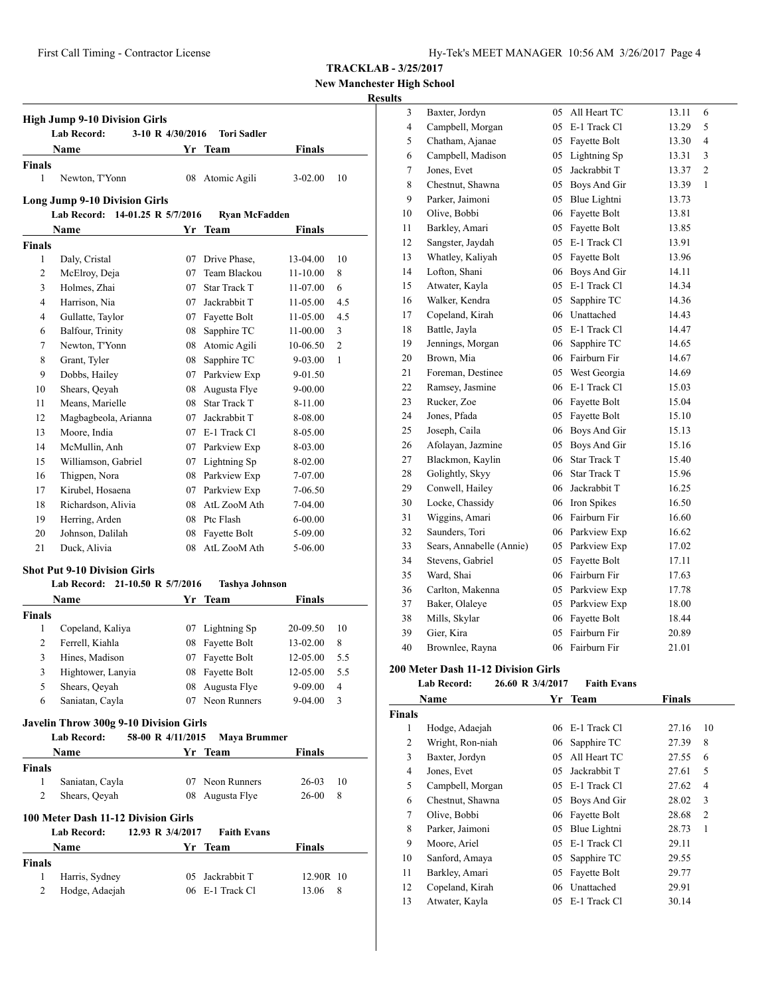**New Manchester High School**

# **Results**

|                | <b>Lab Record:</b>                                          | 3-10 R 4/30/2016 | <b>Tori Sadler</b>           |                    |     |
|----------------|-------------------------------------------------------------|------------------|------------------------------|--------------------|-----|
|                | <b>Name</b>                                                 |                  | Yr Team                      | <b>Finals</b>      |     |
| <b>Finals</b>  |                                                             |                  |                              |                    |     |
| $\mathbf{1}$   | Newton, T'Yonn                                              |                  | 08 Atomic Agili              | $3 - 02.00$        | 10  |
|                | <b>Long Jump 9-10 Division Girls</b>                        |                  |                              |                    |     |
|                | Lab Record: 14-01.25 R 5/7/2016                             |                  | Ryan McFadden                |                    |     |
|                | Name                                                        | Yr               | Team                         | Finals             |     |
| <b>Finals</b>  |                                                             |                  |                              |                    |     |
| 1              | Daly, Cristal                                               | 07               | Drive Phase,                 | 13-04.00           | 10  |
| 2              | McElroy, Deja                                               | 07               | Team Blackou                 | 11-10.00           | 8   |
| 3              | Holmes, Zhai                                                | 07               | <b>Star Track T</b>          | 11-07.00           | 6   |
| $\overline{4}$ | Harrison, Nia                                               |                  | 07 Jackrabbit T              | 11-05.00           | 4.5 |
| 4              | Gullatte, Taylor                                            |                  | 07 Fayette Bolt              | 11-05.00           | 4.5 |
| 6              | Balfour, Trinity                                            |                  | 08 Sapphire TC               | 11-00.00           | 3   |
| 7              | Newton, T'Yonn                                              |                  | 08 Atomic Agili              | 10-06.50           | 2   |
| 8              | Grant, Tyler                                                | 08               | Sapphire TC                  | 9-03.00            | 1   |
| 9              | Dobbs, Hailey                                               | 07               | Parkview Exp                 | 9-01.50            |     |
| 10             | Shears, Qeyah                                               | 08               | Augusta Flye                 | 9-00.00            |     |
| 11             | Means, Marielle                                             | 08               | <b>Star Track T</b>          | 8-11.00            |     |
| 12             | Magbagbeola, Arianna                                        | 07               | Jackrabbit T                 | 8-08.00            |     |
| 13             | Moore, India                                                |                  | 07 E-1 Track Cl              | 8-05.00            |     |
| 14             | McMullin, Anh                                               |                  | 07 Parkview Exp              | 8-03.00            |     |
| 15             | Williamson, Gabriel                                         |                  | 07 Lightning Sp              | 8-02.00            |     |
| 16             | Thigpen, Nora                                               |                  | 08 Parkview Exp              | 7-07.00            |     |
| 17             | Kirubel, Hosaena                                            |                  | 07 Parkview Exp              | 7-06.50            |     |
| 18             | Richardson, Alivia                                          |                  | 08 AtL ZooM Ath              | 7-04.00            |     |
| 19             | Herring, Arden                                              |                  | 08 Ptc Flash                 | $6 - 00.00$        |     |
| 20             | Johnson, Dalilah                                            | 08               | Fayette Bolt                 | 5-09.00            |     |
| 21             | Duck, Alivia                                                | 08               | AtL ZooM Ath                 | 5-06.00            |     |
|                | <b>Shot Put 9-10 Division Girls</b>                         |                  |                              |                    |     |
|                | Lab Record: 21-10.50 R 5/7/2016                             |                  | <b>Tashya Johnson</b>        |                    |     |
|                | Name                                                        | Yr               | <b>Team</b>                  | <b>Finals</b>      |     |
| <b>Finals</b>  |                                                             |                  |                              |                    |     |
| 1              | Copeland, Kaliya                                            | 07               | Lightning Sp                 | 20-09.50           | 10  |
| 2              | Ferrell, Kiahla                                             | 08               | Fayette Bolt                 | 13-02.00           | 8   |
| 3              | Hines, Madison                                              | 07               | Fayette Bolt                 | 12-05.00           | 5.5 |
| 3              | Hightower, Lanyia                                           |                  | 08 Fayette Bolt              | 12-05.00           | 5.5 |
| 5              | Shears, Qeyah                                               | 08               | Augusta Flye                 | 9-09.00            | 4   |
| 6              | Saniatan, Cayla                                             | 07               | Neon Runners                 | 9-04.00            | 3   |
|                |                                                             |                  |                              |                    |     |
|                | Javelin Throw 300g 9-10 Division Girls<br>58-00 R 4/11/2015 |                  |                              |                    |     |
|                | Lab Record:                                                 |                  | Maya Brummer                 |                    |     |
|                | Name                                                        |                  | Yr Team                      | Finals             |     |
| Finals         |                                                             |                  |                              |                    |     |
| 1              | Saniatan, Cayla                                             | 07               | Neon Runners                 | 26-03              | 10  |
| 2              | Shears, Qeyah                                               | 08               | Augusta Flye                 | 26-00              | 8   |
|                | 100 Meter Dash 11-12 Division Girls                         |                  |                              |                    |     |
|                | 12.93 R 3/4/2017<br><b>Lab Record:</b>                      |                  | <b>Faith Evans</b>           |                    |     |
|                |                                                             |                  |                              |                    |     |
|                | Name                                                        |                  | Yr Team                      | <b>Finals</b>      |     |
| Finals         |                                                             |                  |                              |                    |     |
| 1<br>2         | Harris, Sydney<br>Hodge, Adaejah                            | 05<br>06         | Jackrabbit T<br>E-1 Track Cl | 12.90R 10<br>13.06 | 8   |

| 3              | Baxter, Jordyn           | 05 | All Heart TC        | 13.11 | 6              |
|----------------|--------------------------|----|---------------------|-------|----------------|
| $\overline{4}$ | Campbell, Morgan         | 05 | E-1 Track Cl        | 13.29 | 5              |
| 5              | Chatham, Ajanae          | 05 | Fayette Bolt        | 13.30 | 4              |
| 6              | Campbell, Madison        | 05 | Lightning Sp        | 13.31 | 3              |
| 7              | Jones, Evet              | 05 | Jackrabbit T        | 13.37 | $\overline{c}$ |
| 8              | Chestnut, Shawna         | 05 | Boys And Gir        | 13.39 | 1              |
| 9              | Parker, Jaimoni          | 05 | Blue Lightni        | 13.73 |                |
| 10             | Olive, Bobbi             | 06 | Fayette Bolt        | 13.81 |                |
| 11             | Barkley, Amari           | 05 | Fayette Bolt        | 13.85 |                |
| 12             | Sangster, Jaydah         | 05 | E-1 Track Cl        | 13.91 |                |
| 13             | Whatley, Kaliyah         | 05 | Fayette Bolt        | 13.96 |                |
| 14             | Lofton, Shani            | 06 | Boys And Gir        | 14.11 |                |
| 15             | Atwater, Kayla           | 05 | E-1 Track Cl        | 14.34 |                |
| 16             | Walker, Kendra           | 05 | Sapphire TC         | 14.36 |                |
| 17             | Copeland, Kirah          | 06 | Unattached          | 14.43 |                |
| 18             | Battle, Jayla            |    | 05 E-1 Track Cl     | 14.47 |                |
| 19             | Jennings, Morgan         | 06 | Sapphire TC         | 14.65 |                |
| 20             | Brown, Mia               | 06 | Fairburn Fir        | 14.67 |                |
| 21             | Foreman, Destinee        | 05 | West Georgia        | 14.69 |                |
| 22             | Ramsey, Jasmine          | 06 | E-1 Track Cl        | 15.03 |                |
| 23             | Rucker, Zoe              | 06 | Fayette Bolt        | 15.04 |                |
| 24             | Jones, Pfada             | 05 | Fayette Bolt        | 15.10 |                |
| 25             | Joseph, Caila            |    | 06 Boys And Gir     | 15.13 |                |
| 26             | Afolayan, Jazmine        | 05 | Boys And Gir        | 15.16 |                |
| 27             | Blackmon, Kaylin         | 06 | <b>Star Track T</b> | 15.40 |                |
| 28             | Golightly, Skyy          | 06 | <b>Star Track T</b> | 15.96 |                |
| 29             | Conwell, Hailey          | 06 | Jackrabbit T        | 16.25 |                |
| 30             | Locke, Chassidy          | 06 | Iron Spikes         | 16.50 |                |
| 31             | Wiggins, Amari           | 06 | Fairburn Fir        | 16.60 |                |
| 32             | Saunders, Tori           | 06 | Parkview Exp        | 16.62 |                |
| 33             | Sears, Annabelle (Annie) | 05 | Parkview Exp        | 17.02 |                |
| 34             | Stevens, Gabriel         | 05 | Fayette Bolt        | 17.11 |                |
| 35             | Ward, Shai               | 06 | Fairburn Fir        | 17.63 |                |
| 36             | Carlton, Makenna         | 05 | Parkview Exp        | 17.78 |                |
| 37             | Baker, Olaleye           | 05 | Parkview Exp        | 18.00 |                |
| 38             | Mills, Skylar            | 06 | Fayette Bolt        | 18.44 |                |
| 39             | Gier, Kira               | 05 | Fairburn Fir        | 20.89 |                |
| 40             | Brownlee, Rayna          | 06 | Fairburn Fir        | 21.01 |                |
|                |                          |    |                     |       |                |

# **200 Meter Dash 11-12 Division Girls**

# **Lab Record: 26.60 R 3/4/2017 Faith Evans**

| Name          |                  | Yr | <b>Team</b>  | <b>Finals</b> |                |
|---------------|------------------|----|--------------|---------------|----------------|
| <b>Finals</b> |                  |    |              |               |                |
| 1             | Hodge, Adaejah   | 06 | E-1 Track Cl | 27.16         | 10             |
| 2             | Wright, Ron-niah | 06 | Sapphire TC  | 27.39         | 8              |
| 3             | Baxter, Jordyn   | 05 | All Heart TC | 27.55         | 6              |
| 4             | Jones, Evet      | 05 | Jackrabbit T | 27.61         | 5              |
| 5             | Campbell, Morgan | 05 | E-1 Track Cl | 27.62         | 4              |
| 6             | Chestnut, Shawna | 05 | Boys And Gir | 28.02         | 3              |
| 7             | Olive, Bobbi     | 06 | Fayette Bolt | 28.68         | $\overline{c}$ |
| 8             | Parker, Jaimoni  | 05 | Blue Lightni | 28.73         | 1              |
| 9             | Moore, Ariel     | 05 | E-1 Track Cl | 29.11         |                |
| 10            | Sanford, Amaya   | 05 | Sapphire TC  | 29.55         |                |
| 11            | Barkley, Amari   | 05 | Fayette Bolt | 29.77         |                |
| 12            | Copeland, Kirah  | 06 | Unattached   | 29.91         |                |
| 13            | Atwater, Kayla   | 05 | E-1 Track Cl | 30.14         |                |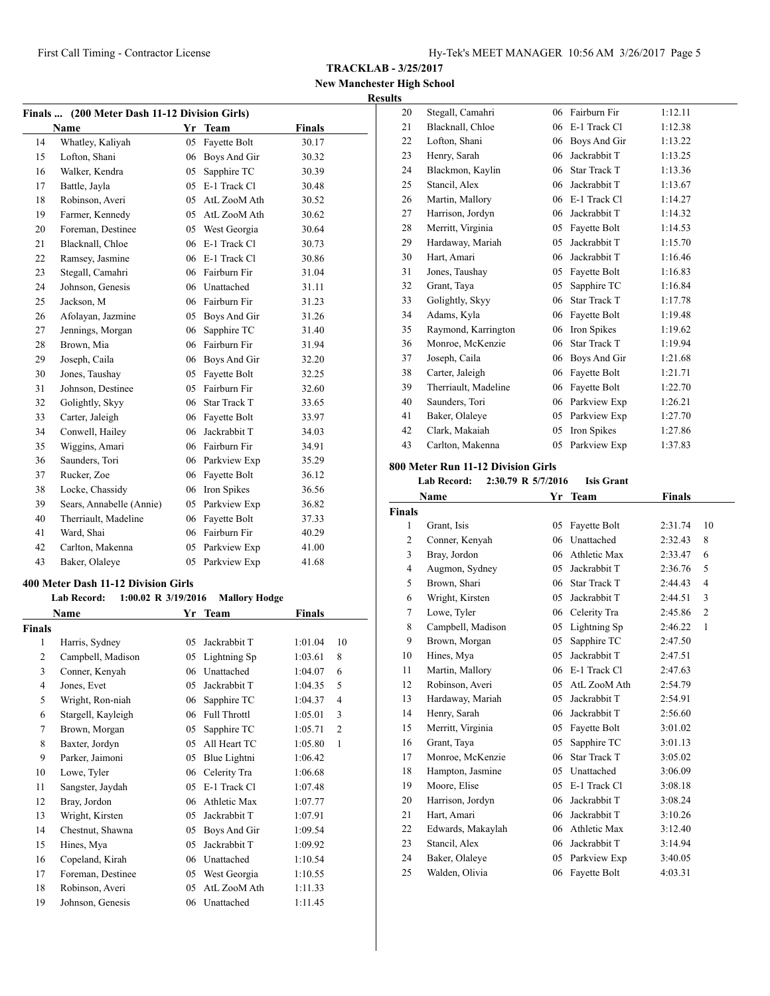**TRACKLAB - 3/25/2017**

#### **New Manchester High School Results**

| Finals  (200 Meter Dash 11-12 Division Girls) |                          |    |                 |               |  |  |
|-----------------------------------------------|--------------------------|----|-----------------|---------------|--|--|
|                                               | <b>Name</b>              | Yr | <b>Team</b>     | <b>Finals</b> |  |  |
| 14                                            | Whatley, Kaliyah         | 05 | Fayette Bolt    | 30.17         |  |  |
| 15                                            | Lofton, Shani            |    | 06 Boys And Gir | 30.32         |  |  |
| 16                                            | Walker, Kendra           | 05 | Sapphire TC     | 30.39         |  |  |
| 17                                            | Battle, Jayla            | 05 | E-1 Track Cl    | 30.48         |  |  |
| 18                                            | Robinson, Averi          |    | 05 AtL ZooM Ath | 30.52         |  |  |
| 19                                            | Farmer, Kennedy          |    | 05 AtL ZooM Ath | 30.62         |  |  |
| 20                                            | Foreman, Destinee        |    | 05 West Georgia | 30.64         |  |  |
| 21                                            | Blacknall, Chloe         |    | 06 E-1 Track Cl | 30.73         |  |  |
| 22                                            | Ramsey, Jasmine          |    | 06 E-1 Track Cl | 30.86         |  |  |
| 23                                            | Stegall, Camahri         | 06 | Fairburn Fir    | 31.04         |  |  |
| 24                                            | Johnson, Genesis         |    | 06 Unattached   | 31.11         |  |  |
| 25                                            | Jackson, M               |    | 06 Fairburn Fir | 31.23         |  |  |
| 26                                            | Afolayan, Jazmine        |    | 05 Boys And Gir | 31.26         |  |  |
| 27                                            | Jennings, Morgan         | 06 | Sapphire TC     | 31.40         |  |  |
| 28                                            | Brown, Mia               |    | 06 Fairburn Fir | 31.94         |  |  |
| 29                                            | Joseph, Caila            | 06 | Boys And Gir    | 32.20         |  |  |
| 30                                            | Jones, Taushay           |    | 05 Fayette Bolt | 32.25         |  |  |
| 31                                            | Johnson, Destinee        | 05 | Fairburn Fir    | 32.60         |  |  |
| 32                                            | Golightly, Skyy          |    | 06 Star Track T | 33.65         |  |  |
| 33                                            | Carter, Jaleigh          |    | 06 Fayette Bolt | 33.97         |  |  |
| 34                                            | Conwell, Hailey          | 06 | Jackrabbit T    | 34.03         |  |  |
| 35                                            | Wiggins, Amari           |    | 06 Fairburn Fir | 34.91         |  |  |
| 36                                            | Saunders, Tori           |    | 06 Parkview Exp | 35.29         |  |  |
| 37                                            | Rucker, Zoe              | 06 | Fayette Bolt    | 36.12         |  |  |
| 38                                            | Locke, Chassidy          | 06 | Iron Spikes     | 36.56         |  |  |
| 39                                            | Sears, Annabelle (Annie) |    | 05 Parkview Exp | 36.82         |  |  |
| 40                                            | Therriault, Madeline     | 06 | Fayette Bolt    | 37.33         |  |  |
| 41                                            | Ward, Shai               |    | 06 Fairburn Fir | 40.29         |  |  |
| 42                                            | Carlton, Makenna         |    | 05 Parkview Exp | 41.00         |  |  |
| 43                                            | Baker, Olaleye           | 05 | Parkview Exp    | 41.68         |  |  |

#### **400 Meter Dash 11-12 Division Girls**

|                | <b>Lab Record:</b><br>$1:00.02$ R $3/19/2016$ |    | <b>Mallory Hodge</b> |         |                |
|----------------|-----------------------------------------------|----|----------------------|---------|----------------|
|                | Name                                          |    | Yr Team              | Finals  |                |
| <b>Finals</b>  |                                               |    |                      |         |                |
| 1              | Harris, Sydney                                | 05 | Jackrabbit T         | 1:01.04 | 10             |
| $\overline{2}$ | Campbell, Madison                             | 05 | Lightning Sp         | 1:03.61 | 8              |
| 3              | Conner, Kenyah                                | 06 | Unattached           | 1:04.07 | 6              |
| 4              | Jones, Evet                                   | 05 | Jackrabbit T         | 1:04.35 | 5              |
| 5              | Wright, Ron-niah                              | 06 | Sapphire TC          | 1:04.37 | 4              |
| 6              | Stargell, Kayleigh                            | 06 | <b>Full Throttl</b>  | 1:05.01 | 3              |
| 7              | Brown, Morgan                                 | 05 | Sapphire TC          | 1:05.71 | $\overline{c}$ |
| 8              | Baxter, Jordyn                                | 05 | All Heart TC         | 1:05.80 | 1              |
| 9              | Parker, Jaimoni                               | 05 | Blue Lightni         | 1:06.42 |                |
| 10             | Lowe, Tyler                                   | 06 | Celerity Tra         | 1:06.68 |                |
| 11             | Sangster, Jaydah                              | 05 | E-1 Track Cl         | 1:07.48 |                |
| 12             | Bray, Jordon                                  | 06 | Athletic Max         | 1:07.77 |                |
| 13             | Wright, Kirsten                               | 05 | Jackrabbit T         | 1:07.91 |                |
| 14             | Chestnut, Shawna                              | 05 | Boys And Gir         | 1:09.54 |                |
| 15             | Hines, Mya                                    | 05 | Jackrabbit T         | 1:09.92 |                |
| 16             | Copeland, Kirah                               | 06 | Unattached           | 1:10.54 |                |
| 17             | Foreman, Destinee                             | 05 | West Georgia         | 1:10.55 |                |
| 18             | Robinson, Averi                               | 05 | AtL ZooM Ath         | 1:11.33 |                |
| 19             | Johnson, Genesis                              | 06 | Unattached           | 1:11.45 |                |

| 20 | Stegall, Camahri     | 06 | Fairburn Fir        | 1:12.11 |
|----|----------------------|----|---------------------|---------|
| 21 | Blacknall, Chloe     | 06 | E-1 Track Cl        | 1:12.38 |
| 22 | Lofton, Shani        | 06 | Boys And Gir        | 1:13.22 |
| 23 | Henry, Sarah         | 06 | Jackrabbit T        | 1:13.25 |
| 24 | Blackmon, Kaylin     | 06 | <b>Star Track T</b> | 1:13.36 |
| 25 | Stancil, Alex        | 06 | Jackrabbit T        | 1:13.67 |
| 26 | Martin, Mallory      | 06 | E-1 Track Cl        | 1:14.27 |
| 27 | Harrison, Jordyn     | 06 | Jackrabbit T        | 1:14.32 |
| 28 | Merritt, Virginia    | 05 | Fayette Bolt        | 1:14.53 |
| 29 | Hardaway, Mariah     | 05 | Jackrabbit T        | 1:15.70 |
| 30 | Hart, Amari          | 06 | Jackrabbit T        | 1:16.46 |
| 31 | Jones, Taushay       | 05 | Fayette Bolt        | 1:16.83 |
| 32 | Grant, Taya          | 05 | Sapphire TC         | 1:16.84 |
| 33 | Golightly, Skyy      | 06 | <b>Star Track T</b> | 1:17.78 |
| 34 | Adams, Kyla          | 06 | Fayette Bolt        | 1:19.48 |
| 35 | Raymond, Karrington  | 06 | Iron Spikes         | 1:19.62 |
| 36 | Monroe, McKenzie     | 06 | Star Track T        | 1:19.94 |
| 37 | Joseph, Caila        | 06 | Boys And Gir        | 1:21.68 |
| 38 | Carter, Jaleigh      | 06 | Fayette Bolt        | 1:21.71 |
| 39 | Therriault, Madeline | 06 | Fayette Bolt        | 1:22.70 |
| 40 | Saunders, Tori       | 06 | Parkview Exp        | 1:26.21 |
| 41 | Baker, Olaleye       | 05 | Parkview Exp        | 1:27.70 |
| 42 | Clark, Makaiah       | 05 | Iron Spikes         | 1:27.86 |
| 43 | Carlton, Makenna     | 05 | Parkview Exp        | 1:37.83 |

# **800 Meter Run 11-12 Division Girls**

#### **Lab Record: 2:30.79 R 5/7/2016 Isis Grant**

|                | Name              | Yr | <b>Team</b>         | <b>Finals</b> |                |
|----------------|-------------------|----|---------------------|---------------|----------------|
| <b>Finals</b>  |                   |    |                     |               |                |
| 1              | Grant, Isis       | 05 | Fayette Bolt        | 2:31.74       | 10             |
| $\overline{c}$ | Conner, Kenyah    | 06 | Unattached          | 2:32.43       | 8              |
| 3              | Bray, Jordon      | 06 | Athletic Max        | 2:33.47       | 6              |
| $\overline{4}$ | Augmon, Sydney    | 05 | Jackrabbit T        | 2:36.76       | 5              |
| 5              | Brown, Shari      | 06 | <b>Star Track T</b> | 2:44.43       | 4              |
| 6              | Wright, Kirsten   | 05 | Jackrabbit T        | 2:44.51       | 3              |
| 7              | Lowe, Tyler       | 06 | Celerity Tra        | 2:45.86       | $\overline{2}$ |
| 8              | Campbell, Madison | 05 | Lightning Sp        | 2:46.22       | 1              |
| 9              | Brown, Morgan     | 05 | Sapphire TC         | 2:47.50       |                |
| 10             | Hines, Mya        | 05 | Jackrabbit T        | 2:47.51       |                |
| 11             | Martin, Mallory   | 06 | E-1 Track Cl        | 2:47.63       |                |
| 12             | Robinson, Averi   | 05 | AtL ZooM Ath        | 2:54.79       |                |
| 13             | Hardaway, Mariah  | 05 | Jackrabbit T        | 2:54.91       |                |
| 14             | Henry, Sarah      | 06 | Jackrabbit T        | 2:56.60       |                |
| 15             | Merritt, Virginia | 05 | Fayette Bolt        | 3:01.02       |                |
| 16             | Grant, Taya       | 05 | Sapphire TC         | 3:01.13       |                |
| 17             | Monroe, McKenzie  | 06 | <b>Star Track T</b> | 3:05.02       |                |
| 18             | Hampton, Jasmine  | 05 | Unattached          | 3:06.09       |                |
| 19             | Moore, Elise      | 05 | E-1 Track C1        | 3:08.18       |                |
| 20             | Harrison, Jordyn  | 06 | Jackrabbit T        | 3:08.24       |                |
| 21             | Hart, Amari       | 06 | Jackrabbit T        | 3:10.26       |                |
| 22             | Edwards, Makaylah | 06 | Athletic Max        | 3:12.40       |                |
| 23             | Stancil, Alex     | 06 | Jackrabbit T        | 3:14.94       |                |
| 24             | Baker, Olaleye    | 05 | Parkview Exp        | 3:40.05       |                |
| 25             | Walden, Olivia    | 06 | Fayette Bolt        | 4:03.31       |                |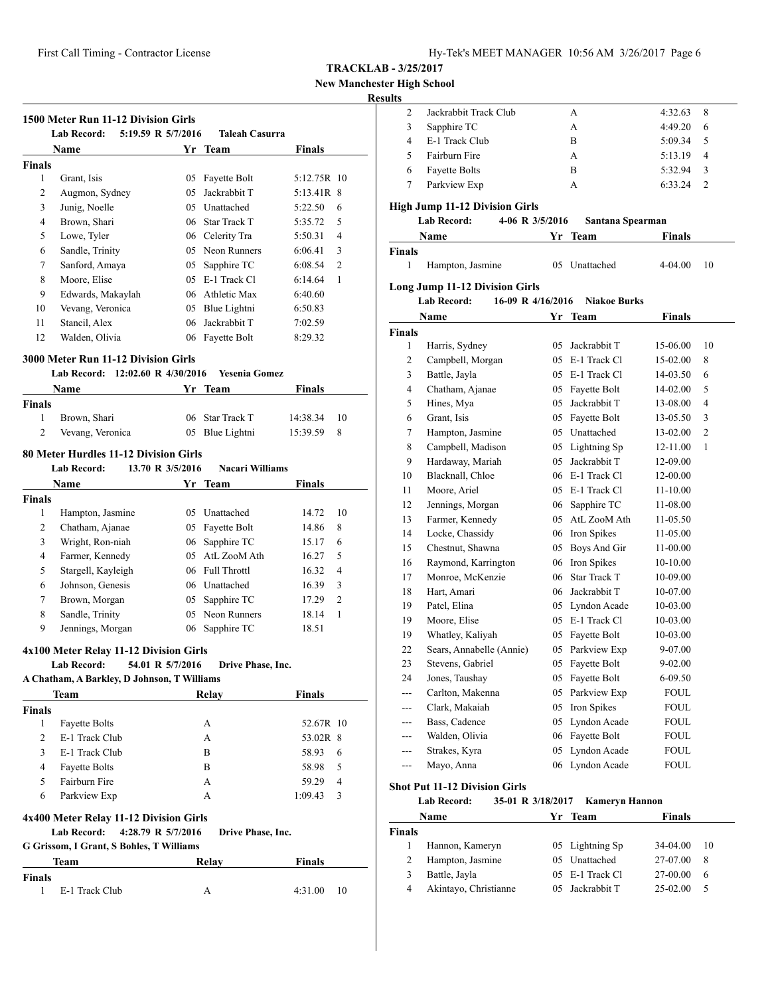# **New Manchester High School**

 $\overline{\phantom{a}}$ 

# **Results**

|                    | Name                                                  |                    | Yr Team                | <b>Finals</b> |                |
|--------------------|-------------------------------------------------------|--------------------|------------------------|---------------|----------------|
| <b>Finals</b>      |                                                       |                    |                        |               |                |
| 1                  | Grant, Isis                                           |                    | 05 Fayette Bolt        | 5:12.75R 10   |                |
| 2                  | Augmon, Sydney                                        |                    | 05 Jackrabbit T        | 5:13.41R 8    |                |
| 3                  | Junig, Noelle                                         |                    | 05 Unattached          | 5:22.50       | 6              |
| 4                  | Brown, Shari                                          |                    | 06 Star Track T        | 5:35.72       | 5              |
| 5                  | Lowe, Tyler                                           |                    | 06 Celerity Tra        | 5:50.31       | 4              |
| 6                  | Sandle, Trinity                                       |                    | 05 Neon Runners        | 6:06.41       | 3              |
| 7                  | Sanford, Amaya                                        |                    | 05 Sapphire TC         | 6:08.54       | $\overline{2}$ |
| 8                  | Moore, Elise                                          |                    | 05 E-1 Track Cl        | 6:14.64       | 1              |
| 9                  | Edwards, Makaylah                                     |                    | 06 Athletic Max        | 6:40.60       |                |
| 10                 | Vevang, Veronica                                      |                    | 05 Blue Lightni        | 6:50.83       |                |
| 11                 | Stancil, Alex                                         | 06                 | Jackrabbit T           | 7:02.59       |                |
| 12                 | Walden, Olivia                                        |                    | 06 Fayette Bolt        | 8:29.32       |                |
|                    | <b>3000 Meter Run 11-12 Division Girls</b>            |                    |                        |               |                |
|                    | Lab Record: 12:02.60 R 4/30/2016                      |                    | <b>Yesenia Gomez</b>   |               |                |
|                    | <b>Name</b>                                           |                    | Yr Team                | <b>Finals</b> |                |
| <b>Finals</b>      |                                                       |                    |                        |               |                |
| 1                  | Brown, Shari                                          |                    | 06 Star Track T        | 14:38.34      | 10             |
| 2                  | Vevang, Veronica                                      |                    | 05 Blue Lightni        | 15:39.59      | 8              |
|                    | 80 Meter Hurdles 11-12 Division Girls                 |                    |                        |               |                |
|                    | <b>Lab Record:</b>                                    | 13.70 R 3/5/2016   | <b>Nacari Williams</b> |               |                |
|                    | Name                                                  |                    | Yr Team                | Finals        |                |
| <b>Finals</b>      |                                                       |                    |                        |               |                |
| 1                  | Hampton, Jasmine                                      |                    | 05 Unattached          | 14.72         | 10             |
| 2                  | Chatham, Ajanae                                       |                    | 05 Fayette Bolt        | 14.86         | 8              |
| 3                  | Wright, Ron-niah                                      |                    | 06 Sapphire TC         | 15.17         | 6              |
| 4                  | Farmer, Kennedy                                       |                    | 05 AtL ZooM Ath        | 16.27         | 5              |
| 5                  | Stargell, Kayleigh                                    |                    | 06 Full Throttl        | 16.32         | 4              |
| 6                  | Johnson, Genesis                                      |                    | 06 Unattached          | 16.39         | 3              |
| 7                  | Brown, Morgan                                         |                    | 05 Sapphire TC         | 17.29         | 2              |
| 8                  | Sandle, Trinity                                       |                    | 05 Neon Runners        | 18.14         | 1              |
| 9                  | Jennings, Morgan                                      |                    | 06 Sapphire TC         | 18.51         |                |
|                    |                                                       |                    |                        |               |                |
|                    | 4x100 Meter Relay 11-12 Division Girls<br>Lab Record: | 54.01 R 5/7/2016   | Drive Phase, Inc.      |               |                |
|                    | A Chatham, A Barkley, D Johnson, T Williams           |                    |                        |               |                |
|                    | Team                                                  |                    | Relay                  | <b>Finals</b> |                |
| <b>Finals</b>      |                                                       |                    |                        |               |                |
| 1                  | <b>Fayette Bolts</b>                                  |                    | А                      | 52.67R 10     |                |
| 2                  | E-1 Track Club                                        |                    | A                      | 53.02R 8      |                |
| 3                  | E-1 Track Club                                        |                    | B                      | 58.93         | 6              |
| 4                  | <b>Fayette Bolts</b>                                  |                    | B                      | 58.98         | 5              |
| 5                  | Fairburn Fire                                         |                    | А                      | 59.29         | 4              |
| 6                  | Parkview Exp                                          |                    | А                      | 1:09.43       | 3              |
|                    |                                                       |                    |                        |               |                |
|                    | 4x400 Meter Relay 11-12 Division Girls                |                    |                        |               |                |
|                    | <b>Lab Record:</b>                                    | 4:28.79 R 5/7/2016 | Drive Phase, Inc.      |               |                |
|                    | G Grissom, I Grant, S Bohles, T Williams              |                    |                        |               |                |
|                    |                                                       |                    | Relay                  | <b>Finals</b> |                |
|                    | Team                                                  |                    |                        |               |                |
| <b>Finals</b><br>1 | E-1 Track Club                                        |                    | А                      | 4:31.00       | 10             |

| lts      |                                         |    |                                    |                      |    |
|----------|-----------------------------------------|----|------------------------------------|----------------------|----|
| 2        | Jackrabbit Track Club                   |    | А                                  | 4:32.63              | 8  |
| 3        | Sapphire TC                             |    | А                                  | 4:49.20              | 6  |
| 4        | E-1 Track Club                          |    | B                                  | 5:09.34              | 5  |
| 5        | Fairburn Fire                           |    | A                                  | 5:13.19              | 4  |
| 6        | <b>Fayette Bolts</b>                    |    | B                                  | 5:32.94              | 3  |
| 7        | Parkview Exp                            |    | A                                  | 6:33.24              | 2  |
|          | High Jump 11-12 Division Girls          |    |                                    |                      |    |
|          | <b>Lab Record:</b><br>4-06 R 3/5/2016   |    | Santana Spearman                   |                      |    |
|          | Name                                    | Yr | <b>Team</b>                        | Finals               |    |
| Finals   |                                         |    |                                    |                      |    |
| 1        | Hampton, Jasmine                        | 05 | Unattached                         | 4-04.00              | 10 |
|          |                                         |    |                                    |                      |    |
|          | <b>Long Jump 11-12 Division Girls</b>   |    |                                    |                      |    |
|          | <b>Lab Record:</b><br>16-09 R 4/16/2016 |    | <b>Niakoe Burks</b>                |                      |    |
|          | Name                                    | Yr | Team                               | Finals               |    |
| Finals   |                                         |    |                                    |                      |    |
| 1        | Harris, Sydney                          | 05 | Jackrabbit T<br>05 E-1 Track Cl    | 15-06.00             | 10 |
| 2        | Campbell, Morgan                        |    |                                    | 15-02.00             | 8  |
| 3        | Battle, Jayla                           |    | 05 E-1 Track Cl                    | 14-03.50             | 6  |
| 4        | Chatham, Ajanae                         |    | 05 Fayette Bolt                    | 14-02.00             | 5  |
| 5        | Hines, Mya                              |    | 05 Jackrabbit T                    | 13-08.00             | 4  |
| 6        | Grant, Isis                             |    | 05 Fayette Bolt                    | 13-05.50             | 3  |
| 7        | Hampton, Jasmine                        |    | 05 Unattached                      | 13-02.00             | 2  |
| 8        | Campbell, Madison                       | 05 | Lightning Sp                       | 12-11.00             | 1  |
| 9        | Hardaway, Mariah                        | 05 | Jackrabbit T                       | 12-09.00             |    |
| 10       | Blacknall, Chloe                        |    | 06 E-1 Track Cl<br>05 E-1 Track Cl | 12-00.00             |    |
| 11       | Moore, Ariel                            |    |                                    | 11-10.00             |    |
| 12<br>13 | Jennings, Morgan<br>Farmer, Kennedy     |    | 06 Sapphire TC<br>05 AtL ZooM Ath  | 11-08.00             |    |
| 14       | Locke, Chassidy                         |    | 06 Iron Spikes                     | 11-05.50<br>11-05.00 |    |
| 15       | Chestnut, Shawna                        |    | 05 Boys And Gir                    |                      |    |
| 16       | Raymond, Karrington                     |    | 06 Iron Spikes                     | 11-00.00<br>10-10.00 |    |
| 17       | Monroe, McKenzie                        |    | 06 Star Track T                    | 10-09.00             |    |
| 18       | Hart, Amari                             |    | 06 Jackrabbit T                    | 10-07.00             |    |
| 19       | Patel, Elina                            |    | 05 Lyndon Acade                    | 10-03.00             |    |
| 19       | Moore, Elise                            |    | 05 E-1 Track Cl                    | 10-03.00             |    |
| 19       | Whatley, Kaliyah                        | 05 | Fayette Bolt                       | 10-03.00             |    |
| 22       | Sears, Annabelle (Annie)                | 05 | Parkview Exp                       | 9-07.00              |    |
| 23       | Stevens, Gabriel                        | 05 | Fayette Bolt                       | 9-02.00              |    |
| 24       | Jones, Taushay                          | 05 | Fayette Bolt                       | 6-09.50              |    |
| ---      | Carlton, Makenna                        | 05 | Parkview Exp                       | FOUL                 |    |
| ---      | Clark, Makaiah                          | 05 | Iron Spikes                        | <b>FOUL</b>          |    |
| ---      | Bass, Cadence                           | 05 | Lyndon Acade                       | <b>FOUL</b>          |    |
| ---      | Walden, Olivia                          | 06 | Fayette Bolt                       | FOUL                 |    |
| ---      | Strakes, Kyra                           | 05 | Lyndon Acade                       | FOUL                 |    |
| ---      | Mayo, Anna                              | 06 | Lyndon Acade                       | FOUL                 |    |
|          |                                         |    |                                    |                      |    |
|          | <b>Shot Put 11-12 Division Girls</b>    |    |                                    |                      |    |

#### **Lab Record: 35-01 R 3/18/2017 Kameryn Hannon**

| Name   |                       | Yr Team         | <b>Finals</b> |     |  |
|--------|-----------------------|-----------------|---------------|-----|--|
| Finals |                       |                 |               |     |  |
|        | Hannon, Kameryn       | 05 Lightning Sp | 34-04.00      | -10 |  |
|        | Hampton, Jasmine      | 05 Unattached   | 27-07.00      | -8  |  |
| 3      | Battle, Jayla         | 05 E-1 Track Cl | 27-00.00      | 6   |  |
| 4      | Akintayo, Christianne | 05 Jackrabbit T | $25-02.00$    |     |  |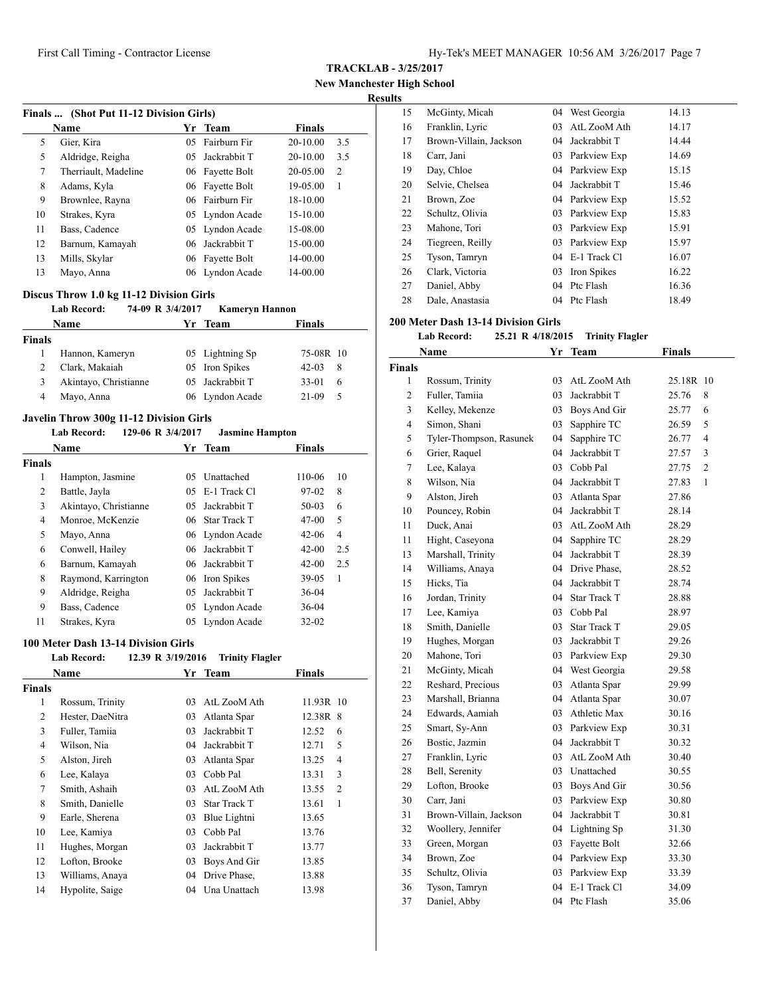**TRACKLAB - 3/25/2017**

**New Manchester High School**

#### **Results**

|    | Finals  (Shot Put 11-12 Division Girls) |     |                 |               |     |  |  |  |  |
|----|-----------------------------------------|-----|-----------------|---------------|-----|--|--|--|--|
|    | Name                                    |     | Yr Team         | <b>Finals</b> |     |  |  |  |  |
| 5  | Gier, Kira                              | 05. | Fairburn Fir    | 20-10.00      | 3.5 |  |  |  |  |
| 5  | Aldridge, Reigha                        | 05. | Jackrabbit T    | 20-10.00      | 3.5 |  |  |  |  |
| 7  | Therriault, Madeline                    | 06  | Fayette Bolt    | 20-05.00      | 2   |  |  |  |  |
| 8  | Adams, Kyla                             | 06  | Fayette Bolt    | 19-05.00      | 1   |  |  |  |  |
| 9  | Brownlee, Rayna                         |     | 06 Fairburn Fir | 18-10.00      |     |  |  |  |  |
| 10 | Strakes, Kyra                           |     | 05 Lyndon Acade | 15-10.00      |     |  |  |  |  |
| 11 | Bass, Cadence                           | 05  | Lyndon Acade    | 15-08.00      |     |  |  |  |  |
| 12 | Barnum, Kamayah                         | 06  | Jackrabbit T    | 15-00.00      |     |  |  |  |  |
| 13 | Mills, Skylar                           | 06  | Fayette Bolt    | 14-00.00      |     |  |  |  |  |
| 13 | Mayo, Anna                              |     | 06 Lyndon Acade | 14-00.00      |     |  |  |  |  |

#### **Discus Throw 1.0 kg 11-12 Division Girls**

#### **Lab Record: 74-09 R 3/4/2017 Kameryn Hannon**

| <b>Name</b>   |                       | Yr Team         | <b>Finals</b> |    |
|---------------|-----------------------|-----------------|---------------|----|
| <b>Finals</b> |                       |                 |               |    |
|               | Hannon, Kameryn       | 05 Lightning Sp | 75-08R 10     |    |
|               | Clark, Makaiah        | 05 Iron Spikes  | $42 - 03$     | 8  |
| 3             | Akintayo, Christianne | 05 Jackrabbit T | $33-01$       | 6  |
| 4             | Mayo, Anna            | 06 Lyndon Acade | 21-09         | -5 |

# **Javelin Throw 300g 11-12 Division Girls**

#### **Lab Record: 129-06 R 3/4/2017 Jasmine Hampton**

|        | <b>Name</b>           |     | Yr Team         | <b>Finals</b> |     |
|--------|-----------------------|-----|-----------------|---------------|-----|
| Finals |                       |     |                 |               |     |
| 1      | Hampton, Jasmine      | 05  | Unattached      | 110-06        | 10  |
| 2      | Battle, Jayla         |     | 05 E-1 Track Cl | 97-02         | 8   |
| 3      | Akintayo, Christianne | 05. | Jackrabbit T    | $50-03$       | 6   |
| 4      | Monroe, McKenzie      |     | 06 Star Track T | $47 - 00$     | 5   |
| 5      | Mayo, Anna            |     | 06 Lyndon Acade | $42 - 06$     | 4   |
| 6      | Conwell, Hailey       |     | 06 Jackrabbit T | $42 - 00$     | 2.5 |
| 6      | Barnum, Kamayah       |     | 06 Jackrabbit T | $42 - 00$     | 2.5 |
| 8      | Raymond, Karrington   |     | 06 Iron Spikes  | $39-05$       | 1   |
| 9      | Aldridge, Reigha      | 05. | Jackrabbit T    | $36-04$       |     |
| 9      | Bass, Cadence         |     | 05 Lyndon Acade | 36-04         |     |
| 11     | Strakes, Kyra         |     | 05 Lyndon Acade | $32 - 02$     |     |

#### **100 Meter Dash 13-14 Division Girls**

#### **Lab Record: 12.39 R 3/19/2016 Trinity Flagler**

|               | Name             |    | Yr Team             | <b>Finals</b> |  |
|---------------|------------------|----|---------------------|---------------|--|
| <b>Finals</b> |                  |    |                     |               |  |
| 1             | Rossum, Trinity  | 03 | AtL ZooM Ath        | 11.93R 10     |  |
| 2             | Hester, DaeNitra | 03 | Atlanta Spar        | 12.38R 8      |  |
| 3             | Fuller, Tamiia   | 03 | Jackrabbit T        | 12.52<br>6    |  |
| 4             | Wilson, Nia      | 04 | Jackrabbit T        | 5<br>12.71    |  |
| 5             | Alston, Jireh    | 03 | Atlanta Spar        | 13.25<br>4    |  |
| 6             | Lee, Kalaya      | 03 | Cobb Pal            | 3<br>13.31    |  |
| 7             | Smith, Ashaih    | 03 | AtL ZooM Ath        | 2<br>13.55    |  |
| 8             | Smith, Danielle  | 03 | <b>Star Track T</b> | 1<br>13.61    |  |
| 9             | Earle, Sherena   | 03 | Blue Lightni        | 13.65         |  |
| 10            | Lee, Kamiya      | 03 | Cobb Pal            | 13.76         |  |
| 11            | Hughes, Morgan   | 03 | Jackrabbit T        | 13.77         |  |
| 12            | Lofton, Brooke   | 03 | Boys And Gir        | 13.85         |  |
| 13            | Williams, Anaya  | 04 | Drive Phase,        | 13.88         |  |
| 14            | Hypolite, Saige  | 04 | Una Unattach        | 13.98         |  |

| 15 | McGinty, Micah         | 04 | West Georgia    | 14.13 |
|----|------------------------|----|-----------------|-------|
| 16 | Franklin, Lyric        | 03 | AtL ZooM Ath    | 14.17 |
| 17 | Brown-Villain, Jackson | 04 | Jackrabbit T    | 14.44 |
| 18 | Carr, Jani             | 03 | Parkview Exp    | 14.69 |
| 19 | Day, Chloe             |    | 04 Parkview Exp | 15.15 |
| 20 | Selvie, Chelsea        | 04 | Jackrabbit T    | 15.46 |
| 21 | Brown, Zoe             |    | 04 Parkview Exp | 15.52 |
| 22 | Schultz, Olivia        | 03 | Parkview Exp    | 15.83 |
| 23 | Mahone, Tori           | 03 | Parkview Exp    | 15.91 |
| 24 | Tiegreen, Reilly       | 03 | Parkview Exp    | 15.97 |
| 25 | Tyson, Tamryn          | 04 | E-1 Track Cl    | 16.07 |
| 26 | Clark, Victoria        |    | 03 Iron Spikes  | 16.22 |
| 27 | Daniel, Abby           | 04 | Ptc Flash       | 16.36 |
| 28 | Dale, Anastasia        | 04 | Ptc Flash       | 18.49 |

#### **200 Meter Dash 13-14 Division Girls**

#### **Lab Record: 25.21 R 4/18/2015 Trinity Flagler**

|                | Name                    | Yr | Team                | <b>Finals</b>           |
|----------------|-------------------------|----|---------------------|-------------------------|
| <b>Finals</b>  |                         |    |                     |                         |
| $\mathbf{1}$   | Rossum, Trinity         | 03 | AtL ZooM Ath        | 25.18R 10               |
| $\overline{c}$ | Fuller, Tamiia          | 03 | Jackrabbit T        | 25.76<br>8              |
| 3              | Kelley, Mekenze         | 03 | Boys And Gir        | 25.77<br>6              |
| 4              | Simon, Shani            | 03 | Sapphire TC         | 26.59<br>5              |
| 5              | Tyler-Thompson, Rasunek | 04 | Sapphire TC         | $\overline{4}$<br>26.77 |
| 6              | Grier, Raquel           | 04 | Jackrabbit T        | 3<br>27.57              |
| 7              | Lee, Kalaya             | 03 | Cobb Pal            | $\overline{2}$<br>27.75 |
| 8              | Wilson, Nia             | 04 | Jackrabbit T        | 27.83<br>1              |
| 9              | Alston, Jireh           | 03 | Atlanta Spar        | 27.86                   |
| 10             | Pouncey, Robin          | 04 | Jackrabbit T        | 28.14                   |
| 11             | Duck, Anai              | 03 | AtL ZooM Ath        | 28.29                   |
| 11             | Hight, Caseyona         | 04 | Sapphire TC         | 28.29                   |
| 13             | Marshall, Trinity       | 04 | Jackrabbit T        | 28.39                   |
| 14             | Williams, Anaya         | 04 | Drive Phase,        | 28.52                   |
| 15             | Hicks, Tia              | 04 | Jackrabbit T        | 28.74                   |
| 16             | Jordan, Trinity         | 04 | Star Track T        | 28.88                   |
| 17             | Lee, Kamiya             | 03 | Cobb Pal            | 28.97                   |
| 18             | Smith, Danielle         | 03 | <b>Star Track T</b> | 29.05                   |
| 19             | Hughes, Morgan          | 03 | Jackrabbit T        | 29.26                   |
| 20             | Mahone, Tori            | 03 | Parkview Exp        | 29.30                   |
| 21             | McGinty, Micah          | 04 | West Georgia        | 29.58                   |
| 22             | Reshard, Precious       | 03 | Atlanta Spar        | 29.99                   |
| 23             | Marshall, Brianna       | 04 | Atlanta Spar        | 30.07                   |
| 24             | Edwards, Aamiah         | 03 | Athletic Max        | 30.16                   |
| 25             | Smart, Sy-Ann           | 03 | Parkview Exp        | 30.31                   |
| 26             | Bostic, Jazmin          | 04 | Jackrabbit T        | 30.32                   |
| 27             | Franklin, Lyric         | 03 | AtL ZooM Ath        | 30.40                   |
| 28             | Bell, Serenity          | 03 | Unattached          | 30.55                   |
| 29             | Lofton, Brooke          | 03 | Boys And Gir        | 30.56                   |
| 30             | Carr, Jani              | 03 | Parkview Exp        | 30.80                   |
| 31             | Brown-Villain, Jackson  | 04 | Jackrabbit T        | 30.81                   |
| 32             | Woollery, Jennifer      | 04 | Lightning Sp        | 31.30                   |
| 33             | Green, Morgan           | 03 | Fayette Bolt        | 32.66                   |
| 34             | Brown, Zoe              | 04 | Parkview Exp        | 33.30                   |
| 35             | Schultz, Olivia         | 03 | Parkview Exp        | 33.39                   |
| 36             | Tyson, Tamryn           | 04 | E-1 Track Cl        | 34.09                   |
| 37             | Daniel, Abby            | 04 | Ptc Flash           | 35.06                   |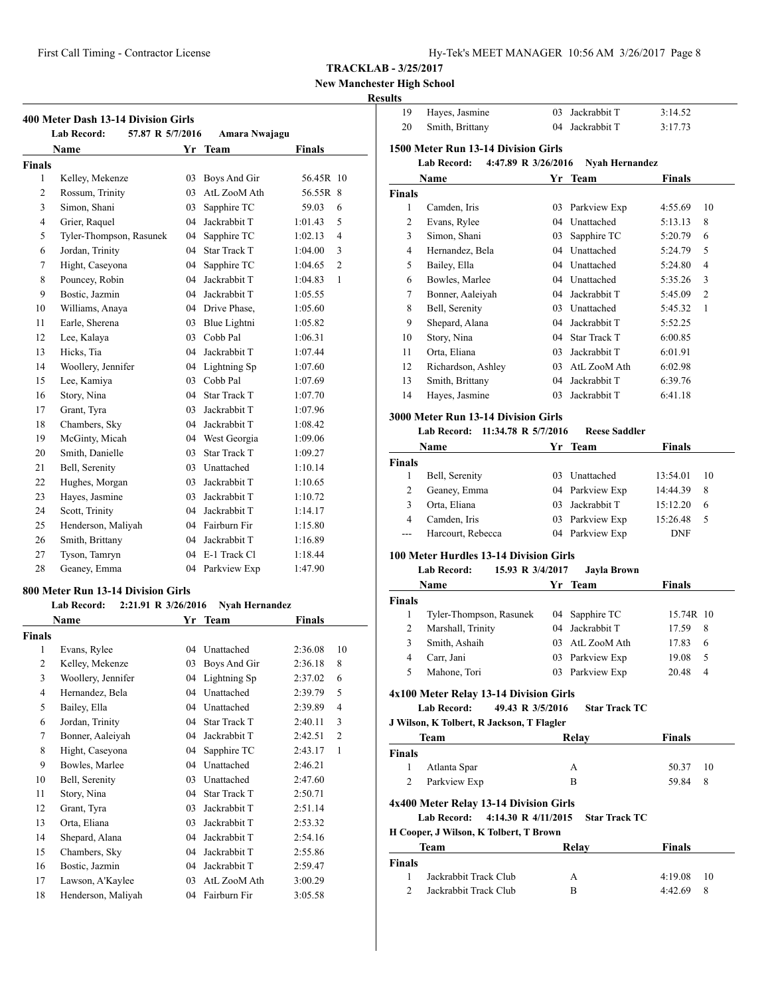**New Manchester High School**

# **Results**

|                          | <b>Lab Record:</b><br>57.87 R 5/7/2016    |        | Amara Nwajagu         |               |                |
|--------------------------|-------------------------------------------|--------|-----------------------|---------------|----------------|
|                          | Name                                      |        | Yr Team               | Finals        |                |
| <b>Finals</b>            |                                           |        |                       |               |                |
| 1                        | Kelley, Mekenze                           | 03     | Boys And Gir          | 56.45R 10     |                |
| 2                        | Rossum, Trinity                           | 03     | AtL ZooM Ath          | 56.55R 8      |                |
| 3                        | Simon, Shani                              | 03     | Sapphire TC           | 59.03         | 6              |
| 4                        | Grier, Raquel                             | 04     | Jackrabbit T          | 1:01.43       | 5              |
| 5                        | Tyler-Thompson, Rasunek                   | 04     | Sapphire TC           | 1:02.13       | 4              |
| 6                        | Jordan, Trinity                           | 04     | Star Track T          | 1:04.00       | 3              |
| 7                        | Hight, Caseyona                           | 04     | Sapphire TC           | 1:04.65       | 2              |
| 8                        | Pouncey, Robin                            |        | 04 Jackrabbit T       | 1:04.83       | 1              |
| 9                        | Bostic, Jazmin                            |        | 04 Jackrabbit T       | 1:05.55       |                |
| 10                       | Williams, Anaya                           |        | 04 Drive Phase,       | 1:05.60       |                |
| 11                       | Earle, Sherena                            | 03     | Blue Lightni          | 1:05.82       |                |
| 12                       | Lee, Kalaya                               | 03     | Cobb Pal              | 1:06.31       |                |
| 13                       | Hicks, Tia                                | 04     | Jackrabbit T          | 1:07.44       |                |
| 14                       | Woollery, Jennifer                        | 04     | Lightning Sp          | 1:07.60       |                |
| 15                       | Lee, Kamiya                               |        | 03 Cobb Pal           | 1:07.69       |                |
| 16                       | Story, Nina                               | 04     | <b>Star Track T</b>   | 1:07.70       |                |
| 17                       | Grant, Tyra                               | 03     | Jackrabbit T          | 1:07.96       |                |
| 18                       | Chambers, Sky                             |        | 04 Jackrabbit T       | 1:08.42       |                |
| 19                       | McGinty, Micah                            |        | 04 West Georgia       | 1:09.06       |                |
| 20                       | Smith, Danielle                           | 03     | <b>Star Track T</b>   | 1:09.27       |                |
| 21                       | Bell, Serenity                            | 03     | Unattached            | 1:10.14       |                |
| 22                       | Hughes, Morgan                            | 03     | Jackrabbit T          | 1:10.65       |                |
| 23                       | Hayes, Jasmine                            | 03     | Jackrabbit T          | 1:10.72       |                |
| 24                       | Scott, Trinity                            | 04     | Jackrabbit T          | 1:14.17       |                |
| 25                       | Henderson, Maliyah                        |        | 04 Fairburn Fir       | 1:15.80       |                |
| 26                       | Smith, Brittany                           | 04     | Jackrabbit T          | 1:16.89       |                |
| 27                       | Tyson, Tamryn                             |        | 04 E-1 Track Cl       | 1:18.44       |                |
| 28                       | Geaney, Emma                              |        | 04 Parkview Exp       | 1:47.90       |                |
|                          | 800 Meter Run 13-14 Division Girls        |        |                       |               |                |
|                          | <b>Lab Record:</b><br>2:21.91 R 3/26/2016 |        | <b>Nyah Hernandez</b> |               |                |
|                          | Name                                      | Yr     | Team                  | <b>Finals</b> |                |
| Finals                   |                                           |        |                       |               |                |
| 1                        | Evans, Rylee                              | 04     | Unattached            | 2:36.08       | 10             |
| $\overline{c}$           | Kelley, Mekenze                           | 03     | Boys And Gir          | 2:36.18       | 8              |
| 3                        | Woollery, Jennifer                        | 04     | Lightning Sp          | 2:37.02       | 6              |
| $\overline{\mathcal{L}}$ | Hernandez, Bela                           | 04     | Unattached            | 2:39.79       | 5              |
| 5                        | Bailey, Ella                              | 04     | Unattached            | 2:39.89       | 4              |
| 6                        | Jordan, Trinity                           | 04     | <b>Star Track T</b>   | 2:40.11       | 3              |
| $\tau$                   | Bonner, Aaleiyah                          | $04\,$ | Jackrabbit T          | 2:42.51       | $\mathfrak{2}$ |
| 8                        | Hight, Caseyona                           | $04\,$ | Sapphire TC           | 2:43.17       | $\mathbf{1}$   |
| 9                        | Bowles, Marlee                            | 04     | Unattached            | 2:46.21       |                |
| 10                       | Bell, Serenity                            | 03     | Unattached            | 2:47.60       |                |
| 11                       | Story, Nina                               | 04     | Star Track T          | 2:50.71       |                |
| 12                       | Grant, Tyra                               | 03     | Jackrabbit T          | 2:51.14       |                |
| 13                       | Orta, Eliana                              | 03     | Jackrabbit T          | 2:53.32       |                |
| 14                       | Shepard, Alana                            | 04     | Jackrabbit T          | 2:54.16       |                |
| 15                       | Chambers, Sky                             | 04     | Jackrabbit T          | 2:55.86       |                |
| 16                       | Bostic, Jazmin                            | 04     | Jackrabbit T          | 2:59.47       |                |

 Lawson, A'Kaylee 03 AtL ZooM Ath 3:00.29 Henderson, Maliyah 04 Fairburn Fir 3:05.58

| 19                             | Hayes, Jasmine                                                            | 03 | Jackrabbit T          | 3:14.52       |         |
|--------------------------------|---------------------------------------------------------------------------|----|-----------------------|---------------|---------|
| 20                             | Smith, Brittany                                                           | 04 | Jackrabbit T          | 3:17.73       |         |
|                                |                                                                           |    |                       |               |         |
|                                | 1500 Meter Run 13-14 Division Girls<br>4:47.89 R 3/26/2016<br>Lab Record: |    |                       |               |         |
|                                |                                                                           |    | <b>Nyah Hernandez</b> |               |         |
|                                | Name                                                                      | Yr | Team                  | Finals        |         |
| Finals<br>1                    | Camden, Iris                                                              | 03 | Parkview Exp          | 4:55.69       | 10      |
| 2                              | Evans, Rylee                                                              | 04 | Unattached            | 5:13.13       | 8       |
| 3                              | Simon, Shani                                                              | 03 | Sapphire TC           | 5:20.79       | 6       |
| 4                              | Hernandez, Bela                                                           |    | 04 Unattached         | 5:24.79       | 5       |
| 5                              | Bailey, Ella                                                              |    | 04 Unattached         | 5:24.80       | 4       |
| 6                              | Bowles, Marlee                                                            |    | 04 Unattached         | 5:35.26       | 3       |
| 7                              | Bonner, Aaleiyah                                                          |    | 04 Jackrabbit T       | 5:45.09       | 2       |
| 8                              | Bell, Serenity                                                            |    | 03 Unattached         | 5:45.32       | 1       |
| 9                              | Shepard, Alana                                                            |    | 04 Jackrabbit T       | 5:52.25       |         |
| 10                             | Story, Nina                                                               |    | 04 Star Track T       | 6:00.85       |         |
| 11                             | Orta, Eliana                                                              |    | 03 Jackrabbit T       | 6:01.91       |         |
| 12                             | Richardson, Ashley                                                        |    | 03 AtL ZooM Ath       | 6:02.98       |         |
| 13                             | Smith, Brittany                                                           |    | 04 Jackrabbit T       | 6:39.76       |         |
| 14                             | Hayes, Jasmine                                                            |    | 03 Jackrabbit T       | 6:41.18       |         |
|                                |                                                                           |    |                       |               |         |
|                                | <b>3000 Meter Run 13-14 Division Girls</b>                                |    |                       |               |         |
|                                | Lab Record:<br>11:34.78 R 5/7/2016                                        |    | <b>Reese Saddler</b>  |               |         |
|                                | Name                                                                      |    | Yr Team               | Finals        |         |
| Finals                         |                                                                           |    |                       |               |         |
| 1                              | Bell, Serenity                                                            |    | 03 Unattached         | 13:54.01      | 10      |
| 2                              | Geaney, Emma                                                              |    | 04 Parkview Exp       | 14:44.39      | 8       |
| 3                              | Orta, Eliana                                                              | 03 | Jackrabbit T          | 15:12.20      | 6       |
| 4                              | Camden, Iris                                                              |    | 03 Parkview Exp       | 15:26.48      | 5       |
| ---                            | Harcourt, Rebecca                                                         |    | 04 Parkview Exp       | <b>DNF</b>    |         |
|                                | <b>100 Meter Hurdles 13-14 Division Girls</b>                             |    |                       |               |         |
|                                | Lab Record:<br>15.93 R 3/4/2017                                           |    | Jayla Brown           |               |         |
|                                |                                                                           |    |                       |               |         |
|                                | <b>Name</b>                                                               |    | Yr Team               | Finals        |         |
| <b>Finals</b>                  |                                                                           |    |                       |               |         |
| 1                              | Tyler-Thompson, Rasunek                                                   |    | 04 Sapphire TC        | 15.74R 10     |         |
| 2                              | Marshall, Trinity                                                         | 04 | Jackrabbit T          | 17.59         | 8       |
| 3                              | Smith, Ashaih                                                             | 03 | AtL ZooM Ath          | 17.83         | 6       |
| 4                              | Carr, Jani                                                                |    | 03 Parkview Exp       | 19.08         | 5       |
| 5                              | Mahone, Tori                                                              | 03 | Parkview Exp          | 20.48         | 4       |
|                                |                                                                           |    |                       |               |         |
|                                | 4x100 Meter Relay 13-14 Division Girls                                    |    |                       |               |         |
|                                | <b>Lab Record:</b><br>49.43 R 3/5/2016                                    |    | <b>Star Track TC</b>  |               |         |
|                                | J Wilson, K Tolbert, R Jackson, T Flagler                                 |    |                       |               |         |
|                                | Team                                                                      |    | Relav                 | <b>Finals</b> |         |
| <b>Finals</b>                  |                                                                           |    |                       |               |         |
| $\mathbf{1}$<br>$\overline{c}$ | Atlanta Spar                                                              |    | А<br>B                | 50.37         | 10<br>8 |
|                                | Parkview Exp                                                              |    |                       | 59.84         |         |
|                                | 4x400 Meter Relay 13-14 Division Girls                                    |    |                       |               |         |
|                                | <b>Lab Record:</b><br>4:14.30 R 4/11/2015                                 |    | <b>Star Track TC</b>  |               |         |
|                                | H Cooper, J Wilson, K Tolbert, T Brown                                    |    |                       |               |         |
|                                | Team                                                                      |    | Relay                 | Finals        |         |
| <b>Finals</b>                  |                                                                           |    |                       |               |         |
| 1                              | Jackrabbit Track Club                                                     |    | А                     | 4:19.08       | 10      |
| $\overline{2}$                 | Jackrabbit Track Club                                                     |    | B                     | 4:42.69       | 8       |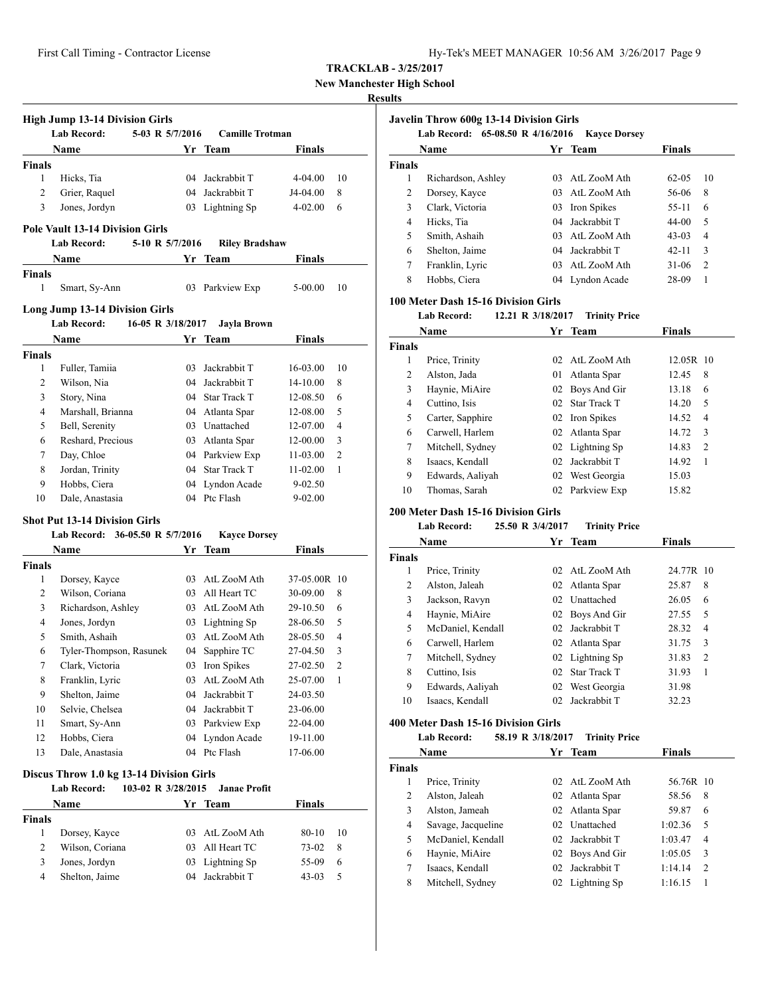**New Manchester High School**

#### **Results**

|               | <b>High Jump 13-14 Division Girls</b><br><b>Lab Record:</b><br>5-03 R 5/7/2016 |     | <b>Camille Trotman</b> |               |                |
|---------------|--------------------------------------------------------------------------------|-----|------------------------|---------------|----------------|
|               | Name                                                                           | Yr  | <b>Team</b>            | Finals        |                |
| <b>Finals</b> |                                                                                |     |                        |               |                |
| 1             | Hicks, Tia                                                                     |     | 04 Jackrabbit T        | 4-04.00       | 10             |
| 2             | Grier, Raquel                                                                  |     | 04 Jackrabbit T        | J4-04.00      | 8              |
| 3             | Jones, Jordyn                                                                  |     | 03 Lightning Sp        | $4 - 02.00$   | 6              |
|               |                                                                                |     |                        |               |                |
|               | <b>Pole Vault 13-14 Division Girls</b>                                         |     |                        |               |                |
|               | <b>Lab Record:</b><br>5-10 R 5/7/2016                                          |     | <b>Riley Bradshaw</b>  |               |                |
|               | Name                                                                           | Yr  | Team                   | <b>Finals</b> |                |
| <b>Finals</b> |                                                                                |     |                        |               |                |
| 1             | Smart, Sy-Ann                                                                  | 03  | Parkview Exp           | 5-00.00       | 10             |
|               | <b>Long Jump 13-14 Division Girls</b>                                          |     |                        |               |                |
|               | Lab Record:<br>16-05 R 3/18/2017                                               |     | Jayla Brown            |               |                |
|               |                                                                                |     |                        |               |                |
|               | Name                                                                           |     | Yr Team                | Finals        |                |
| <b>Finals</b> |                                                                                |     |                        |               |                |
| 1             | Fuller, Tamiia                                                                 | 03. | Jackrabbit T           | 16-03.00      | 10             |
| 2             | Wilson, Nia                                                                    |     | 04 Jackrabbit T        | 14-10.00      | 8              |
| 3             | Story, Nina                                                                    |     | 04 Star Track T        | 12-08.50      | 6              |
| 4             | Marshall, Brianna                                                              |     | 04 Atlanta Spar        | 12-08.00      | 5              |
| 5             | Bell, Serenity                                                                 |     | 03 Unattached          | 12-07.00      | 4              |
| 6             | Reshard, Precious                                                              |     | 03 Atlanta Spar        | 12-00.00      | 3              |
| 7             | Day, Chloe                                                                     | 04  | Parkview Exp           | 11-03.00      | 2              |
| 8             | Jordan, Trinity                                                                |     | 04 Star Track T        | 11-02.00      | 1              |
| 9             | Hobbs, Ciera                                                                   | 04  | Lyndon Acade           | $9 - 02.50$   |                |
| 10            | Dale, Anastasia                                                                | 04  | Ptc Flash              | $9 - 02.00$   |                |
|               | <b>Shot Put 13-14 Division Girls</b>                                           |     |                        |               |                |
|               | Lab Record: 36-05.50 R 5/7/2016                                                |     | <b>Kayce Dorsey</b>    |               |                |
|               | Name                                                                           | Yr. | Team                   | Finals        |                |
| <b>Finals</b> |                                                                                |     |                        |               |                |
| 1             | Dorsey, Kayce                                                                  |     | 03 AtL ZooM Ath        | 37-05.00R 10  |                |
| 2             | Wilson, Coriana                                                                |     | 03 All Heart TC        | 30-09.00      | 8              |
| 3             | Richardson, Ashley                                                             |     | 03 AtL ZooM Ath        | 29-10.50      | 6              |
| 4             | Jones, Jordyn                                                                  |     | 03 Lightning Sp        | 28-06.50      | 5              |
| 5             | Smith, Ashaih                                                                  |     | 03 AtL ZooM Ath        | 28-05.50      | 4              |
| 6             | Tyler-Thompson, Rasunek                                                        | 04  | Sapphire TC            | 27-04.50      | 3              |
| 7             | Clark, Victoria                                                                |     |                        |               | $\overline{c}$ |
|               |                                                                                |     | 03 Iron Spikes         | 27-02.50      |                |
| 8             | Franklin, Lyric                                                                |     | 03 AtL ZooM Ath        | 25-07.00      | 1              |
| 9             | Shelton, Jaime                                                                 | 04  | Jackrabbit T           | 24-03.50      |                |
| 10            | Selvie, Chelsea                                                                | 04  | Jackrabbit T           | 23-06.00      |                |
| 11            | Smart, Sy-Ann                                                                  | 03  | Parkview Exp           | 22-04.00      |                |
| 12            | Hobbs, Ciera                                                                   | 04  | Lyndon Acade           | 19-11.00      |                |
| 13            | Dale, Anastasia                                                                | 04  | Ptc Flash              | 17-06.00      |                |
|               | Discus Throw 1.0 kg 13-14 Division Girls                                       |     |                        |               |                |
|               | 103-02 R 3/28/2015<br><b>Lab Record:</b>                                       |     | <b>Janae Profit</b>    |               |                |
|               | Name                                                                           |     | Yr Team                | <b>Finals</b> |                |
| Finals        |                                                                                |     |                        |               |                |
| 1             | Dorsey, Kayce                                                                  | 03  | AtL ZooM Ath           | 80-10         | 10             |
| 2             | Wilson, Coriana                                                                | 03  | All Heart TC           | 73-02         | 8              |
| 3             | Jones, Jordyn                                                                  | 03  | Lightning Sp           | 55-09         | 6              |
| 4             | Shelton, Jaime                                                                 | 04  | Jackrabbit T           | 43-03         | 5              |

|        | Name               |                | Yr Team         | <b>Finals</b> |                |
|--------|--------------------|----------------|-----------------|---------------|----------------|
| Finals |                    |                |                 |               |                |
| 1      | Richardson, Ashley | 03             | AtL ZooM Ath    | $62 - 0.5$    | 10             |
| 2      | Dorsey, Kayce      | 0 <sup>3</sup> | AtL ZooM Ath    | 56-06         | 8              |
| 3      | Clark, Victoria    | 03             | Iron Spikes     | $55-11$       | 6              |
| 4      | Hicks, Tia         |                | 04 Jackrabbit T | 44-00         | 5              |
| 5      | Smith, Ashaih      | 03             | AtL ZooM Ath    | $43-03$       | 4              |
| 6      | Shelton, Jaime     |                | 04 Jackrabbit T | $42 - 11$     | 3              |
| 7      | Franklin, Lyric    |                | 03 AtL ZooM Ath | $31-06$       | $\overline{2}$ |
| 8      | Hobbs, Ciera       |                | 04 Lyndon Acade | 28-09         | 1              |

# **100 Meter Dash 15-16 Division Girls**

#### **Lab Record: 12.21 R 3/18/2017 Trinity Price**

| Name          |                  | Yг | <b>Team</b>     | <b>Finals</b> |                |
|---------------|------------------|----|-----------------|---------------|----------------|
| <b>Finals</b> |                  |    |                 |               |                |
| 1             | Price, Trinity   | 02 | AtL ZooM Ath    | 12.05R 10     |                |
| 2             | Alston, Jada     | 01 | Atlanta Spar    | 12.45         | 8              |
| 3             | Haynie, MiAire   |    | 02 Boys And Gir | 13.18         | 6              |
| 4             | Cuttino, Isis    |    | 02 Star Track T | 14.20         | 5              |
| 5             | Carter, Sapphire |    | 02 Iron Spikes  | 14.52         | $\overline{4}$ |
| 6             | Carwell, Harlem  |    | 02 Atlanta Spar | 14.72         | 3              |
| 7             | Mitchell, Sydney |    | 02 Lightning Sp | 14.83         | $\overline{2}$ |
| 8             | Isaacs, Kendall  | 02 | Jackrabbit T    | 14.92         | 1              |
| 9             | Edwards, Aaliyah | 02 | West Georgia    | 15.03         |                |
| 10            | Thomas, Sarah    |    | 02 Parkview Exp | 15.82         |                |

### **200 Meter Dash 15-16 Division Girls**

# **Lab Record: 25.50 R 3/4/2017 Trinity Price**

|               | Name              | Yr              | Team                | Finals                  |
|---------------|-------------------|-----------------|---------------------|-------------------------|
| <b>Finals</b> |                   |                 |                     |                         |
| 1             | Price, Trinity    | 02 <sub>1</sub> | AtL ZooM Ath        | 24.77R 10               |
| 2             | Alston, Jaleah    |                 | 02 Atlanta Spar     | 8<br>25.87              |
| 3             | Jackson, Ravyn    | 02              | Unattached          | 26.05<br>6              |
| 4             | Haynie, MiAire    |                 | 02 Boys And Gir     | 5<br>27.55              |
| 5             | McDaniel, Kendall | 02.             | Jackrabbit T        | 28.32<br>$\overline{4}$ |
| 6             | Carwell, Harlem   |                 | 02 Atlanta Spar     | 3<br>31.75              |
| 7             | Mitchell, Sydney  |                 | 02 Lightning Sp     | $\overline{2}$<br>31.83 |
| 8             | Cuttino, Isis     | 02              | <b>Star Track T</b> | 31.93<br>1              |
| 9             | Edwards, Aaliyah  | 02              | West Georgia        | 31.98                   |
| 10            | Isaacs, Kendall   | 02              | Jackrabbit T        | 32.23                   |
|               |                   |                 |                     |                         |

# **400 Meter Dash 15-16 Division Girls**

#### **Lab Record: 58.19 R 3/18/2017 Trinity Price**

| Name   |                    |                 | Yr Team         | <b>Finals</b> |                |
|--------|--------------------|-----------------|-----------------|---------------|----------------|
| Finals |                    |                 |                 |               |                |
|        | Price, Trinity     |                 | 02 AtL ZooM Ath | 56.76R 10     |                |
| 2      | Alston, Jaleah     |                 | 02 Atlanta Spar | 58.56         | 8              |
| 3      | Alston, Jameah     |                 | 02 Atlanta Spar | 59.87         | 6              |
| 4      | Savage, Jacqueline |                 | 02 Unattached   | 1:02.36       | 5              |
| 5      | McDaniel, Kendall  |                 | 02 Jackrabbit T | 1:03.47       | $\overline{4}$ |
| 6      | Haynie, MiAire     |                 | 02 Boys And Gir | 1:05.05       | 3              |
| 7      | Isaacs, Kendall    | 02 <sub>1</sub> | Jackrabbit T    | 1:14.14       | $\overline{2}$ |
| 8      | Mitchell, Sydney   |                 | 02 Lightning Sp | 1:16.15       |                |
|        |                    |                 |                 |               |                |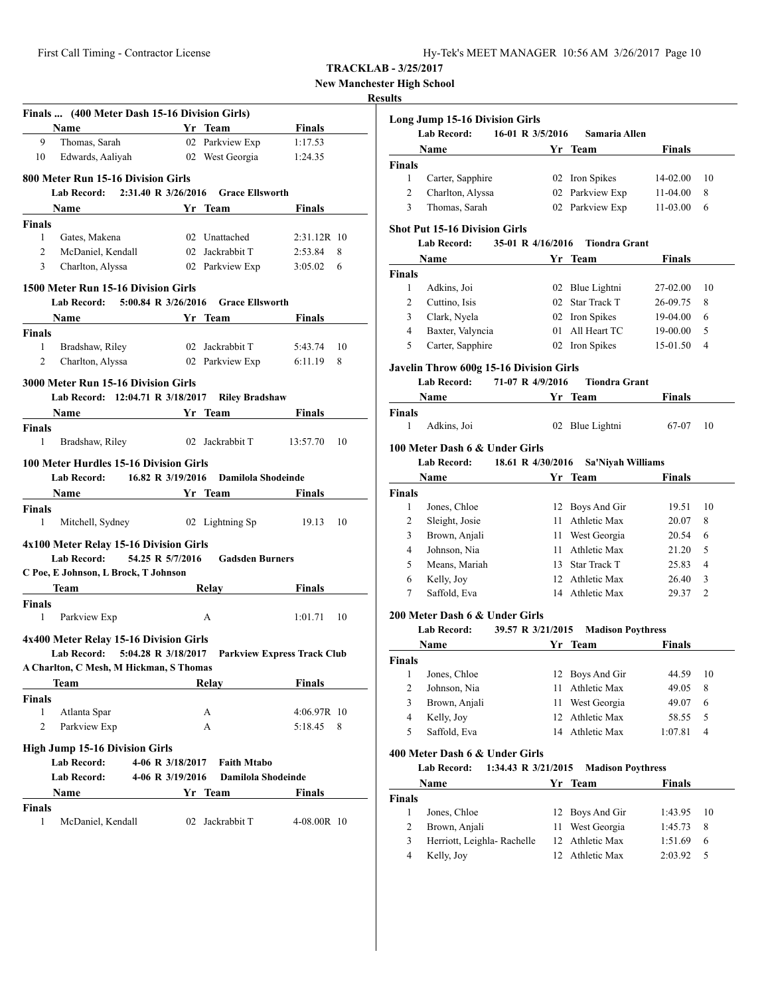**New Manchester High School**

#### **Results**

|                | Finals  (400 Meter Dash 15-16 Division Girls)                                                                                                                                                                                       |                                                                                                                      |                                                                                                                                                                                                                                      |                                    |    |
|----------------|-------------------------------------------------------------------------------------------------------------------------------------------------------------------------------------------------------------------------------------|----------------------------------------------------------------------------------------------------------------------|--------------------------------------------------------------------------------------------------------------------------------------------------------------------------------------------------------------------------------------|------------------------------------|----|
|                | Name                                                                                                                                                                                                                                |                                                                                                                      | <b>Example 18 Service Street Service Street Service Street Service Street Street Service Street Street Street Street Street Street Street Street Street Street Street Street Street Street Street Street Street Street Street St</b> | <b>Finals</b>                      |    |
| 9              | Thomas, Sarah                                                                                                                                                                                                                       |                                                                                                                      | 02 Parkview Exp                                                                                                                                                                                                                      | 1:17.53                            |    |
| 10             | Edwards, Aaliyah                                                                                                                                                                                                                    |                                                                                                                      | 02 West Georgia                                                                                                                                                                                                                      | 1:24.35                            |    |
|                | 800 Meter Run 15-16 Division Girls                                                                                                                                                                                                  |                                                                                                                      |                                                                                                                                                                                                                                      |                                    |    |
|                | Lab Record: 2:31.40 R 3/26/2016 Grace Ellsworth                                                                                                                                                                                     |                                                                                                                      |                                                                                                                                                                                                                                      |                                    |    |
|                | Name                                                                                                                                                                                                                                | <b>Example 18 Service Startupe 18 Service Startupe 18 Service Startupe 18 Service Startupe 18 Service Startupe 1</b> |                                                                                                                                                                                                                                      | Finals                             |    |
| Finals         |                                                                                                                                                                                                                                     |                                                                                                                      |                                                                                                                                                                                                                                      |                                    |    |
| 1              | Gates, Makena                                                                                                                                                                                                                       |                                                                                                                      | 02 Unattached                                                                                                                                                                                                                        | 2:31.12R 10                        |    |
| 2              | McDaniel, Kendall                                                                                                                                                                                                                   |                                                                                                                      | 02 Jackrabbit T                                                                                                                                                                                                                      | 2:53.84                            | 8  |
| 3              | Charlton, Alyssa                                                                                                                                                                                                                    |                                                                                                                      | 02 Parkview Exp                                                                                                                                                                                                                      | 3:05.02                            | 6  |
|                | 1500 Meter Run 15-16 Division Girls                                                                                                                                                                                                 |                                                                                                                      |                                                                                                                                                                                                                                      |                                    |    |
|                | Lab Record: 5:00.84 R 3/26/2016                                                                                                                                                                                                     |                                                                                                                      | <b>Grace Ellsworth</b>                                                                                                                                                                                                               |                                    |    |
|                | Name                                                                                                                                                                                                                                |                                                                                                                      | Yr Team                                                                                                                                                                                                                              | <b>Finals</b>                      |    |
| <b>Finals</b>  |                                                                                                                                                                                                                                     |                                                                                                                      |                                                                                                                                                                                                                                      |                                    |    |
| $\mathbf{1}$   | Bradshaw, Riley                                                                                                                                                                                                                     |                                                                                                                      | 02 Jackrabbit T                                                                                                                                                                                                                      | 5:43.74                            | 10 |
| $\overline{2}$ | Charlton, Alyssa 02 Parkview Exp 6:11.19                                                                                                                                                                                            |                                                                                                                      |                                                                                                                                                                                                                                      |                                    | 8  |
|                |                                                                                                                                                                                                                                     |                                                                                                                      |                                                                                                                                                                                                                                      |                                    |    |
|                | 3000 Meter Run 15-16 Division Girls                                                                                                                                                                                                 |                                                                                                                      |                                                                                                                                                                                                                                      |                                    |    |
|                | Lab Record: 12:04.71 R 3/18/2017 Riley Bradshaw                                                                                                                                                                                     |                                                                                                                      |                                                                                                                                                                                                                                      |                                    |    |
|                | Name Yr Team                                                                                                                                                                                                                        |                                                                                                                      |                                                                                                                                                                                                                                      | <b>Finals</b>                      |    |
| Finals         |                                                                                                                                                                                                                                     |                                                                                                                      |                                                                                                                                                                                                                                      |                                    |    |
| 1              | Bradshaw, Riley 02 Jackrabbit T 13:57.70                                                                                                                                                                                            |                                                                                                                      |                                                                                                                                                                                                                                      |                                    | 10 |
|                |                                                                                                                                                                                                                                     |                                                                                                                      |                                                                                                                                                                                                                                      |                                    |    |
|                | 100 Meter Hurdles 15-16 Division Girls                                                                                                                                                                                              |                                                                                                                      |                                                                                                                                                                                                                                      |                                    |    |
|                | Lab Record: 16.82 R 3/19/2016                                                                                                                                                                                                       |                                                                                                                      | Damilola Shodeinde                                                                                                                                                                                                                   |                                    |    |
|                | <b>Name</b>                                                                                                                                                                                                                         | <b>Example 18 Yr</b> Team                                                                                            |                                                                                                                                                                                                                                      | Finals                             |    |
| Finals         |                                                                                                                                                                                                                                     |                                                                                                                      |                                                                                                                                                                                                                                      |                                    |    |
| 1              | Mitchell, Sydney 02 Lightning Sp                                                                                                                                                                                                    |                                                                                                                      |                                                                                                                                                                                                                                      | 19.13                              | 10 |
|                | 4x100 Meter Relay 15-16 Division Girls                                                                                                                                                                                              |                                                                                                                      |                                                                                                                                                                                                                                      |                                    |    |
|                | <b>Lab Record:</b>                                                                                                                                                                                                                  | 54.25 R 5/7/2016                                                                                                     | <b>Gadsden Burners</b>                                                                                                                                                                                                               |                                    |    |
|                |                                                                                                                                                                                                                                     |                                                                                                                      |                                                                                                                                                                                                                                      |                                    |    |
|                | C Poe, E Johnson, L Brock, T Johnson                                                                                                                                                                                                |                                                                                                                      |                                                                                                                                                                                                                                      |                                    |    |
|                | <b>Team</b> and the same of the same of the same of the same of the same of the same of the same of the same of the same of the same of the same of the same of the same of the same of the same of the same of the same of the sam |                                                                                                                      | Relay Finals                                                                                                                                                                                                                         |                                    |    |
| <b>Finals</b>  |                                                                                                                                                                                                                                     |                                                                                                                      |                                                                                                                                                                                                                                      |                                    |    |
| 1              | Parkview Exp                                                                                                                                                                                                                        |                                                                                                                      | A                                                                                                                                                                                                                                    | 1:01.71                            | 10 |
|                | 4x400 Meter Relay 15-16 Division Girls                                                                                                                                                                                              |                                                                                                                      |                                                                                                                                                                                                                                      |                                    |    |
|                | <b>Lab Record:</b>                                                                                                                                                                                                                  |                                                                                                                      |                                                                                                                                                                                                                                      |                                    |    |
|                |                                                                                                                                                                                                                                     | 5:04.28 R 3/18/2017                                                                                                  |                                                                                                                                                                                                                                      | <b>Parkview Express Track Club</b> |    |
|                | A Charlton, C Mesh, M Hickman, S Thomas                                                                                                                                                                                             |                                                                                                                      |                                                                                                                                                                                                                                      |                                    |    |
|                | Team                                                                                                                                                                                                                                |                                                                                                                      | Relay                                                                                                                                                                                                                                | <b>Finals</b>                      |    |
| Finals         |                                                                                                                                                                                                                                     |                                                                                                                      |                                                                                                                                                                                                                                      |                                    |    |
| 1              | Atlanta Spar                                                                                                                                                                                                                        |                                                                                                                      | А                                                                                                                                                                                                                                    | 4:06.97R 10                        |    |
| $\overline{2}$ | Parkview Exp                                                                                                                                                                                                                        |                                                                                                                      | А                                                                                                                                                                                                                                    | 5:18.45                            | 8  |
|                | <b>High Jump 15-16 Division Girls</b>                                                                                                                                                                                               |                                                                                                                      |                                                                                                                                                                                                                                      |                                    |    |
|                | <b>Lab Record:</b>                                                                                                                                                                                                                  | 4-06 R 3/18/2017                                                                                                     | <b>Faith Mtabo</b>                                                                                                                                                                                                                   |                                    |    |
|                | Lab Record:                                                                                                                                                                                                                         | 4-06 R 3/19/2016                                                                                                     | Damilola Shodeinde                                                                                                                                                                                                                   |                                    |    |
|                |                                                                                                                                                                                                                                     |                                                                                                                      |                                                                                                                                                                                                                                      |                                    |    |
|                | Name                                                                                                                                                                                                                                |                                                                                                                      | Yr Team                                                                                                                                                                                                                              | Finals                             |    |
| Finals         |                                                                                                                                                                                                                                     |                                                                                                                      |                                                                                                                                                                                                                                      |                                    |    |
| 1              | McDaniel, Kendall                                                                                                                                                                                                                   |                                                                                                                      | 02 Jackrabbit T                                                                                                                                                                                                                      | 4-08.00R 10                        |    |

|                | <b>Long Jump 15-16 Division Girls</b><br><b>Lab Record:</b><br>16-01 R 3/5/2016 |    | Samaria Allen            |               |    |
|----------------|---------------------------------------------------------------------------------|----|--------------------------|---------------|----|
|                | Name                                                                            |    | Yr Team                  | <b>Finals</b> |    |
| Finals         |                                                                                 |    |                          |               |    |
| 1              | Carter, Sapphire                                                                |    | 02 Iron Spikes           | 14-02.00      | 10 |
| $\overline{c}$ | Charlton, Alyssa                                                                |    | 02 Parkview Exp          | 11-04.00      | 8  |
| 3              | Thomas, Sarah                                                                   |    | 02 Parkview Exp          | 11-03.00      | 6  |
|                | <b>Shot Put 15-16 Division Girls</b>                                            |    |                          |               |    |
|                | 35-01 R 4/16/2016<br><b>Lab Record:</b>                                         |    | <b>Tiondra Grant</b>     |               |    |
|                | Name                                                                            |    | Yr Team                  | Finals        |    |
| Finals         |                                                                                 |    |                          |               |    |
| 1              | Adkins, Joi                                                                     |    | 02 Blue Lightni          | 27-02.00      | 10 |
| $\overline{c}$ | Cuttino, Isis                                                                   |    | 02 Star Track T          | 26-09.75      | 8  |
| 3              | Clark, Nyela                                                                    |    | 02 Iron Spikes           | 19-04.00      | 6  |
| 4              | Baxter, Valyncia                                                                |    | 01 All Heart TC          | 19-00.00      | 5  |
| 5              | Carter, Sapphire                                                                |    | 02 Iron Spikes           | 15-01.50      | 4  |
|                | Javelin Throw 600g 15-16 Division Girls                                         |    |                          |               |    |
|                | <b>Lab Record:</b><br>71-07 R 4/9/2016                                          |    | <b>Tiondra Grant</b>     |               |    |
|                | Name                                                                            |    | Yr Team                  | Finals        |    |
| <b>Finals</b>  |                                                                                 |    |                          |               |    |
| 1              | Adkins, Joi                                                                     |    | 02 Blue Lightni          | 67-07         | 10 |
|                | 100 Meter Dash 6 & Under Girls                                                  |    |                          |               |    |
|                | <b>Lab Record:</b><br>18.61 R 4/30/2016                                         |    | <b>Sa'Niyah Williams</b> |               |    |
|                | Name                                                                            |    | Yr Team                  | Finals        |    |
| <b>Finals</b>  |                                                                                 |    |                          |               |    |
| 1              | Jones, Chloe                                                                    |    | 12 Boys And Gir          | 19.51         | 10 |
| $\overline{c}$ | Sleight, Josie                                                                  |    | 11 Athletic Max          | 20.07         | 8  |
| 3              | Brown, Anjali                                                                   |    | 11 West Georgia          | 20.54         | 6  |
| 4              | Johnson, Nia                                                                    |    | 11 Athletic Max          | 21.20         | 5  |
| 5              | Means, Mariah                                                                   |    | 13 Star Track T          | 25.83         | 4  |
| 6              | Kelly, Joy                                                                      |    | 12 Athletic Max          | 26.40         | 3  |
| 7              | Saffold, Eva                                                                    |    | 14 Athletic Max          | 29.37         | 2  |
|                | 200 Meter Dash 6 & Under Girls                                                  |    |                          |               |    |
|                | <b>Lab Record:</b><br>39.57 R 3/21/2015                                         |    | <b>Madison Poythress</b> |               |    |
|                | Name                                                                            |    | Yr Team                  | Finals        |    |
| Finals         |                                                                                 |    |                          |               |    |
| T              | Jones, Chloe                                                                    |    | 12 Boys And Gir          | 44.59         | 10 |
| $\mathbf{2}$   | Johnson, Nia                                                                    | 11 | Athletic Max             | 49.05         | 8  |
| 3              | Brown, Anjali                                                                   | 11 | West Georgia             | 49.07         | 6  |
| 4              | Kelly, Joy                                                                      | 12 | Athletic Max             | 58.55         | 5  |
| 5              | Saffold, Eva                                                                    |    | 14 Athletic Max          | 1:07.81       | 4  |
|                | 400 Meter Dash 6 & Under Girls                                                  |    |                          |               |    |
|                | <b>Lab Record:</b><br>1:34.43 R 3/21/2015                                       |    | <b>Madison Poythress</b> |               |    |
|                | Name                                                                            |    | Yr Team                  | <b>Finals</b> |    |
| <b>Finals</b>  |                                                                                 |    |                          |               |    |
| $\mathbf{1}$   | Jones, Chloe                                                                    | 12 | Boys And Gir             | 1:43.95       | 10 |
| 2              | Brown, Anjali                                                                   | 11 | West Georgia             | 1:45.73       | 8  |
| 3              | Herriott, Leighla- Rachelle                                                     | 12 | Athletic Max             | 1:51.69       | 6  |
| $\overline{4}$ | Kelly, Joy                                                                      | 12 | Athletic Max             | 2:03.92       | 5  |
|                |                                                                                 |    |                          |               |    |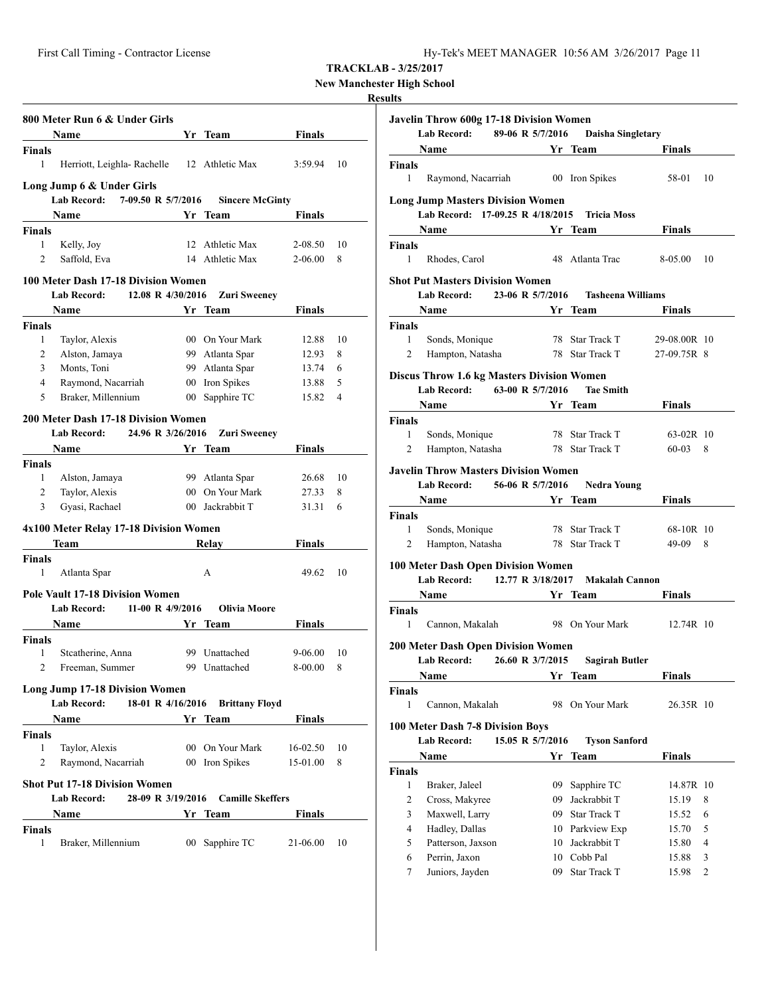First Call Timing - Contractor License Hy-Tek's MEET MANAGER 10:56 AM 3/26/2017 Page 11

**TRACKLAB - 3/25/2017**

**New Manchester High School**

#### **Results**

| 800 Meter Run 6 & Under Girls<br><b>Name</b><br>Herriott, Leighla-Rachelle 12 Athletic Max<br>Long Jump 6 & Under Girls<br>7-09.50 R 5/7/2016<br><b>Lab Record:</b><br>Name<br>Kelly, Joy |                                                                                                                                                                                                                                                                                                                                                         | Yr Team<br><b>Sincere McGinty</b><br>Yr Team                                    | <b>Finals</b><br>3:59.94<br>Finals                                                                                                                                                                                                                                                                                                                                                                                                 | 10                                                                                                                                                                                    |
|-------------------------------------------------------------------------------------------------------------------------------------------------------------------------------------------|---------------------------------------------------------------------------------------------------------------------------------------------------------------------------------------------------------------------------------------------------------------------------------------------------------------------------------------------------------|---------------------------------------------------------------------------------|------------------------------------------------------------------------------------------------------------------------------------------------------------------------------------------------------------------------------------------------------------------------------------------------------------------------------------------------------------------------------------------------------------------------------------|---------------------------------------------------------------------------------------------------------------------------------------------------------------------------------------|
|                                                                                                                                                                                           |                                                                                                                                                                                                                                                                                                                                                         |                                                                                 |                                                                                                                                                                                                                                                                                                                                                                                                                                    |                                                                                                                                                                                       |
|                                                                                                                                                                                           |                                                                                                                                                                                                                                                                                                                                                         |                                                                                 |                                                                                                                                                                                                                                                                                                                                                                                                                                    |                                                                                                                                                                                       |
|                                                                                                                                                                                           |                                                                                                                                                                                                                                                                                                                                                         |                                                                                 |                                                                                                                                                                                                                                                                                                                                                                                                                                    |                                                                                                                                                                                       |
|                                                                                                                                                                                           |                                                                                                                                                                                                                                                                                                                                                         |                                                                                 |                                                                                                                                                                                                                                                                                                                                                                                                                                    |                                                                                                                                                                                       |
|                                                                                                                                                                                           |                                                                                                                                                                                                                                                                                                                                                         |                                                                                 |                                                                                                                                                                                                                                                                                                                                                                                                                                    |                                                                                                                                                                                       |
|                                                                                                                                                                                           |                                                                                                                                                                                                                                                                                                                                                         |                                                                                 |                                                                                                                                                                                                                                                                                                                                                                                                                                    |                                                                                                                                                                                       |
|                                                                                                                                                                                           |                                                                                                                                                                                                                                                                                                                                                         |                                                                                 |                                                                                                                                                                                                                                                                                                                                                                                                                                    |                                                                                                                                                                                       |
|                                                                                                                                                                                           |                                                                                                                                                                                                                                                                                                                                                         |                                                                                 |                                                                                                                                                                                                                                                                                                                                                                                                                                    |                                                                                                                                                                                       |
|                                                                                                                                                                                           |                                                                                                                                                                                                                                                                                                                                                         | 12 Athletic Max                                                                 | 2-08.50                                                                                                                                                                                                                                                                                                                                                                                                                            | 10                                                                                                                                                                                    |
| Saffold, Eva                                                                                                                                                                              |                                                                                                                                                                                                                                                                                                                                                         | 14 Athletic Max                                                                 | $2 - 06.00$                                                                                                                                                                                                                                                                                                                                                                                                                        | 8                                                                                                                                                                                     |
|                                                                                                                                                                                           |                                                                                                                                                                                                                                                                                                                                                         |                                                                                 |                                                                                                                                                                                                                                                                                                                                                                                                                                    |                                                                                                                                                                                       |
| 100 Meter Dash 17-18 Division Women                                                                                                                                                       |                                                                                                                                                                                                                                                                                                                                                         |                                                                                 |                                                                                                                                                                                                                                                                                                                                                                                                                                    |                                                                                                                                                                                       |
|                                                                                                                                                                                           |                                                                                                                                                                                                                                                                                                                                                         |                                                                                 |                                                                                                                                                                                                                                                                                                                                                                                                                                    |                                                                                                                                                                                       |
|                                                                                                                                                                                           |                                                                                                                                                                                                                                                                                                                                                         |                                                                                 |                                                                                                                                                                                                                                                                                                                                                                                                                                    |                                                                                                                                                                                       |
|                                                                                                                                                                                           |                                                                                                                                                                                                                                                                                                                                                         |                                                                                 |                                                                                                                                                                                                                                                                                                                                                                                                                                    |                                                                                                                                                                                       |
|                                                                                                                                                                                           |                                                                                                                                                                                                                                                                                                                                                         |                                                                                 |                                                                                                                                                                                                                                                                                                                                                                                                                                    | 10                                                                                                                                                                                    |
|                                                                                                                                                                                           |                                                                                                                                                                                                                                                                                                                                                         |                                                                                 |                                                                                                                                                                                                                                                                                                                                                                                                                                    | 8                                                                                                                                                                                     |
|                                                                                                                                                                                           |                                                                                                                                                                                                                                                                                                                                                         |                                                                                 |                                                                                                                                                                                                                                                                                                                                                                                                                                    | 6                                                                                                                                                                                     |
|                                                                                                                                                                                           |                                                                                                                                                                                                                                                                                                                                                         |                                                                                 |                                                                                                                                                                                                                                                                                                                                                                                                                                    | 5                                                                                                                                                                                     |
|                                                                                                                                                                                           |                                                                                                                                                                                                                                                                                                                                                         |                                                                                 |                                                                                                                                                                                                                                                                                                                                                                                                                                    | 4                                                                                                                                                                                     |
|                                                                                                                                                                                           |                                                                                                                                                                                                                                                                                                                                                         |                                                                                 |                                                                                                                                                                                                                                                                                                                                                                                                                                    |                                                                                                                                                                                       |
|                                                                                                                                                                                           |                                                                                                                                                                                                                                                                                                                                                         |                                                                                 |                                                                                                                                                                                                                                                                                                                                                                                                                                    |                                                                                                                                                                                       |
|                                                                                                                                                                                           |                                                                                                                                                                                                                                                                                                                                                         |                                                                                 | Finals                                                                                                                                                                                                                                                                                                                                                                                                                             |                                                                                                                                                                                       |
|                                                                                                                                                                                           |                                                                                                                                                                                                                                                                                                                                                         |                                                                                 |                                                                                                                                                                                                                                                                                                                                                                                                                                    |                                                                                                                                                                                       |
|                                                                                                                                                                                           |                                                                                                                                                                                                                                                                                                                                                         |                                                                                 | 26.68                                                                                                                                                                                                                                                                                                                                                                                                                              | 10                                                                                                                                                                                    |
|                                                                                                                                                                                           |                                                                                                                                                                                                                                                                                                                                                         |                                                                                 | 27.33                                                                                                                                                                                                                                                                                                                                                                                                                              | 8                                                                                                                                                                                     |
|                                                                                                                                                                                           |                                                                                                                                                                                                                                                                                                                                                         | Jackrabbit T                                                                    | 31.31                                                                                                                                                                                                                                                                                                                                                                                                                              | 6                                                                                                                                                                                     |
|                                                                                                                                                                                           |                                                                                                                                                                                                                                                                                                                                                         |                                                                                 |                                                                                                                                                                                                                                                                                                                                                                                                                                    |                                                                                                                                                                                       |
|                                                                                                                                                                                           |                                                                                                                                                                                                                                                                                                                                                         |                                                                                 |                                                                                                                                                                                                                                                                                                                                                                                                                                    |                                                                                                                                                                                       |
|                                                                                                                                                                                           |                                                                                                                                                                                                                                                                                                                                                         |                                                                                 |                                                                                                                                                                                                                                                                                                                                                                                                                                    |                                                                                                                                                                                       |
|                                                                                                                                                                                           |                                                                                                                                                                                                                                                                                                                                                         |                                                                                 |                                                                                                                                                                                                                                                                                                                                                                                                                                    |                                                                                                                                                                                       |
|                                                                                                                                                                                           |                                                                                                                                                                                                                                                                                                                                                         |                                                                                 |                                                                                                                                                                                                                                                                                                                                                                                                                                    | 10                                                                                                                                                                                    |
|                                                                                                                                                                                           |                                                                                                                                                                                                                                                                                                                                                         |                                                                                 |                                                                                                                                                                                                                                                                                                                                                                                                                                    |                                                                                                                                                                                       |
|                                                                                                                                                                                           |                                                                                                                                                                                                                                                                                                                                                         |                                                                                 |                                                                                                                                                                                                                                                                                                                                                                                                                                    |                                                                                                                                                                                       |
|                                                                                                                                                                                           |                                                                                                                                                                                                                                                                                                                                                         | Team                                                                            | Finals                                                                                                                                                                                                                                                                                                                                                                                                                             |                                                                                                                                                                                       |
|                                                                                                                                                                                           |                                                                                                                                                                                                                                                                                                                                                         |                                                                                 |                                                                                                                                                                                                                                                                                                                                                                                                                                    |                                                                                                                                                                                       |
|                                                                                                                                                                                           |                                                                                                                                                                                                                                                                                                                                                         |                                                                                 | 9-06.00                                                                                                                                                                                                                                                                                                                                                                                                                            | 10                                                                                                                                                                                    |
|                                                                                                                                                                                           |                                                                                                                                                                                                                                                                                                                                                         |                                                                                 | 8-00.00                                                                                                                                                                                                                                                                                                                                                                                                                            | 8                                                                                                                                                                                     |
|                                                                                                                                                                                           |                                                                                                                                                                                                                                                                                                                                                         |                                                                                 |                                                                                                                                                                                                                                                                                                                                                                                                                                    |                                                                                                                                                                                       |
|                                                                                                                                                                                           |                                                                                                                                                                                                                                                                                                                                                         |                                                                                 |                                                                                                                                                                                                                                                                                                                                                                                                                                    |                                                                                                                                                                                       |
|                                                                                                                                                                                           |                                                                                                                                                                                                                                                                                                                                                         |                                                                                 |                                                                                                                                                                                                                                                                                                                                                                                                                                    |                                                                                                                                                                                       |
|                                                                                                                                                                                           |                                                                                                                                                                                                                                                                                                                                                         |                                                                                 |                                                                                                                                                                                                                                                                                                                                                                                                                                    |                                                                                                                                                                                       |
|                                                                                                                                                                                           |                                                                                                                                                                                                                                                                                                                                                         |                                                                                 |                                                                                                                                                                                                                                                                                                                                                                                                                                    |                                                                                                                                                                                       |
|                                                                                                                                                                                           |                                                                                                                                                                                                                                                                                                                                                         | 00 On Your Mark                                                                 | 16-02.50                                                                                                                                                                                                                                                                                                                                                                                                                           | 10                                                                                                                                                                                    |
| Taylor, Alexis                                                                                                                                                                            |                                                                                                                                                                                                                                                                                                                                                         |                                                                                 |                                                                                                                                                                                                                                                                                                                                                                                                                                    | 8                                                                                                                                                                                     |
| Raymond, Nacarriah                                                                                                                                                                        |                                                                                                                                                                                                                                                                                                                                                         | 00 Iron Spikes                                                                  | 15-01.00                                                                                                                                                                                                                                                                                                                                                                                                                           |                                                                                                                                                                                       |
| <b>Shot Put 17-18 Division Women</b>                                                                                                                                                      |                                                                                                                                                                                                                                                                                                                                                         |                                                                                 |                                                                                                                                                                                                                                                                                                                                                                                                                                    |                                                                                                                                                                                       |
| <b>Lab Record:</b><br>28-09 R 3/19/2016                                                                                                                                                   |                                                                                                                                                                                                                                                                                                                                                         | <b>Camille Skeffers</b>                                                         |                                                                                                                                                                                                                                                                                                                                                                                                                                    |                                                                                                                                                                                       |
| Name                                                                                                                                                                                      |                                                                                                                                                                                                                                                                                                                                                         |                                                                                 | Finals                                                                                                                                                                                                                                                                                                                                                                                                                             |                                                                                                                                                                                       |
|                                                                                                                                                                                           |                                                                                                                                                                                                                                                                                                                                                         | Yr Team                                                                         |                                                                                                                                                                                                                                                                                                                                                                                                                                    |                                                                                                                                                                                       |
| Braker, Millennium                                                                                                                                                                        |                                                                                                                                                                                                                                                                                                                                                         | 00 Sapphire TC                                                                  | 21-06.00                                                                                                                                                                                                                                                                                                                                                                                                                           | 10                                                                                                                                                                                    |
|                                                                                                                                                                                           | <b>Lab Record:</b><br><b>Name</b><br>Taylor, Alexis<br>Alston, Jamaya<br>Monts. Toni<br>Raymond, Nacarriah<br>Braker, Millennium<br><b>Lab Record:</b><br><b>Name</b><br>Alston, Jamaya<br>Taylor, Alexis<br>Gyasi, Rachael<br>Team<br>Atlanta Spar<br><b>Lab Record:</b><br>Name<br>Steatherine, Anna<br>Freeman, Summer<br>Lab Record:<br><b>Name</b> | <b>Pole Vault 17-18 Division Women</b><br><b>Long Jump 17-18 Division Women</b> | 12.08 R 4/30/2016<br>Yr Team<br>00 On Your Mark<br>99 Atlanta Spar<br>99 Atlanta Spar<br>00 Iron Spikes<br>00 Sapphire TC<br>200 Meter Dash 17-18 Division Women<br>24.96 R 3/26/2016<br><b>Solution Start Team</b><br>99 Atlanta Spar<br>00 On Your Mark<br>00 <sup>1</sup><br>4x100 Meter Relay 17-18 Division Women<br>Relay<br>А<br>11-00 R $4/9/2016$<br>Yr<br>99 Unattached<br>99 Unattached<br>18-01 R 4/16/2016<br>Yr Team | <b>Zuri Sweeney</b><br><b>Finals</b><br>12.88<br>12.93<br>13.74<br>13.88<br>15.82<br><b>Zuri Sweeney</b><br>Finals<br>49.62<br><b>Olivia Moore</b><br><b>Brittany Floyd</b><br>Finals |

| Javelin Throw 600g 17-18 Division Women<br>Lab Record: 89-06 R 5/7/2016<br>Daisha Singletary |                                                                                                                                                                                                                               |                  |    |                       |                                              |                |  |
|----------------------------------------------------------------------------------------------|-------------------------------------------------------------------------------------------------------------------------------------------------------------------------------------------------------------------------------|------------------|----|-----------------------|----------------------------------------------|----------------|--|
|                                                                                              |                                                                                                                                                                                                                               |                  |    |                       |                                              |                |  |
|                                                                                              | Name and the same state of the state of the state of the state of the state of the state of the state of the state of the state of the state of the state of the state of the state of the state of the state of the state of |                  |    | Yr Team               | <b>Finals</b>                                |                |  |
| Finals<br>1                                                                                  | Raymond, Nacarriah 00 Iron Spikes                                                                                                                                                                                             |                  |    |                       | 58-01                                        | 10             |  |
|                                                                                              | <b>Long Jump Masters Division Women</b>                                                                                                                                                                                       |                  |    |                       |                                              |                |  |
|                                                                                              | Lab Record: 17-09.25 R 4/18/2015 Tricia Moss                                                                                                                                                                                  |                  |    |                       |                                              |                |  |
|                                                                                              | Name Yr Team                                                                                                                                                                                                                  |                  |    |                       | Finals                                       |                |  |
| Finals                                                                                       |                                                                                                                                                                                                                               |                  |    |                       |                                              |                |  |
| 1                                                                                            | Rhodes, Carol                                                                                                                                                                                                                 |                  |    | 48 Atlanta Trac       | 8-05.00                                      | 10             |  |
| <b>Shot Put Masters Division Women</b>                                                       |                                                                                                                                                                                                                               |                  |    |                       |                                              |                |  |
| 23-06 R 5/7/2016 Tasheena Williams<br><b>Lab Record:</b>                                     |                                                                                                                                                                                                                               |                  |    |                       |                                              |                |  |
|                                                                                              | Name Yr Team                                                                                                                                                                                                                  |                  |    |                       | <b>Finals</b>                                |                |  |
| Finals                                                                                       |                                                                                                                                                                                                                               |                  |    |                       |                                              |                |  |
| 1                                                                                            | Sonds, Monique                                                                                                                                                                                                                |                  |    | 78 Star Track T       | 29-08.00R 10                                 |                |  |
| 2                                                                                            |                                                                                                                                                                                                                               |                  |    |                       | Hampton, Natasha 78 Star Track T 27-09.75R 8 |                |  |
|                                                                                              | <b>Discus Throw 1.6 kg Masters Division Women</b>                                                                                                                                                                             |                  |    |                       |                                              |                |  |
|                                                                                              | Lab Record: 63-00 R 5/7/2016                                                                                                                                                                                                  |                  |    | <b>Tae Smith</b>      |                                              |                |  |
|                                                                                              | Name                                                                                                                                                                                                                          |                  |    | Yr Team               | <b>Finals</b>                                |                |  |
| Finals                                                                                       |                                                                                                                                                                                                                               |                  |    |                       |                                              |                |  |
| $\mathbf{1}$                                                                                 | Sonds, Monique                                                                                                                                                                                                                |                  |    | 78 Star Track T       | 63-02R 10                                    |                |  |
| $\overline{c}$                                                                               | Hampton, Natasha                                                                                                                                                                                                              |                  |    | 78 Star Track T       | 60-03                                        | 8              |  |
|                                                                                              |                                                                                                                                                                                                                               |                  |    |                       |                                              |                |  |
|                                                                                              | <b>Javelin Throw Masters Division Women</b>                                                                                                                                                                                   |                  |    |                       |                                              |                |  |
|                                                                                              | Lab Record: 56-06 R 5/7/2016                                                                                                                                                                                                  |                  |    | Nedra Young           |                                              |                |  |
|                                                                                              | Name Yr Team                                                                                                                                                                                                                  |                  |    |                       | <b>Finals</b>                                |                |  |
| Finals                                                                                       |                                                                                                                                                                                                                               |                  |    |                       |                                              |                |  |
| 1                                                                                            | Sonds, Monique                                                                                                                                                                                                                |                  |    | 78 Star Track T       | 68-10R 10                                    |                |  |
| 2                                                                                            | Hampton, Natasha                                                                                                                                                                                                              |                  |    | 78 Star Track T       | 49-09                                        | 8              |  |
|                                                                                              | 100 Meter Dash Open Division Women                                                                                                                                                                                            |                  |    |                       |                                              |                |  |
|                                                                                              | Lab Record: 12.77 R 3/18/2017 Makalah Cannon                                                                                                                                                                                  |                  |    |                       |                                              |                |  |
|                                                                                              |                                                                                                                                                                                                                               |                  |    |                       |                                              |                |  |
|                                                                                              | Name Yr Team                                                                                                                                                                                                                  |                  |    |                       | Finals                                       |                |  |
| Finals<br>1                                                                                  | Cannon, Makalah                                                                                                                                                                                                               |                  |    |                       | 98 On Your Mark 12.74R 10                    |                |  |
|                                                                                              |                                                                                                                                                                                                                               |                  |    |                       |                                              |                |  |
|                                                                                              | <b>200 Meter Dash Open Division Women</b>                                                                                                                                                                                     |                  |    |                       |                                              |                |  |
|                                                                                              | Lab Record: 26.60 R 3/7/2015                                                                                                                                                                                                  |                  |    | <b>Sagirah Butler</b> |                                              |                |  |
|                                                                                              | Name                                                                                                                                                                                                                          |                  |    | Yr Team               | <b>Finals</b>                                |                |  |
| Finals                                                                                       |                                                                                                                                                                                                                               |                  |    |                       |                                              |                |  |
| 1                                                                                            | Cannon, Makalah                                                                                                                                                                                                               |                  |    | 98 On Your Mark       | 26.35R 10                                    |                |  |
|                                                                                              |                                                                                                                                                                                                                               |                  |    |                       |                                              |                |  |
|                                                                                              | 100 Meter Dash 7-8 Division Boys<br>Lab Record:                                                                                                                                                                               | 15.05 R 5/7/2016 |    | <b>Tyson Sanford</b>  |                                              |                |  |
|                                                                                              |                                                                                                                                                                                                                               |                  |    | Yr Team               | <b>Finals</b>                                |                |  |
|                                                                                              | Name                                                                                                                                                                                                                          |                  |    |                       |                                              |                |  |
| Finals<br>1                                                                                  | Braker, Jaleel                                                                                                                                                                                                                |                  | 09 | Sapphire TC           | 14.87R 10                                    |                |  |
| 2                                                                                            |                                                                                                                                                                                                                               |                  | 09 | Jackrabbit T          |                                              |                |  |
| 3                                                                                            | Cross, Makyree                                                                                                                                                                                                                |                  |    |                       | 15.19                                        | 8              |  |
|                                                                                              | Maxwell, Larry                                                                                                                                                                                                                |                  |    | 09 Star Track T       | 15.52                                        | 6              |  |
| 4                                                                                            | Hadley, Dallas                                                                                                                                                                                                                |                  |    | 10 Parkview Exp       | 15.70                                        | 5              |  |
| 5                                                                                            | Patterson, Jaxson                                                                                                                                                                                                             |                  |    | 10 Jackrabbit T       | 15.80                                        | 4              |  |
| $\boldsymbol{6}$                                                                             | Perrin, Jaxon                                                                                                                                                                                                                 |                  |    | 10 Cobb Pal           | 15.88                                        | 3              |  |
| 7                                                                                            | Juniors, Jayden                                                                                                                                                                                                               |                  | 09 | Star Track T          | 15.98                                        | $\mathfrak{2}$ |  |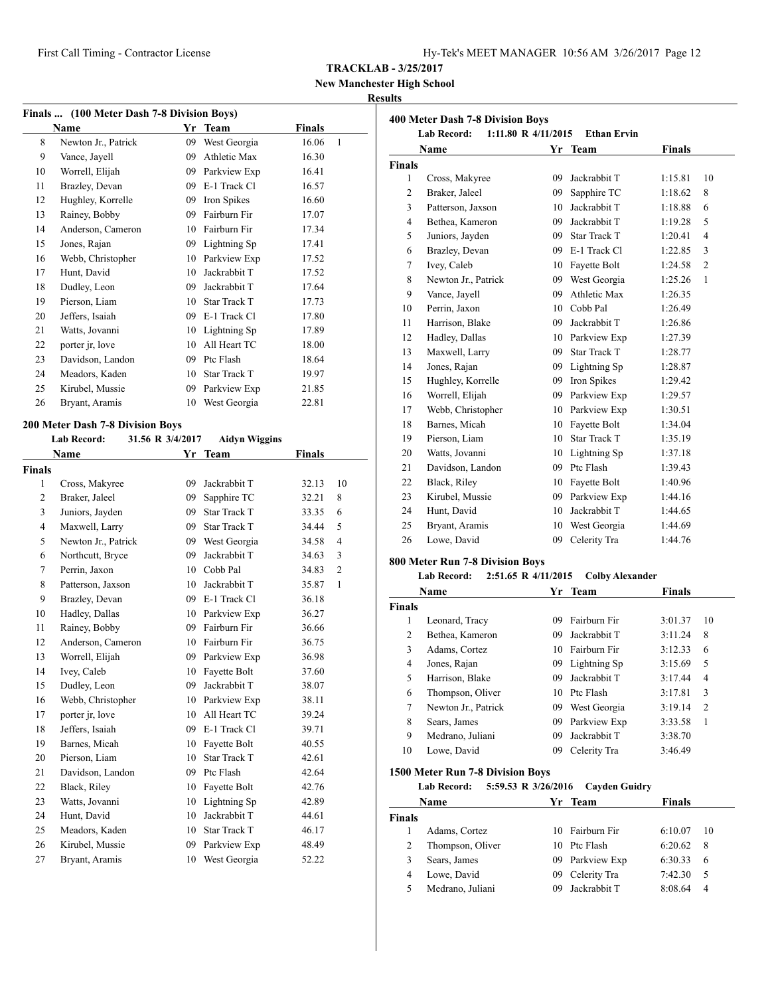**New Manchester High School**

# **Results**

| Finals  (100 Meter Dash 7-8 Division Boys) |                                  |                  |                      |               |                |  |
|--------------------------------------------|----------------------------------|------------------|----------------------|---------------|----------------|--|
|                                            | Name                             |                  | Yr Team              | <b>Finals</b> |                |  |
| 8                                          | Newton Jr., Patrick              | 09               | West Georgia         | 16.06         | 1              |  |
| 9                                          | Vance, Jayell                    | 09               | Athletic Max         | 16.30         |                |  |
| 10                                         | Worrell, Elijah                  |                  | 09 Parkview Exp      | 16.41         |                |  |
| 11                                         | Brazley, Devan                   |                  | 09 E-1 Track Cl      | 16.57         |                |  |
| 12                                         | Hughley, Korrelle                |                  | 09 Iron Spikes       | 16.60         |                |  |
| 13                                         | Rainey, Bobby                    |                  | 09 Fairburn Fir      | 17.07         |                |  |
| 14                                         | Anderson, Cameron                |                  | 10 Fairburn Fir      | 17.34         |                |  |
| 15                                         | Jones, Rajan                     |                  | 09 Lightning Sp      | 17.41         |                |  |
| 16                                         | Webb, Christopher                |                  | 10 Parkview Exp      | 17.52         |                |  |
| 17                                         | Hunt, David                      | 10               | Jackrabbit T         | 17.52         |                |  |
| 18                                         | Dudley, Leon                     | 09               | Jackrabbit T         | 17.64         |                |  |
| 19                                         | Pierson, Liam                    | 10               | Star Track T         | 17.73         |                |  |
| 20                                         | Jeffers, Isaiah                  |                  | 09 E-1 Track Cl      | 17.80         |                |  |
| 21                                         | Watts, Jovanni                   |                  | 10 Lightning Sp      | 17.89         |                |  |
| 22                                         | porter jr, love                  | 10               | All Heart TC         | 18.00         |                |  |
| 23                                         | Davidson, Landon                 |                  | 09 Ptc Flash         | 18.64         |                |  |
| 24                                         | Meadors, Kaden                   | 10               | Star Track T         | 19.97         |                |  |
| 25                                         | Kirubel, Mussie                  | 09               | Parkview Exp         | 21.85         |                |  |
| 26                                         | Bryant, Aramis                   |                  | 10 West Georgia      | 22.81         |                |  |
|                                            |                                  |                  |                      |               |                |  |
|                                            | 200 Meter Dash 7-8 Division Boys |                  |                      |               |                |  |
|                                            | Lab Record:                      | 31.56 R 3/4/2017 | <b>Aidyn Wiggins</b> |               |                |  |
|                                            | Name                             |                  | Yr Team              | <b>Finals</b> |                |  |
| <b>Finals</b>                              |                                  |                  |                      |               |                |  |
| 1                                          | Cross, Makyree                   | 09               | Jackrabbit T         | 32.13         | 10             |  |
| 2                                          | Braker, Jaleel                   | 09               | Sapphire TC          | 32.21         | 8              |  |
| 3                                          | Juniors, Jayden                  | 09               | <b>Star Track T</b>  | 33.35         | 6              |  |
| 4                                          | Maxwell, Larry                   | 09               | <b>Star Track T</b>  | 34.44         | 5              |  |
| 5                                          | Newton Jr., Patrick              | 09               | West Georgia         | 34.58         | $\overline{4}$ |  |
| 6                                          | Northcutt, Bryce                 | 09               | Jackrabbit T         | 34.63         | 3              |  |
| 7                                          | Perrin, Jaxon                    |                  | 10 Cobb Pal          | 34.83         | $\overline{c}$ |  |
| 8                                          | Patterson, Jaxson                | 10               | Jackrabbit T         | 35.87         | 1              |  |
| 9                                          | Brazley, Devan                   |                  | 09 E-1 Track Cl      | 36.18         |                |  |
| 10                                         | Hadley, Dallas                   |                  | 10 Parkview Exp      | 36.27         |                |  |
| 11                                         | Rainey, Bobby                    |                  | 09 Fairburn Fir      | 36.66         |                |  |
| 12                                         | Anderson, Cameron                |                  | 10 Fairburn Fir      | 36.75         |                |  |
| 13                                         | Worrell, Elijah                  | 09-              | Parkview Exp         | 36.98         |                |  |
| 14                                         | Ivey, Caleb                      |                  | 10 Fayette Bolt      | 37.60         |                |  |
| 15                                         | Dudley, Leon                     | 09.              | Jackrabbit T         | 38.07         |                |  |
| 16                                         | Webb, Christopher                | 10               | Parkview Exp         | 38.11         |                |  |
| 17                                         | porter jr, love                  | 10               | All Heart TC         | 39.24         |                |  |
| 18                                         | Jeffers, Isaiah                  | 09               | E-1 Track Cl         | 39.71         |                |  |
| 19                                         | Barnes, Micah                    | 10               | Fayette Bolt         | 40.55         |                |  |
| 20                                         | Pierson, Liam                    | 10               | <b>Star Track T</b>  | 42.61         |                |  |
| 21                                         | Davidson, Landon                 | 09               | Ptc Flash            | 42.64         |                |  |
| 22                                         | Black, Riley                     | 10               | Fayette Bolt         | 42.76         |                |  |
| 23                                         | Watts, Jovanni                   | 10               | Lightning Sp         | 42.89         |                |  |
| 24                                         | Hunt, David                      | 10               | Jackrabbit T         | 44.61         |                |  |
| 25                                         | Meadors, Kaden                   | 10               | Star Track T         | 46.17         |                |  |
| 26                                         | Kirubel, Mussie                  | 09               | Parkview Exp         | 48.49         |                |  |
| 27                                         | Bryant, Aramis                   | 10               | West Georgia         | 52.22         |                |  |

| <b>400 Meter Dash 7-8 Division Boys</b><br><b>Lab Record:</b><br>1:11.80 R 4/11/2015<br><b>Ethan Ervin</b> |                     |     |                     |               |                |
|------------------------------------------------------------------------------------------------------------|---------------------|-----|---------------------|---------------|----------------|
|                                                                                                            | Name                |     | Yr Team             | <b>Finals</b> |                |
| <b>Finals</b>                                                                                              |                     |     |                     |               |                |
| 1                                                                                                          | Cross, Makyree      | 09  | Jackrabbit T        | 1:15.81       | 10             |
| $\overline{2}$                                                                                             | Braker, Jaleel      | 09  | Sapphire TC         | 1:18.62       | 8              |
| 3                                                                                                          | Patterson, Jaxson   | 10  | Jackrabbit T        | 1:18.88       | 6              |
| $\overline{4}$                                                                                             | Bethea, Kameron     | 09  | Jackrabbit T        | 1:19.28       | 5              |
| 5                                                                                                          | Juniors, Jayden     | 09  | <b>Star Track T</b> | 1:20.41       | $\overline{4}$ |
| 6                                                                                                          | Brazley, Devan      |     | 09 E-1 Track Cl     | 1:22.85       | 3              |
| $\tau$                                                                                                     | Ivey, Caleb         | 10  | Fayette Bolt        | 1:24.58       | $\overline{c}$ |
| 8                                                                                                          | Newton Jr., Patrick |     | 09 West Georgia     | 1:25.26       | $\mathbf{1}$   |
| 9                                                                                                          | Vance, Jayell       | 09  | Athletic Max        | 1:26.35       |                |
| 10                                                                                                         | Perrin, Jaxon       |     | 10 Cobb Pal         | 1:26.49       |                |
| 11                                                                                                         | Harrison, Blake     | 09  | Jackrabbit T        | 1:26.86       |                |
| 12                                                                                                         | Hadley, Dallas      | 10  | Parkview Exp        | 1:27.39       |                |
| 13                                                                                                         | Maxwell, Larry      | 09  | <b>Star Track T</b> | 1:28.77       |                |
| 14                                                                                                         | Jones, Rajan        | 09  | Lightning Sp        | 1:28.87       |                |
| 15                                                                                                         | Hughley, Korrelle   | 09  | Iron Spikes         | 1:29.42       |                |
| 16                                                                                                         | Worrell, Elijah     | 09  | Parkview Exp        | 1:29.57       |                |
| 17                                                                                                         | Webb, Christopher   | 10  | Parkview Exp        | 1:30.51       |                |
| 18                                                                                                         | Barnes, Micah       | 10  | Fayette Bolt        | 1:34.04       |                |
| 19                                                                                                         | Pierson, Liam       | 10  | <b>Star Track T</b> | 1:35.19       |                |
| 20                                                                                                         | Watts, Jovanni      | 10  | Lightning Sp        | 1:37.18       |                |
| 21                                                                                                         | Davidson, Landon    | 09. | Ptc Flash           | 1:39.43       |                |
| 22                                                                                                         | Black, Riley        | 10  | Fayette Bolt        | 1:40.96       |                |
| 23                                                                                                         | Kirubel, Mussie     | 09  | Parkview Exp        | 1:44.16       |                |
| 24                                                                                                         | Hunt, David         | 10  | Jackrabbit T        | 1:44.65       |                |
| 25                                                                                                         | Bryant, Aramis      | 10  | West Georgia        | 1:44.69       |                |
| 26                                                                                                         | Lowe, David         | 09  | Celerity Tra        | 1:44.76       |                |

# **800 Meter Run 7-8 Division Boys**

| Lab Record: | $2:51.65 \text{ R } 4/11/2015$ Colby Alexander |  |
|-------------|------------------------------------------------|--|
|-------------|------------------------------------------------|--|

| Name          |                     | Yr | Team         | <b>Finals</b> |                |
|---------------|---------------------|----|--------------|---------------|----------------|
| <b>Finals</b> |                     |    |              |               |                |
| 1             | Leonard, Tracy      | 09 | Fairburn Fir | 3:01.37       | 10             |
| 2             | Bethea, Kameron     | 09 | Jackrabbit T | 3:11.24       | 8              |
| 3             | Adams, Cortez       | 10 | Fairburn Fir | 3:12.33       | 6              |
| 4             | Jones, Rajan        | 09 | Lightning Sp | 3:15.69       | 5              |
| 5             | Harrison, Blake     | 09 | Jackrabbit T | 3:17.44       | $\overline{4}$ |
| 6             | Thompson, Oliver    | 10 | Ptc Flash    | 3:17.81       | 3              |
| 7             | Newton Jr., Patrick | 09 | West Georgia | 3:19.14       | $\overline{2}$ |
| 8             | Sears, James        | 09 | Parkview Exp | 3:33.58       | 1              |
| 9             | Medrano, Juliani    | 09 | Jackrabbit T | 3:38.70       |                |
| 10            | Lowe, David         | 09 | Celerity Tra | 3:46.49       |                |

#### **1500 Meter Run 7-8 Division Boys**

**Lab Record: 5:59.53 R 3/26/2016 Cayden Guidry**

| <b>Name</b> |                  |     | Yr Team         | <b>Finals</b> |    |
|-------------|------------------|-----|-----------------|---------------|----|
| Finals      |                  |     |                 |               |    |
|             | Adams, Cortez    |     | 10 Fairburn Fir | 6:10.07       | 10 |
|             | Thompson, Oliver | 10  | Ptc Flash       | 6:20.62       | -8 |
|             | Sears, James     |     | 09 Parkview Exp | 6:30.33       | 6  |
| 4           | Lowe, David      | 09. | Celerity Tra    | 7:42.30       | 5  |
|             | Medrano, Juliani | 09. | Jackrabbit T    | 8.0864        | 4  |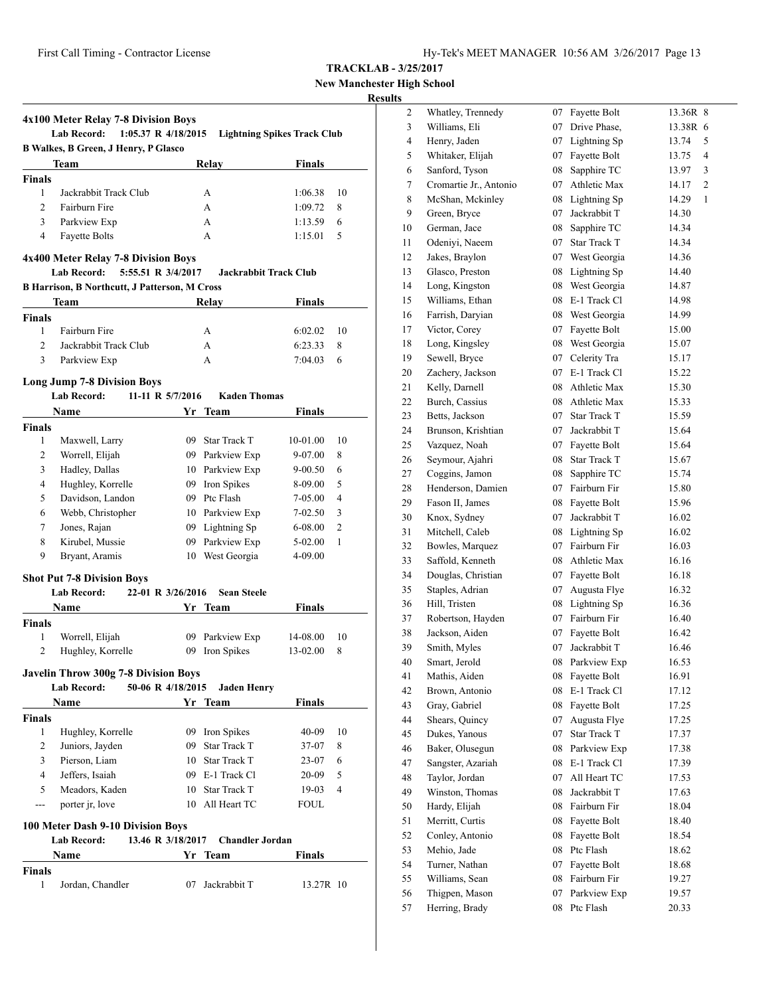|  | Hy-Tek's MEET MANAGER 10:56 AM 3/26/2017 Page 13 |  |  |  |
|--|--------------------------------------------------|--|--|--|
|--|--------------------------------------------------|--|--|--|

**New Manchester High School**

# **Results**

|                                     | 4x100 Meter Relay 7-8 Division Boys<br><b>Lab Record:</b><br>$1:05.37$ R $4/18/2015$   |    |                              | <b>Lightning Spikes Track Club</b> |                |  |  |  |
|-------------------------------------|----------------------------------------------------------------------------------------|----|------------------------------|------------------------------------|----------------|--|--|--|
|                                     | <b>B Walkes, B Green, J Henry, P Glasco</b>                                            |    |                              |                                    |                |  |  |  |
|                                     | Team                                                                                   |    | <b>Relay</b>                 | Finals                             |                |  |  |  |
| <b>Finals</b>                       |                                                                                        |    |                              |                                    |                |  |  |  |
| 1                                   | Jackrabbit Track Club                                                                  |    | A                            | 1:06.38                            | 10             |  |  |  |
| 2                                   | Fairburn Fire                                                                          |    | А                            | 1:09.72                            | 8              |  |  |  |
| 3                                   | Parkview Exp                                                                           |    | А                            | 1:13.59                            | 6              |  |  |  |
| $\overline{4}$                      | <b>Fayette Bolts</b>                                                                   |    | A                            | 1:15.01                            | 5              |  |  |  |
| 4x400 Meter Relay 7-8 Division Boys |                                                                                        |    |                              |                                    |                |  |  |  |
|                                     | <b>Lab Record:</b><br>5:55.51 R 3/4/2017                                               |    | <b>Jackrabbit Track Club</b> |                                    |                |  |  |  |
|                                     | <b>B Harrison, B Northcutt, J Patterson, M Cross</b>                                   |    |                              | <b>Finals</b>                      |                |  |  |  |
| <b>Finals</b>                       | Team                                                                                   |    | Relay                        |                                    |                |  |  |  |
| 1                                   | Fairburn Fire                                                                          |    | А                            | 6:02.02                            | 10             |  |  |  |
| $\overline{c}$                      | Jackrabbit Track Club                                                                  |    | A                            | 6:23.33                            | 8              |  |  |  |
| 3                                   | Parkview Exp                                                                           |    | A                            | 7:04.03                            | 6              |  |  |  |
|                                     |                                                                                        |    |                              |                                    |                |  |  |  |
|                                     | <b>Long Jump 7-8 Division Boys</b>                                                     |    |                              |                                    |                |  |  |  |
|                                     | <b>Lab Record:</b><br>11-11 R $5/7/2016$                                               |    | <b>Kaden Thomas</b>          | <b>Finals</b>                      |                |  |  |  |
| <b>Finals</b>                       | <b>Name</b>                                                                            | Yr | Team                         |                                    |                |  |  |  |
| 1                                   | Maxwell, Larry                                                                         |    | 09 Star Track T              | 10-01.00                           | 10             |  |  |  |
| 2                                   | Worrell, Elijah                                                                        |    | 09 Parkview Exp              | 9-07.00                            | 8              |  |  |  |
| 3                                   | Hadley, Dallas                                                                         |    | 10 Parkview Exp              | $9 - 00.50$                        | 6              |  |  |  |
| 4                                   | Hughley, Korrelle                                                                      |    | 09 Iron Spikes               | 8-09.00                            | 5              |  |  |  |
|                                     |                                                                                        |    |                              |                                    | $\overline{4}$ |  |  |  |
| 5                                   | Davidson, Landon                                                                       |    | 09 Ptc Flash                 | 7-05.00                            |                |  |  |  |
| 6                                   | Webb, Christopher                                                                      |    | 10 Parkview Exp              | 7-02.50                            | 3              |  |  |  |
| 7                                   | Jones, Rajan                                                                           |    | 09 Lightning Sp              | $6 - 08.00$                        | 2              |  |  |  |
| 8                                   | Kirubel, Mussie                                                                        |    | 09 Parkview Exp              | $5-02.00$                          | 1              |  |  |  |
| 9                                   | Bryant, Aramis                                                                         |    | 10 West Georgia              | 4-09.00                            |                |  |  |  |
|                                     | <b>Shot Put 7-8 Division Boys</b>                                                      |    |                              |                                    |                |  |  |  |
|                                     | 22-01 R 3/26/2016<br><b>Lab Record:</b>                                                |    | <b>Sean Steele</b>           |                                    |                |  |  |  |
|                                     | <b>Name</b>                                                                            | Yr | Team                         | <b>Finals</b>                      |                |  |  |  |
| Finals                              |                                                                                        |    |                              |                                    |                |  |  |  |
| 1                                   | Worrell, Elijah                                                                        |    | 09 Parkview Exp              | 14-08.00                           | 10             |  |  |  |
| 2                                   | Hughley, Korrelle                                                                      | 09 | Iron Spikes                  | 13-02.00                           | 8              |  |  |  |
|                                     | <b>Javelin Throw 300g 7-8 Division Boys</b><br><b>Lab Record:</b><br>50-06 R 4/18/2015 |    | <b>Jaden Henry</b>           |                                    |                |  |  |  |
|                                     | Name                                                                                   |    | Yr Team                      | <b>Finals</b>                      |                |  |  |  |
| <b>Finals</b>                       |                                                                                        |    |                              |                                    |                |  |  |  |
|                                     | Hughley, Korrelle                                                                      |    | 09 Iron Spikes               | 40-09                              | 10             |  |  |  |
| 1                                   |                                                                                        |    | 09 Star Track T              | 37-07                              | 8              |  |  |  |
| $\mathbf{2}$                        | Juniors, Jayden                                                                        |    |                              | $23-07$                            | 6              |  |  |  |
| 3                                   | Pierson, Liam                                                                          |    | 10 Star Track T              |                                    |                |  |  |  |
| 4                                   | Jeffers, Isaiah                                                                        |    | 09 E-1 Track Cl              | 20-09                              | 5              |  |  |  |
| 5                                   |                                                                                        |    | 10 Star Track T              |                                    | 4              |  |  |  |
| ---                                 | Meadors, Kaden                                                                         |    | 10 All Heart TC              | 19-03<br>FOUL                      |                |  |  |  |
|                                     | porter jr, love                                                                        |    |                              |                                    |                |  |  |  |
|                                     | 100 Meter Dash 9-10 Division Boys                                                      |    |                              |                                    |                |  |  |  |
|                                     | <b>Lab Record:</b><br>13.46 R 3/18/2017                                                |    | <b>Chandler Jordan</b>       |                                    |                |  |  |  |
| Finals                              | Name                                                                                   |    | Yr Team                      | Finals                             |                |  |  |  |

| $\mathbf{2}$   | Whatley, Trennedy      |    | 07 Fayette Bolt     | 13.36R 8 |              |
|----------------|------------------------|----|---------------------|----------|--------------|
| 3              | Williams, Eli          | 07 | Drive Phase,        | 13.38R 6 |              |
| $\overline{4}$ | Henry, Jaden           |    | 07 Lightning Sp     | 13.74    | 5            |
| 5              | Whitaker, Elijah       | 07 | Fayette Bolt        | 13.75    | 4            |
| 6              | Sanford, Tyson         | 08 | Sapphire TC         | 13.97    | 3            |
| 7              | Cromartie Jr., Antonio | 07 | Athletic Max        | 14.17    | 2            |
| 8              | McShan, Mckinley       | 08 | Lightning Sp        | 14.29    | $\mathbf{1}$ |
| 9              | Green, Bryce           | 07 | Jackrabbit T        | 14.30    |              |
| 10             | German, Jace           | 08 | Sapphire TC         | 14.34    |              |
| 11             | Odeniyi, Naeem         | 07 | <b>Star Track T</b> | 14.34    |              |
| 12             | Jakes, Braylon         |    | 07 West Georgia     | 14.36    |              |
| 13             | Glasco, Preston        |    | 08 Lightning Sp     | 14.40    |              |
| 14             | Long, Kingston         |    | 08 West Georgia     | 14.87    |              |
| 15             | Williams, Ethan        | 08 | E-1 Track Cl        | 14.98    |              |
| 16             | Farrish, Daryian       |    | 08 West Georgia     | 14.99    |              |
| 17             | Victor, Corey          | 07 | Fayette Bolt        | 15.00    |              |
| 18             | Long, Kingsley         | 08 | West Georgia        | 15.07    |              |
| 19             | Sewell, Bryce          | 07 | Celerity Tra        | 15.17    |              |
| 20             | Zachery, Jackson       | 07 | E-1 Track Cl        | 15.22    |              |
| 21             | Kelly, Darnell         | 08 | Athletic Max        | 15.30    |              |
| 22             | Burch, Cassius         | 08 | Athletic Max        | 15.33    |              |
| 23             | Betts, Jackson         | 07 | Star Track T        | 15.59    |              |
| 24             | Brunson, Krishtian     |    | 07 Jackrabbit T     | 15.64    |              |
| 25             | Vazquez, Noah          |    | 07 Fayette Bolt     | 15.64    |              |
| 26             | Seymour, Ajahri        | 08 | <b>Star Track T</b> | 15.67    |              |
| 27             | Coggins, Jamon         | 08 | Sapphire TC         | 15.74    |              |
| 28             | Henderson, Damien      |    | 07 Fairburn Fir     | 15.80    |              |
| 29             | Fason II, James        | 08 | Fayette Bolt        | 15.96    |              |
| 30             | Knox, Sydney           | 07 | Jackrabbit T        | 16.02    |              |
| 31             | Mitchell, Caleb        | 08 | Lightning Sp        | 16.02    |              |
| 32             | Bowles, Marquez        | 07 | Fairburn Fir        | 16.03    |              |
| 33             | Saffold, Kenneth       | 08 | Athletic Max        | 16.16    |              |
| 34             | Douglas, Christian     | 07 | Fayette Bolt        | 16.18    |              |
| 35             | Staples, Adrian        | 07 | Augusta Flye        | 16.32    |              |
| 36             | Hill, Tristen          | 08 | Lightning Sp        | 16.36    |              |
| 37             | Robertson, Hayden      |    | 07 Fairburn Fir     | 16.40    |              |
| 38             | Jackson, Aiden         | 07 | Fayette Bolt        | 16.42    |              |
| 39             | Smith, Myles           | 07 | Jackrabbit T        | 16.46    |              |
| 40             | Smart, Jerold          |    | 08 Parkview Exp     | 16.53    |              |
| 41             | Mathis, Aiden          |    | 08 Fayette Bolt     | 16.91    |              |
| 42             | Brown, Antonio         | 08 | E-1 Track Cl        | 17.12    |              |
| 43             | Gray, Gabriel          | 08 | Fayette Bolt        | 17.25    |              |
| 44             | Shears, Quincy         | 07 | Augusta Flye        | 17.25    |              |
| 45             | Dukes, Yanous          | 07 | Star Track T        | 17.37    |              |
| 46             | Baker, Olusegun        | 08 | Parkview Exp        | 17.38    |              |
| 47             | Sangster, Azariah      | 08 | E-1 Track Cl        | 17.39    |              |
| 48             | Taylor, Jordan         | 07 | All Heart TC        | 17.53    |              |
| 49             | Winston, Thomas        | 08 | Jackrabbit T        | 17.63    |              |
| 50             | Hardy, Elijah          |    | 08 Fairburn Fir     | 18.04    |              |
| 51             | Merritt, Curtis        | 08 | Fayette Bolt        | 18.40    |              |
| 52             | Conley, Antonio        | 08 | Fayette Bolt        | 18.54    |              |
| 53             | Mehio, Jade            | 08 | Ptc Flash           | 18.62    |              |
| 54             | Turner, Nathan         | 07 | Fayette Bolt        | 18.68    |              |
| 55             | Williams, Sean         | 08 | Fairburn Fir        | 19.27    |              |
| 56             | Thigpen, Mason         | 07 | Parkview Exp        | 19.57    |              |
| 57             | Herring, Brady         | 08 | Ptc Flash           | 20.33    |              |
|                |                        |    |                     |          |              |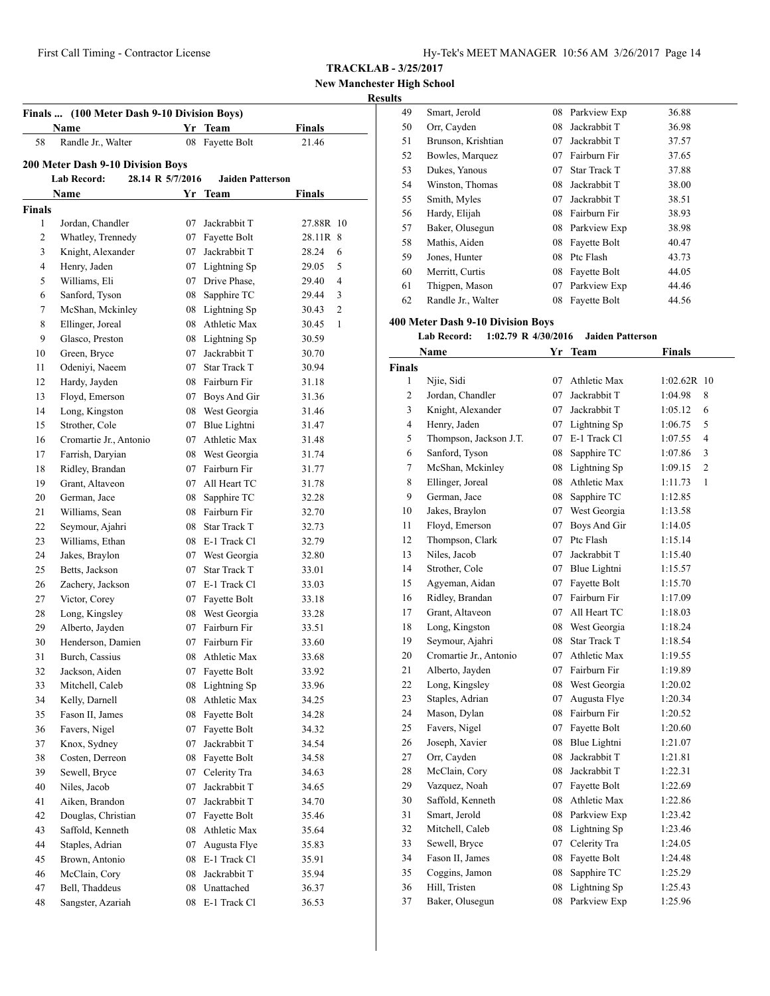**TRACKLAB - 3/25/2017**

**New Manchester High School**

### **Results**

|               | <b>Name</b>                                                          | Yr | <b>Team</b>             | <b>Finals</b>           |
|---------------|----------------------------------------------------------------------|----|-------------------------|-------------------------|
| 58            | Randle Jr., Walter                                                   | 08 | Fayette Bolt            | 21.46                   |
|               |                                                                      |    |                         |                         |
|               | 200 Meter Dash 9-10 Division Boys<br>28.14 R 5/7/2016<br>Lab Record: |    | <b>Jaiden Patterson</b> |                         |
|               | Name                                                                 |    | Yr Team                 | <b>Finals</b>           |
| <b>Finals</b> |                                                                      |    |                         |                         |
| 1             | Jordan, Chandler                                                     | 07 | Jackrabbit T            | 27.88R 10               |
| 2             | Whatley, Trennedy                                                    | 07 | Fayette Bolt            | 28.11R 8                |
| 3             | Knight, Alexander                                                    | 07 | Jackrabbit T            | 28.24<br>6              |
| 4             | Henry, Jaden                                                         | 07 | Lightning Sp            | 29.05<br>5              |
| 5             | Williams, Eli                                                        | 07 | Drive Phase,            | 4<br>29.40              |
| 6             | Sanford, Tyson                                                       | 08 | Sapphire TC             | 3<br>29.44              |
| 7             | McShan, Mckinley                                                     | 08 | Lightning Sp            | $\overline{c}$<br>30.43 |
| 8             | Ellinger, Joreal                                                     | 08 | Athletic Max            | 30.45<br>1              |
| 9             | Glasco, Preston                                                      | 08 | Lightning Sp            | 30.59                   |
| 10            | Green, Bryce                                                         | 07 | Jackrabbit T            | 30.70                   |
| 11            | Odeniyi, Naeem                                                       |    | 07 Star Track T         | 30.94                   |
| 12            | Hardy, Jayden                                                        |    | 08 Fairburn Fir         | 31.18                   |
| 13            | Floyd, Emerson                                                       |    | 07 Boys And Gir         | 31.36                   |
| 14            | Long, Kingston                                                       | 08 | West Georgia            | 31.46                   |
| 15            | Strother, Cole                                                       | 07 | Blue Lightni            | 31.47                   |
| 16            | Cromartie Jr., Antonio                                               |    | 07 Athletic Max         | 31.48                   |
| 17            | Farrish, Daryian                                                     |    | 08 West Georgia         | 31.74                   |
| 18            | Ridley, Brandan                                                      |    | 07 Fairburn Fir         | 31.77                   |
| 19            | Grant, Altaveon                                                      |    | 07 All Heart TC         | 31.78                   |
| 20            | German, Jace                                                         | 08 | Sapphire TC             | 32.28                   |
| 21            | Williams, Sean                                                       |    | 08 Fairburn Fir         | 32.70                   |
| 22            | Seymour, Ajahri                                                      |    | 08 Star Track T         | 32.73                   |
| 23            | Williams, Ethan                                                      |    | 08 E-1 Track Cl         | 32.79                   |
| 24            | Jakes, Braylon                                                       |    | 07 West Georgia         | 32.80                   |
| 25            | Betts, Jackson                                                       | 07 | <b>Star Track T</b>     | 33.01                   |
| 26            | Zachery, Jackson                                                     |    | 07 E-1 Track Cl         | 33.03                   |
| 27            | Victor, Corey                                                        |    | 07 Fayette Bolt         | 33.18                   |
| 28            | Long, Kingsley                                                       | 08 | West Georgia            | 33.28                   |
| 29            | Alberto, Jayden                                                      | 07 | Fairburn Fir            | 33.51                   |
| 30            | Henderson, Damien                                                    | 07 | Fairburn Fir            | 33.60                   |
| 31            | Burch, Cassius                                                       |    | 08 Athletic Max         | 33.68                   |
| 32            | Jackson, Aiden                                                       |    | 07 Fayette Bolt         | 33.92                   |
| 33            | Mitchell, Caleb                                                      | 08 | Lightning Sp            | 33.96                   |
| 34            | Kelly, Darnell                                                       | 08 | Athletic Max            | 34.25                   |
| 35            | Fason II, James                                                      | 08 | Fayette Bolt            | 34.28                   |
| 36            | Favers, Nigel                                                        | 07 | Fayette Bolt            | 34.32                   |
| 37            | Knox, Sydney                                                         | 07 | Jackrabbit T            | 34.54                   |
| 38            | Costen, Derreon                                                      | 08 | Fayette Bolt            | 34.58                   |
| 39            | Sewell, Bryce                                                        | 07 | Celerity Tra            | 34.63                   |
| 40            | Niles, Jacob                                                         | 07 | Jackrabbit T            | 34.65                   |
| 41            | Aiken, Brandon                                                       | 07 | Jackrabbit T            | 34.70                   |
| 42            | Douglas, Christian                                                   | 07 | Fayette Bolt            | 35.46                   |
| 43            | Saffold, Kenneth                                                     | 08 | Athletic Max            | 35.64                   |
| 44            | Staples, Adrian                                                      | 07 | Augusta Flye            | 35.83                   |
| 45            | Brown, Antonio                                                       | 08 | E-1 Track Cl            | 35.91                   |
| 46            | McClain, Cory                                                        | 08 | Jackrabbit T            | 35.94                   |
|               | Bell, Thaddeus                                                       | 08 | Unattached              | 36.37                   |
| 47            |                                                                      |    |                         |                         |

| 49 | Smart, Jerold      | 08 | Parkview Exp        | 36.88 |
|----|--------------------|----|---------------------|-------|
| 50 | Orr, Cayden        | 08 | Jackrabbit T        | 36.98 |
| 51 | Brunson, Krishtian | 07 | Jackrabbit T        | 37.57 |
| 52 | Bowles, Marquez    | 07 | Fairburn Fir        | 37.65 |
| 53 | Dukes, Yanous      | 07 | <b>Star Track T</b> | 37.88 |
| 54 | Winston, Thomas    | 08 | Jackrabbit T        | 38.00 |
| 55 | Smith, Myles       | 07 | Jackrabbit T        | 38.51 |
| 56 | Hardy, Elijah      | 08 | Fairburn Fir        | 38.93 |
| 57 | Baker, Olusegun    | 08 | Parkview Exp        | 38.98 |
| 58 | Mathis, Aiden      | 08 | Fayette Bolt        | 40.47 |
| 59 | Jones, Hunter      | 08 | Ptc Flash           | 43.73 |
| 60 | Merritt, Curtis    | 08 | Fayette Bolt        | 44.05 |
| 61 | Thigpen, Mason     | 07 | Parkview Exp        | 44.46 |
| 62 | Randle Jr., Walter | 08 | Fayette Bolt        | 44.56 |

#### **400 Meter Dash 9-10 Division Boys**

**Lab Record: 1:02.79 R 4/30/2016 Jaiden Patterson**

|                | Name                   |    | Yr Team             | <b>Finals</b>             |
|----------------|------------------------|----|---------------------|---------------------------|
| <b>Finals</b>  |                        |    |                     |                           |
| $\mathbf{1}$   | Njie, Sidi             | 07 | Athletic Max        | 1:02.62R 10               |
| $\overline{c}$ | Jordan, Chandler       | 07 | Jackrabbit T        | 8<br>1:04.98              |
| 3              | Knight, Alexander      | 07 | Jackrabbit T        | 6<br>1:05.12              |
| $\overline{4}$ | Henry, Jaden           | 07 | Lightning Sp        | 5<br>1:06.75              |
| 5              | Thompson, Jackson J.T. | 07 | E-1 Track Cl        | $\overline{4}$<br>1:07.55 |
| 6              | Sanford, Tyson         | 08 | Sapphire TC         | 3<br>1:07.86              |
| 7              | McShan, Mckinley       | 08 | Lightning Sp        | $\overline{2}$<br>1:09.15 |
| 8              | Ellinger, Joreal       | 08 | Athletic Max        | 1<br>1:11.73              |
| 9              | German, Jace           | 08 | Sapphire TC         | 1:12.85                   |
| 10             | Jakes, Braylon         | 07 | West Georgia        | 1:13.58                   |
| 11             | Floyd, Emerson         | 07 | Boys And Gir        | 1:14.05                   |
| 12             | Thompson, Clark        | 07 | Ptc Flash           | 1:15.14                   |
| 13             | Niles, Jacob           | 07 | Jackrabbit T        | 1:15.40                   |
| 14             | Strother, Cole         | 07 | Blue Lightni        | 1:15.57                   |
| 15             | Agyeman, Aidan         | 07 | Fayette Bolt        | 1:15.70                   |
| 16             | Ridley, Brandan        | 07 | Fairburn Fir        | 1:17.09                   |
| 17             | Grant, Altaveon        | 07 | All Heart TC        | 1:18.03                   |
| 18             | Long, Kingston         | 08 | West Georgia        | 1:18.24                   |
| 19             | Seymour, Ajahri        | 08 | <b>Star Track T</b> | 1:18.54                   |
| 20             | Cromartie Jr., Antonio | 07 | Athletic Max        | 1:19.55                   |
| 21             | Alberto, Jayden        | 07 | Fairburn Fir        | 1:19.89                   |
| 22             | Long, Kingsley         | 08 | West Georgia        | 1:20.02                   |
| 23             | Staples, Adrian        | 07 | Augusta Flye        | 1:20.34                   |
| 24             | Mason, Dylan           | 08 | Fairburn Fir        | 1:20.52                   |
| 25             | Favers, Nigel          | 07 | Fayette Bolt        | 1:20.60                   |
| 26             | Joseph, Xavier         | 08 | Blue Lightni        | 1:21.07                   |
| 27             | Orr, Cayden            | 08 | Jackrabbit T        | 1:21.81                   |
| 28             | McClain, Cory          | 08 | Jackrabbit T        | 1:22.31                   |
| 29             | Vazquez, Noah          | 07 | Fayette Bolt        | 1:22.69                   |
| 30             | Saffold, Kenneth       | 08 | Athletic Max        | 1:22.86                   |
| 31             | Smart, Jerold          | 08 | Parkview Exp        | 1:23.42                   |
| 32             | Mitchell, Caleb        | 08 | Lightning Sp        | 1:23.46                   |
| 33             | Sewell, Bryce          | 07 | Celerity Tra        | 1:24.05                   |
| 34             | Fason II, James        | 08 | Fayette Bolt        | 1:24.48                   |
| 35             | Coggins, Jamon         | 08 | Sapphire TC         | 1:25.29                   |
| 36             | Hill, Tristen          | 08 | Lightning Sp        | 1:25.43                   |
| 37             | Baker, Olusegun        | 08 | Parkview Exp        | 1:25.96                   |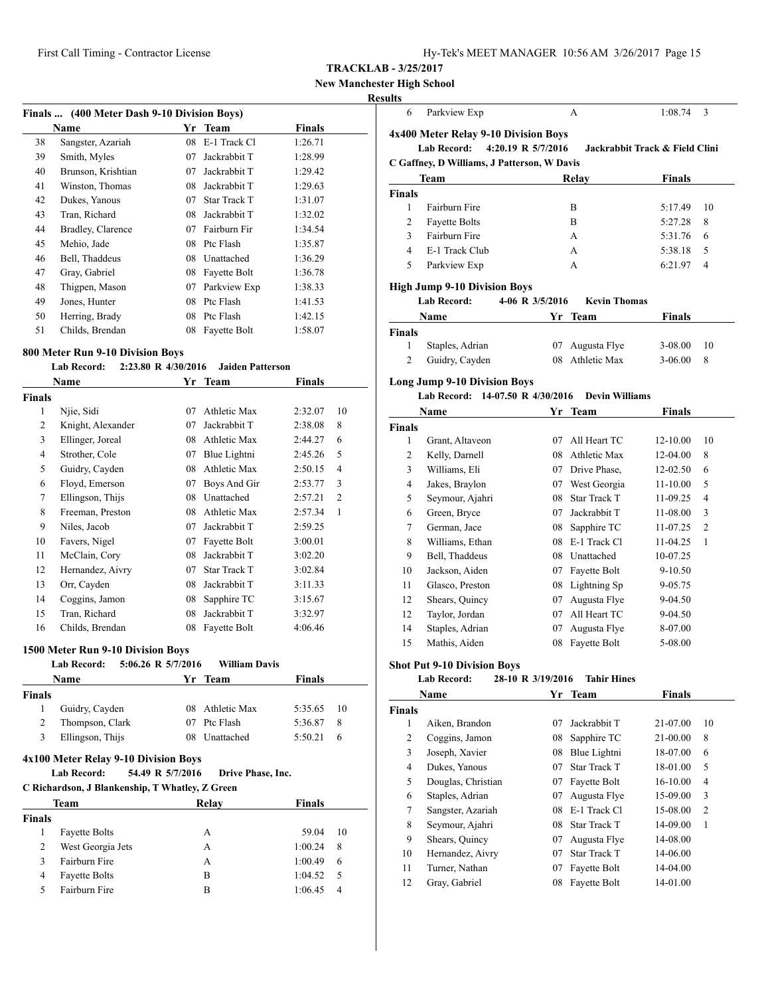# **New Manchester High School**

#### <u>Res</u>

|    | Finals  (400 Meter Dash 9-10 Division Boys) |    |                     |               |  |
|----|---------------------------------------------|----|---------------------|---------------|--|
|    | Name                                        | Yr | Team                | <b>Finals</b> |  |
| 38 | Sangster, Azariah                           | 08 | E-1 Track Cl        | 1:26.71       |  |
| 39 | Smith, Myles                                | 07 | Jackrabbit T        | 1:28.99       |  |
| 40 | Brunson, Krishtian                          | 07 | Jackrabbit T        | 1:29.42       |  |
| 41 | Winston, Thomas                             | 08 | Jackrabbit T        | 1:29.63       |  |
| 42 | Dukes, Yanous                               | 07 | <b>Star Track T</b> | 1:31.07       |  |
| 43 | Tran, Richard                               | 08 | Jackrabbit T        | 1:32.02       |  |
| 44 | Bradley, Clarence                           | 07 | Fairburn Fir        | 1:34.54       |  |
| 45 | Mehio, Jade                                 | 08 | Ptc Flash           | 1:35.87       |  |
| 46 | Bell, Thaddeus                              | 08 | Unattached          | 1:36.29       |  |
| 47 | Gray, Gabriel                               | 08 | Fayette Bolt        | 1:36.78       |  |
| 48 | Thigpen, Mason                              | 07 | Parkview Exp        | 1:38.33       |  |
| 49 | Jones, Hunter                               | 08 | Ptc Flash           | 1:41.53       |  |
| 50 | Herring, Brady                              | 08 | Ptc Flash           | 1:42.15       |  |
| 51 | Childs, Brendan                             | 08 | Fayette Bolt        | 1:58.07       |  |

#### **800 Meter Run 9-10 Division Boys**

#### **Lab Record: 2:23.80 R 4/30/2016 Jaiden Patterson**

|                | Name              | Yr | Team                | Finals  |                |
|----------------|-------------------|----|---------------------|---------|----------------|
| Finals         |                   |    |                     |         |                |
| 1              | Njie, Sidi        | 07 | Athletic Max        | 2:32.07 | 10             |
| 2              | Knight, Alexander | 07 | Jackrabbit T        | 2:38.08 | 8              |
| 3              | Ellinger, Joreal  | 08 | Athletic Max        | 2:44.27 | 6              |
| $\overline{4}$ | Strother, Cole    | 07 | Blue Lightni        | 2:45.26 | 5              |
| 5              | Guidry, Cayden    | 08 | Athletic Max        | 2:50.15 | 4              |
| 6              | Floyd, Emerson    | 07 | Boys And Gir        | 2:53.77 | 3              |
| 7              | Ellingson, Thijs  | 08 | Unattached          | 2:57.21 | $\overline{2}$ |
| 8              | Freeman, Preston  | 08 | <b>Athletic Max</b> | 2:57.34 | 1              |
| 9              | Niles, Jacob      | 07 | Jackrabbit T        | 2:59.25 |                |
| 10             | Favers, Nigel     | 07 | Fayette Bolt        | 3:00.01 |                |
| 11             | McClain, Cory     | 08 | Jackrabbit T        | 3:02.20 |                |
| 12             | Hernandez, Aivry  | 07 | <b>Star Track T</b> | 3:02.84 |                |
| 13             | Orr, Cayden       | 08 | Jackrabbit T        | 3:11.33 |                |
| 14             | Coggins, Jamon    | 08 | Sapphire TC         | 3:15.67 |                |
| 15             | Tran, Richard     | 08 | Jackrabbit T        | 3:32.97 |                |
| 16             | Childs, Brendan   | 08 | Fayette Bolt        | 4:06.46 |                |

#### **1500 Meter Run 9-10 Division Boys**

|               | <b>Lab Record:</b>                                                                                                    | 5:06.26 R 5/7/2016        | <b>William Davis</b> |         |    |
|---------------|-----------------------------------------------------------------------------------------------------------------------|---------------------------|----------------------|---------|----|
|               | Name                                                                                                                  | Yr Team                   |                      | Finals  |    |
| <b>Finals</b> |                                                                                                                       |                           |                      |         |    |
| 1             | Guidry, Cayden                                                                                                        | 08                        | Athletic Max         | 5:35.65 | 10 |
| 2             | Thompson, Clark                                                                                                       | 07                        | Ptc Flash            | 5:36.87 | 8  |
| 3             | Ellingson, Thijs                                                                                                      | 08                        | Unattached           | 5:50.21 | 6  |
|               | 4x100 Meter Relay 9-10 Division Boys<br><b>Lab Record:</b><br>C Richardson, J Blankenship, T Whatley, Z Green<br>Team | 54.49 R 5/7/2016<br>Relav | Drive Phase, Inc.    | Finals  |    |
| <b>Finals</b> |                                                                                                                       |                           |                      |         |    |
| 1             |                                                                                                                       |                           |                      |         |    |
| 2             | <b>Fayette Bolts</b>                                                                                                  | A                         |                      | 59.04   | 10 |
|               | West Georgia Jets                                                                                                     | A                         |                      | 1:00.24 | 8  |
| 3             | Fairburn Fire                                                                                                         | A                         |                      | 1:00.49 | 6  |
| 4             | <b>Fayette Bolts</b>                                                                                                  | B                         |                      | 1:04.52 | 5  |
| 5             | Fairburn Fire                                                                                                         | B                         |                      | 1:06.45 | 4  |

| 6                               |                                                          |                    |                              |                                |                     |
|---------------------------------|----------------------------------------------------------|--------------------|------------------------------|--------------------------------|---------------------|
|                                 | Parkview Exp                                             |                    | А                            | 1:08.74                        | 3                   |
|                                 | 4x400 Meter Relay 9-10 Division Boys                     |                    |                              |                                |                     |
|                                 | <b>Lab Record:</b>                                       | 4:20.19 R 5/7/2016 |                              | Jackrabbit Track & Field Clini |                     |
|                                 | C Gaffney, D Williams, J Patterson, W Davis              |                    |                              |                                |                     |
|                                 | <b>Team</b>                                              |                    | Relay                        | Finals                         |                     |
| <b>Finals</b>                   |                                                          |                    |                              |                                |                     |
| 1                               | Fairburn Fire                                            |                    | B                            | 5:17.49                        | 10                  |
| 2                               | <b>Fayette Bolts</b>                                     |                    | B                            | 5:27.28                        | 8                   |
| 3                               | Fairburn Fire                                            |                    | A                            | 5:31.76                        | 6                   |
| 4                               | E-1 Track Club                                           |                    | A                            | 5:38.18                        | 5                   |
| 5                               | Parkview Exp                                             |                    | A                            | 6:21.97                        | 4                   |
|                                 | <b>High Jump 9-10 Division Boys</b>                      |                    |                              |                                |                     |
|                                 | <b>Lab Record:</b>                                       | 4-06 R 3/5/2016    | <b>Kevin Thomas</b>          |                                |                     |
|                                 | Name                                                     |                    | Yr Team                      | Finals                         |                     |
| <b>Finals</b>                   |                                                          |                    |                              |                                |                     |
| 1                               | Staples, Adrian                                          | 07                 | Augusta Flye                 | 3-08.00                        | 10                  |
| $\overline{2}$                  | Guidry, Cayden                                           | 08                 | Athletic Max                 | $3-06.00$                      | 8                   |
|                                 | <b>Long Jump 9-10 Division Boys</b>                      |                    |                              |                                |                     |
|                                 | Lab Record: 14-07.50 R 4/30/2016                         |                    | <b>Devin Williams</b>        |                                |                     |
|                                 | Name                                                     | Yr                 | Team                         | Finals                         |                     |
| <b>Finals</b>                   |                                                          |                    |                              |                                |                     |
| 1                               | Grant, Altaveon                                          | 07                 | All Heart TC                 | 12-10.00                       | 10                  |
| 2                               | Kelly, Darnell                                           |                    | 08 Athletic Max              | 12-04.00                       | 8                   |
|                                 |                                                          |                    | 07 Drive Phase,              |                                | 6                   |
| 3                               | Williams, Eli                                            |                    |                              | 12-02.50                       |                     |
| 4                               | Jakes, Braylon                                           |                    | 07 West Georgia              | 11-10.00                       | 5                   |
| 5                               | Seymour, Ajahri                                          | 08                 | Star Track T                 | 11-09.25                       | 4                   |
| 6                               | Green, Bryce                                             | 07                 | Jackrabbit T                 | 11-08.00                       | 3                   |
| 7                               | German, Jace                                             | 08                 | Sapphire TC                  | 11-07.25                       | 2                   |
| 8                               | Williams, Ethan                                          | 08                 | E-1 Track Cl                 | 11-04.25                       | $\mathbf{1}$        |
| 9                               | Bell, Thaddeus                                           |                    | 08 Unattached                | 10-07.25                       |                     |
| 10                              | Jackson, Aiden                                           | 07                 | Fayette Bolt                 | 9-10.50                        |                     |
| 11                              | Glasco, Preston                                          | 08                 | Lightning Sp                 | 9-05.75                        |                     |
| 12                              | Shears, Quincy                                           | 07                 | Augusta Flye                 | 9-04.50                        |                     |
| 12                              | Taylor, Jordan                                           | 07                 | All Heart TC                 | 9-04.50                        |                     |
| 14                              | Staples, Adrian                                          | 07                 | Augusta Flye                 | 8-07.00                        |                     |
| 15                              | Mathis, Aiden                                            | 08                 | Fayette Bolt                 | 5-08.00                        |                     |
|                                 |                                                          |                    |                              |                                |                     |
|                                 | <b>Shot Put 9-10 Division Boys</b><br><b>Lab Record:</b> |                    |                              |                                |                     |
|                                 |                                                          | 28-10 R 3/19/2016  | Tahir Hines                  |                                |                     |
|                                 | Name                                                     |                    | Yr Team                      | Finals                         |                     |
| 1                               |                                                          |                    |                              |                                |                     |
|                                 | Aiken, Brandon                                           | 07                 | Jackrabbit T                 | 21-07.00                       | 10                  |
| <b>Finals</b><br>$\overline{c}$ | Coggins, Jamon                                           | 08                 | Sapphire TC                  | 21-00.00                       | 8                   |
| 3                               | Joseph, Xavier                                           | 08                 | Blue Lightni                 | 18-07.00                       | 6                   |
| 4                               | Dukes, Yanous                                            | 07                 | Star Track T                 | 18-01.00                       | 5                   |
| 5                               | Douglas, Christian                                       | 07                 | Fayette Bolt                 | 16-10.00                       | $\overline{4}$      |
| 6                               | Staples, Adrian                                          | 07                 | Augusta Flye                 | 15-09.00                       | 3                   |
| 7<br>8                          | Sangster, Azariah<br>Seymour, Ajahri                     | 08<br>08           | E-1 Track Cl<br>Star Track T | 15-08.00<br>14-09.00           | $\overline{c}$<br>1 |

 Hernandez, Aivry 07 Star Track T 14-06.00 Turner, Nathan 07 Fayette Bolt 14-04.00 Gray, Gabriel 08 Fayette Bolt 14-01.00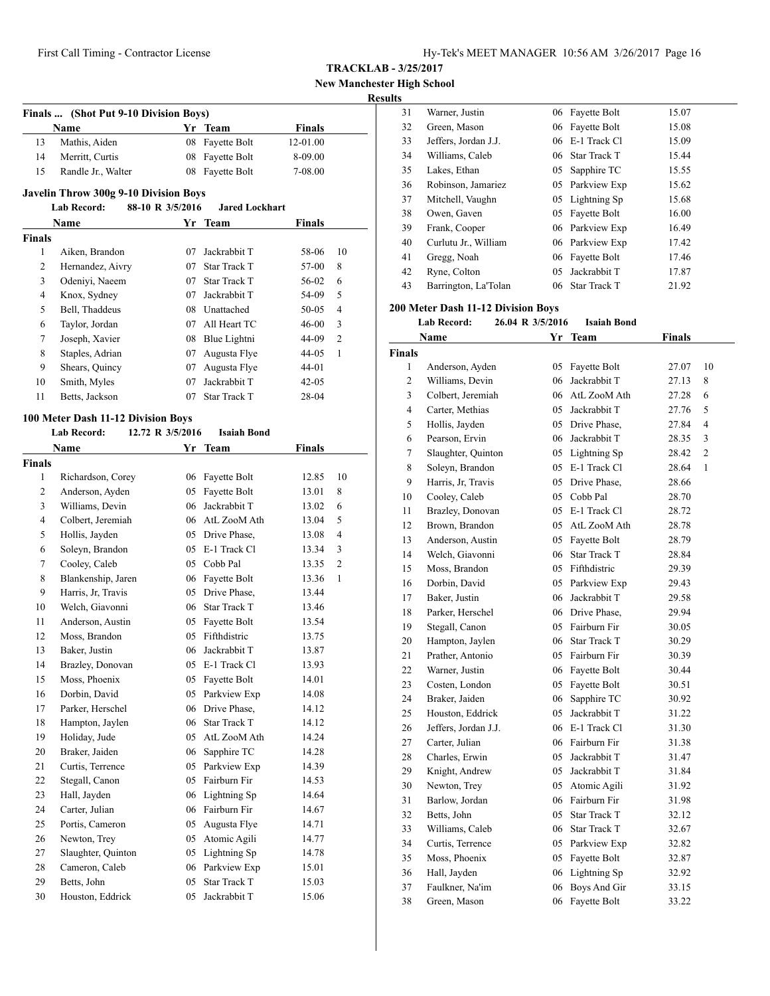|  | <b>TRACKLAB - 3/25/2017</b> |
|--|-----------------------------|
|--|-----------------------------|

**New Manchester High School**

# **Results**

|               | Finals  (Shot Put 9-10 Division Boys)        |                  |                       |               |    |
|---------------|----------------------------------------------|------------------|-----------------------|---------------|----|
|               | Name                                         |                  | Yr Team               | <b>Finals</b> |    |
| 13            | Mathis, Aiden                                | 08               | Fayette Bolt          | 12-01.00      |    |
| 14            | Merritt, Curtis                              | 08               | Fayette Bolt          | 8-09.00       |    |
| 15            | Randle Jr., Walter                           | 08               | Fayette Bolt          | 7-08.00       |    |
|               |                                              |                  |                       |               |    |
|               | <b>Javelin Throw 300g 9-10 Division Boys</b> |                  |                       |               |    |
|               | Lab Record:                                  | 88-10 R 3/5/2016 | <b>Jared Lockhart</b> |               |    |
|               | Name                                         |                  | Yr Team               | Finals        |    |
| <b>Finals</b> |                                              |                  |                       |               |    |
| 1             | Aiken, Brandon                               | 07               | Jackrabbit T          | 58-06         | 10 |
| 2             | Hernandez, Aivry                             |                  | 07 Star Track T       | 57-00         | 8  |
| 3             | Odeniyi, Naeem                               |                  | 07 Star Track T       | 56-02         | 6  |
| 4             | Knox, Sydney                                 | 07               | Jackrabbit T          | 54-09         | 5  |
| 5             | Bell, Thaddeus                               | 08               | Unattached            | 50-05         | 4  |
| 6             | Taylor, Jordan                               | 07               | All Heart TC          | 46-00         | 3  |
| 7             | Joseph, Xavier                               | 08               | Blue Lightni          | 44-09         | 2  |
| 8             | Staples, Adrian                              | 07               | Augusta Flye          | 44-05         | 1  |
| 9             | Shears, Quincy                               | 07               | Augusta Flye          | 44-01         |    |
| 10            | Smith, Myles                                 | 07               | Jackrabbit T          | 42-05         |    |
| 11            | Betts, Jackson                               | 07               | Star Track T          | 28-04         |    |
|               | 100 Meter Dash 11-12 Division Boys           |                  |                       |               |    |
|               | <b>Lab Record:</b>                           | 12.72 R 3/5/2016 | <b>Isaiah Bond</b>    |               |    |
|               | Name                                         | Yr               | Team                  | <b>Finals</b> |    |
| <b>Finals</b> |                                              |                  |                       |               |    |
| 1             | Richardson, Corey                            | 06               | Fayette Bolt          | 12.85         | 10 |
| 2             | Anderson, Ayden                              | 05               | Fayette Bolt          | 13.01         | 8  |
| 3             | Williams, Devin                              | 06               | Jackrabbit T          | 13.02         | 6  |
| 4             | Colbert, Jeremiah                            |                  | 06 AtL ZooM Ath       | 13.04         | 5  |
| 5             | Hollis, Jayden                               | 05               | Drive Phase,          | 13.08         | 4  |
| 6             | Soleyn, Brandon                              | 05               | E-1 Track Cl          | 13.34         | 3  |
| 7             | Cooley, Caleb                                | 05               | Cobb Pal              | 13.35         | 2  |
| 8             | Blankenship, Jaren                           | 06               | Fayette Bolt          | 13.36         | 1  |
| 9             | Harris, Jr, Travis                           | 05               | Drive Phase.          | 13.44         |    |
| 10            | Welch, Giavonni                              | 06               | <b>Star Track T</b>   | 13.46         |    |
| 11            | Anderson, Austin                             | 05               | Fayette Bolt          | 13.54         |    |
| 12            | Moss, Brandon                                | 05               | Fifthdistric          | 13.75         |    |
| 13            | Baker, Justin                                | 06               | Jackrabbit T          | 13.87         |    |
| 14            | Brazley, Donovan                             |                  | 05 E-1 Track Cl       | 13.93         |    |
| 15            | Moss, Phoenix                                | 05               | Fayette Bolt          | 14.01         |    |
| 16            | Dorbin, David                                | 05               | Parkview Exp          | 14.08         |    |
| 17            | Parker, Herschel                             | 06               | Drive Phase,          | 14.12         |    |
| 18            | Hampton, Jaylen                              | 06               | Star Track T          | 14.12         |    |
| 19            | Holiday, Jude                                | 05               | AtL ZooM Ath          | 14.24         |    |
| 20            | Braker, Jaiden                               | 06               | Sapphire TC           | 14.28         |    |
| 21            | Curtis, Terrence                             | 05               | Parkview Exp          | 14.39         |    |
| 22            | Stegall, Canon                               | 05               | Fairburn Fir          | 14.53         |    |
| 23            | Hall, Jayden                                 | 06               | Lightning Sp          | 14.64         |    |
| 24            | Carter, Julian                               | 06               | Fairburn Fir          | 14.67         |    |
| 25            | Portis, Cameron                              | 05               | Augusta Flye          | 14.71         |    |
| 26            | Newton, Trey                                 | 05               | Atomic Agili          | 14.77         |    |
| 27            | Slaughter, Quinton                           | 05               | Lightning Sp          | 14.78         |    |
| 28            | Cameron, Caleb                               | 06               | Parkview Exp          | 15.01         |    |
| 29            | Betts, John                                  | 05               | Star Track T          | 15.03         |    |
| 30            | Houston, Eddrick                             | 05               | Jackrabbit T          | 15.06         |    |

# **200 Meter Dash 11-12 Division Boys**

**Lab Record: 26.04 R 3/5/2016 Isaiah Bond**

|                | Name                 | Yr  | <b>Team</b>         | <b>Finals</b> |                |
|----------------|----------------------|-----|---------------------|---------------|----------------|
| <b>Finals</b>  |                      |     |                     |               |                |
| $\mathbf{1}$   | Anderson, Ayden      | 05  | Fayette Bolt        | 27.07         | 10             |
| $\overline{c}$ | Williams, Devin      | 06  | Jackrabbit T        | 27.13         | 8              |
| 3              | Colbert, Jeremiah    |     | 06 AtL ZooM Ath     | 27.28         | 6              |
| 4              | Carter, Methias      | 05  | Jackrabbit T        | 27.76         | 5              |
| 5              | Hollis, Jayden       | 05  | Drive Phase,        | 27.84         | $\overline{4}$ |
| 6              | Pearson, Ervin       | 06  | Jackrabbit T        | 28.35         | 3              |
| 7              | Slaughter, Quinton   |     | 05 Lightning Sp     | 28.42         | $\overline{2}$ |
| 8              | Soleyn, Brandon      |     | 05 E-1 Track Cl     | 28.64         | $\mathbf{1}$   |
| 9              | Harris, Jr, Travis   |     | 05 Drive Phase.     | 28.66         |                |
| 10             | Cooley, Caleb        | 05  | Cobb Pal            | 28.70         |                |
| 11             | Brazley, Donovan     | 05  | E-1 Track Cl        | 28.72         |                |
| 12             | Brown, Brandon       | 05  | AtL ZooM Ath        | 28.78         |                |
| 13             | Anderson, Austin     | 05  | Fayette Bolt        | 28.79         |                |
| 14             | Welch, Giavonni      | 06  | Star Track T        | 28.84         |                |
| 15             | Moss, Brandon        | 05  | Fifthdistric        | 29.39         |                |
| 16             | Dorbin, David        |     | 05 Parkview Exp     | 29.43         |                |
| 17             | Baker, Justin        | 06  | Jackrabbit T        | 29.58         |                |
| 18             | Parker, Herschel     |     | 06 Drive Phase.     | 29.94         |                |
| 19             | Stegall, Canon       | 05  | Fairburn Fir        | 30.05         |                |
| 20             | Hampton, Jaylen      | 06  | <b>Star Track T</b> | 30.29         |                |
| 21             | Prather, Antonio     |     | 05 Fairburn Fir     | 30.39         |                |
| 22             | Warner, Justin       |     | 06 Fayette Bolt     | 30.44         |                |
| 23             | Costen, London       | 05  | Fayette Bolt        | 30.51         |                |
| 24             | Braker, Jaiden       | 06  | Sapphire TC         | 30.92         |                |
| 25             | Houston, Eddrick     | 05  | Jackrabbit T        | 31.22         |                |
| 26             | Jeffers, Jordan J.J. | 06  | E-1 Track Cl        | 31.30         |                |
| 27             | Carter, Julian       | 06  | Fairburn Fir        | 31.38         |                |
| 28             | Charles, Erwin       | 0.5 | Jackrabbit T        | 31.47         |                |
| 29             | Knight, Andrew       | 05  | Jackrabbit T        | 31.84         |                |
| 30             | Newton, Trey         | 05  | Atomic Agili        | 31.92         |                |
| 31             | Barlow, Jordan       |     | 06 Fairburn Fir     | 31.98         |                |
| 32             | Betts, John          | 0.5 | <b>Star Track T</b> | 32.12         |                |
| 33             | Williams, Caleb      | 06  | <b>Star Track T</b> | 32.67         |                |
| 34             | Curtis, Terrence     | 05  | Parkview Exp        | 32.82         |                |
| 35             | Moss, Phoenix        | 05  | Fayette Bolt        | 32.87         |                |
| 36             | Hall, Jayden         | 06  | Lightning Sp        | 32.92         |                |
| 37             | Faulkner, Na'im      | 06  | Boys And Gir        | 33.15         |                |
| 38             | Green, Mason         | 06  | Fayette Bolt        | 33.22         |                |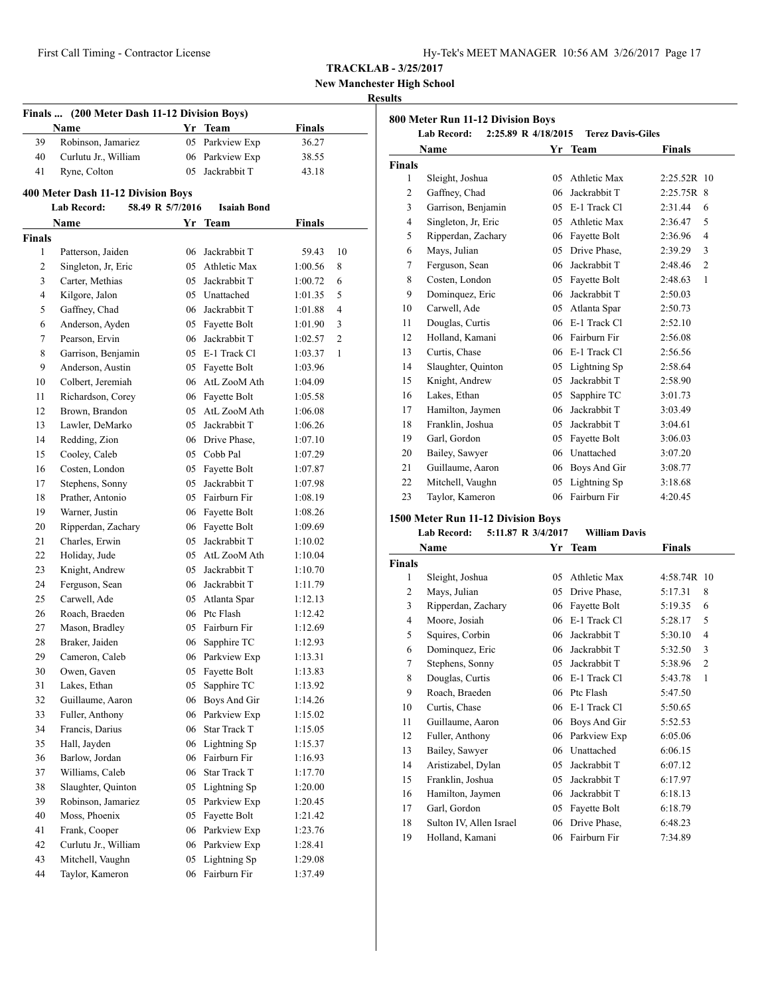**New Manchester High School**

#### **Results**

| Name<br>Yr Team<br>39<br>Robinson, Jamariez<br>Parkview Exp<br>05<br>40<br>Curlutu Jr., William<br>06 Parkview Exp<br>41<br>Jackrabbit T<br>Ryne, Colton<br>05<br>400 Meter Dash 11-12 Division Boys<br>58.49 R 5/7/2016<br>Lab Record:<br><b>Isaiah Bond</b><br>Name<br>Yr Team<br><b>Finals</b><br>Patterson, Jaiden<br>1<br>06 Jackrabbit T<br>2<br><b>Athletic Max</b><br>Singleton, Jr. Eric<br>05<br>Carter, Methias<br>05 Jackrabbit T<br>3 | Finals<br>36.27<br>38.55<br>43.18<br>Finals<br>59.43 |              |
|----------------------------------------------------------------------------------------------------------------------------------------------------------------------------------------------------------------------------------------------------------------------------------------------------------------------------------------------------------------------------------------------------------------------------------------------------|------------------------------------------------------|--------------|
|                                                                                                                                                                                                                                                                                                                                                                                                                                                    |                                                      |              |
|                                                                                                                                                                                                                                                                                                                                                                                                                                                    |                                                      |              |
|                                                                                                                                                                                                                                                                                                                                                                                                                                                    |                                                      |              |
|                                                                                                                                                                                                                                                                                                                                                                                                                                                    |                                                      |              |
|                                                                                                                                                                                                                                                                                                                                                                                                                                                    |                                                      |              |
|                                                                                                                                                                                                                                                                                                                                                                                                                                                    |                                                      |              |
|                                                                                                                                                                                                                                                                                                                                                                                                                                                    |                                                      |              |
|                                                                                                                                                                                                                                                                                                                                                                                                                                                    |                                                      |              |
|                                                                                                                                                                                                                                                                                                                                                                                                                                                    |                                                      | 10           |
|                                                                                                                                                                                                                                                                                                                                                                                                                                                    | 1:00.56                                              | 8            |
|                                                                                                                                                                                                                                                                                                                                                                                                                                                    | 1:00.72                                              | 6            |
| 4<br>Kilgore, Jalon<br>05 Unattached                                                                                                                                                                                                                                                                                                                                                                                                               | 1:01.35                                              | 5            |
| 5<br>Gaffney, Chad<br>06 Jackrabbit T                                                                                                                                                                                                                                                                                                                                                                                                              | 1:01.88                                              | 4            |
| 6<br>Anderson, Ayden<br>05 Fayette Bolt                                                                                                                                                                                                                                                                                                                                                                                                            | 1:01.90                                              | 3            |
| Pearson, Ervin<br>06 Jackrabbit T<br>7                                                                                                                                                                                                                                                                                                                                                                                                             | 1:02.57                                              | 2            |
| 8<br>05 E-1 Track Cl<br>Garrison, Benjamin                                                                                                                                                                                                                                                                                                                                                                                                         | 1:03.37                                              | $\mathbf{1}$ |
| Anderson, Austin<br>9<br>05 Fayette Bolt                                                                                                                                                                                                                                                                                                                                                                                                           | 1:03.96                                              |              |
| Colbert, Jeremiah<br>10<br>06 AtL ZooM Ath                                                                                                                                                                                                                                                                                                                                                                                                         | 1:04.09                                              |              |
| 11<br>Richardson, Corey<br>06 Fayette Bolt                                                                                                                                                                                                                                                                                                                                                                                                         | 1:05.58                                              |              |
| Brown, Brandon<br>AtL ZooM Ath<br>12<br>05                                                                                                                                                                                                                                                                                                                                                                                                         | 1:06.08                                              |              |
| 13<br>Lawler, DeMarko<br>05 Jackrabbit T                                                                                                                                                                                                                                                                                                                                                                                                           | 1:06.26                                              |              |
| 14<br>Redding, Zion<br>06 Drive Phase,                                                                                                                                                                                                                                                                                                                                                                                                             | 1:07.10                                              |              |
| Cooley, Caleb<br>05 Cobb Pal<br>15                                                                                                                                                                                                                                                                                                                                                                                                                 | 1:07.29                                              |              |
| Costen, London<br>16<br>05 Fayette Bolt                                                                                                                                                                                                                                                                                                                                                                                                            | 1:07.87                                              |              |
| 05 Jackrabbit T<br>17<br>Stephens, Sonny                                                                                                                                                                                                                                                                                                                                                                                                           | 1:07.98                                              |              |
| Prather, Antonio<br>05 Fairburn Fir<br>18                                                                                                                                                                                                                                                                                                                                                                                                          | 1:08.19                                              |              |
| 19<br>Warner, Justin<br>06 Fayette Bolt                                                                                                                                                                                                                                                                                                                                                                                                            | 1:08.26                                              |              |
| 20<br>Ripperdan, Zachary<br>06 Fayette Bolt                                                                                                                                                                                                                                                                                                                                                                                                        | 1:09.69                                              |              |
| 21<br>Charles, Erwin<br>Jackrabbit T<br>05                                                                                                                                                                                                                                                                                                                                                                                                         | 1:10.02                                              |              |
| 22<br>Holiday, Jude<br>AtL ZooM Ath<br>05                                                                                                                                                                                                                                                                                                                                                                                                          | 1:10.04                                              |              |
| 23<br>Knight, Andrew<br>05<br>Jackrabbit T                                                                                                                                                                                                                                                                                                                                                                                                         | 1:10.70                                              |              |
| 24<br>Ferguson, Sean<br>06 Jackrabbit T                                                                                                                                                                                                                                                                                                                                                                                                            | 1:11.79                                              |              |
| 25<br>Carwell, Ade<br>05 Atlanta Spar                                                                                                                                                                                                                                                                                                                                                                                                              | 1:12.13                                              |              |
| 06 Ptc Flash<br>26<br>Roach, Braeden                                                                                                                                                                                                                                                                                                                                                                                                               | 1:12.42                                              |              |
| 27<br>05 Fairburn Fir<br>Mason, Bradley                                                                                                                                                                                                                                                                                                                                                                                                            | 1:12.69                                              |              |
| 28<br>Braker, Jaiden<br>Sapphire TC<br>06                                                                                                                                                                                                                                                                                                                                                                                                          | 1:12.93                                              |              |
| 06 Parkview Exp<br>29<br>Cameron, Caleb                                                                                                                                                                                                                                                                                                                                                                                                            | 1:13.31                                              |              |
| Fayette Bolt<br>30<br>05<br>Owen, Gaven                                                                                                                                                                                                                                                                                                                                                                                                            | 1:13.83                                              |              |
| 31<br>Lakes, Ethan<br>05<br>Sapphire TC                                                                                                                                                                                                                                                                                                                                                                                                            | 1:13.92                                              |              |
| 32<br>Guillaume, Aaron<br>06<br>Boys And Gir                                                                                                                                                                                                                                                                                                                                                                                                       | 1:14.26                                              |              |
| 33<br>Fuller, Anthony<br>Parkview Exp<br>06                                                                                                                                                                                                                                                                                                                                                                                                        | 1:15.02                                              |              |
| 34<br>Francis, Darius<br>06<br><b>Star Track T</b>                                                                                                                                                                                                                                                                                                                                                                                                 | 1:15.05                                              |              |
| 35<br>Hall, Jayden<br>06<br>Lightning Sp                                                                                                                                                                                                                                                                                                                                                                                                           | 1:15.37                                              |              |
| 36<br>Barlow, Jordan<br>06<br>Fairburn Fir                                                                                                                                                                                                                                                                                                                                                                                                         | 1:16.93                                              |              |
| 37<br>Williams, Caleb<br>06<br>Star Track T                                                                                                                                                                                                                                                                                                                                                                                                        | 1:17.70                                              |              |
| 38<br>Slaughter, Quinton<br>05<br>Lightning Sp                                                                                                                                                                                                                                                                                                                                                                                                     | 1:20.00                                              |              |
| 39<br>Robinson, Jamariez<br>05<br>Parkview Exp                                                                                                                                                                                                                                                                                                                                                                                                     | 1:20.45                                              |              |
| 40<br>Moss, Phoenix<br>Fayette Bolt                                                                                                                                                                                                                                                                                                                                                                                                                | 1:21.42                                              |              |
| 05                                                                                                                                                                                                                                                                                                                                                                                                                                                 |                                                      |              |
| 41<br>06<br>Parkview Exp<br>Frank, Cooper                                                                                                                                                                                                                                                                                                                                                                                                          | 1:23.76                                              |              |
| Curlutu Jr., William<br>Parkview Exp<br>42<br>06                                                                                                                                                                                                                                                                                                                                                                                                   | 1:28.41                                              |              |
| 43<br>Mitchell, Vaughn<br>Lightning Sp<br>05                                                                                                                                                                                                                                                                                                                                                                                                       | 1:29.08                                              |              |
| 44<br>Taylor, Kameron<br>06<br>Fairburn Fir                                                                                                                                                                                                                                                                                                                                                                                                        | 1:37.49                                              |              |

|                | <b>Lab Record:</b><br>2:25.89 R 4/18/2015 |     | <b>Terez Davis-Giles</b> |               |                |
|----------------|-------------------------------------------|-----|--------------------------|---------------|----------------|
|                | Name                                      |     | Yr Team                  | <b>Finals</b> |                |
| <b>Finals</b>  |                                           |     |                          |               |                |
| 1              | Sleight, Joshua                           | 05  | Athletic Max             | $2:25.52R$ 10 |                |
| $\overline{c}$ | Gaffney, Chad                             | 06  | Jackrabbit T             | $2:25.75R$ 8  |                |
| 3              | Garrison, Benjamin                        | 0.5 | E-1 Track Cl             | 2:31.44       | 6              |
| 4              | Singleton, Jr. Eric                       | 0.5 | Athletic Max             | 2:36.47       | 5              |
| 5              | Ripperdan, Zachary                        | 06  | Fayette Bolt             | 2:36.96       | $\overline{4}$ |
| 6              | Mays, Julian                              | 05  | Drive Phase,             | 2:39.29       | 3              |
| 7              | Ferguson, Sean                            | 06  | Jackrabbit T             | 2:48.46       | $\overline{2}$ |
| 8              | Costen, London                            | 05  | Fayette Bolt             | 2:48.63       | 1              |
| 9              | Dominquez, Eric                           | 06  | Jackrabbit T             | 2:50.03       |                |
| 10             | Carwell, Ade                              | 05  | Atlanta Spar             | 2:50.73       |                |
| 11             | Douglas, Curtis                           | 06  | E-1 Track Cl             | 2:52.10       |                |
| 12             | Holland, Kamani                           | 06  | Fairburn Fir             | 2:56.08       |                |
| 13             | Curtis, Chase                             |     | 06 E-1 Track Cl          | 2:56.56       |                |
| 14             | Slaughter, Quinton                        | 05  | Lightning Sp             | 2:58.64       |                |
| 15             | Knight, Andrew                            | 0.5 | Jackrabbit T             | 2:58.90       |                |
| 16             | Lakes, Ethan                              | 05  | Sapphire TC              | 3:01.73       |                |
| 17             | Hamilton, Jaymen                          | 06  | Jackrabbit T             | 3:03.49       |                |
| 18             | Franklin, Joshua                          | 0.5 | Jackrabbit T             | 3:04.61       |                |
| 19             | Garl. Gordon                              | 05  | Fayette Bolt             | 3:06.03       |                |
| 20             | Bailey, Sawyer                            | 06  | Unattached               | 3:07.20       |                |
| 21             | Guillaume, Aaron                          | 06  | Boys And Gir             | 3:08.77       |                |
| 22             | Mitchell, Vaughn                          | 05  | Lightning Sp             | 3:18.68       |                |
| 23             | Taylor, Kameron                           | 06  | Fairburn Fir             | 4:20.45       |                |

# **1500 Meter Run 11-12 Division Boys**

#### **Lab Record: 5:11.87 R 3/4/2017 William Davis**

| Name           |                         | Yr | Team         | Finals      |                |
|----------------|-------------------------|----|--------------|-------------|----------------|
| <b>Finals</b>  |                         |    |              |             |                |
| 1              | Sleight, Joshua         | 05 | Athletic Max | 4:58.74R 10 |                |
| $\overline{2}$ | Mays, Julian            | 05 | Drive Phase, | 5:17.31     | 8              |
| 3              | Ripperdan, Zachary      | 06 | Fayette Bolt | 5:19.35     | 6              |
| $\overline{4}$ | Moore, Josiah           | 06 | E-1 Track Cl | 5:28.17     | 5              |
| 5              | Squires, Corbin         | 06 | Jackrabbit T | 5:30.10     | 4              |
| 6              | Dominquez, Eric         | 06 | Jackrabbit T | 5:32.50     | 3              |
| 7              | Stephens, Sonny         | 05 | Jackrabbit T | 5:38.96     | $\overline{2}$ |
| 8              | Douglas, Curtis         | 06 | E-1 Track Cl | 5:43.78     | 1              |
| 9              | Roach, Braeden          | 06 | Ptc Flash    | 5:47.50     |                |
| 10             | Curtis, Chase           | 06 | E-1 Track Cl | 5:50.65     |                |
| 11             | Guillaume, Aaron        | 06 | Boys And Gir | 5:52.53     |                |
| 12             | Fuller, Anthony         | 06 | Parkview Exp | 6:05.06     |                |
| 13             | Bailey, Sawyer          | 06 | Unattached   | 6:06.15     |                |
| 14             | Aristizabel, Dylan      | 05 | Jackrabbit T | 6:07.12     |                |
| 15             | Franklin, Joshua        | 05 | Jackrabbit T | 6:17.97     |                |
| 16             | Hamilton, Jaymen        | 06 | Jackrabbit T | 6:18.13     |                |
| 17             | Garl, Gordon            | 05 | Fayette Bolt | 6:18.79     |                |
| 18             | Sulton IV, Allen Israel | 06 | Drive Phase, | 6:48.23     |                |
| 19             | Holland, Kamani         | 06 | Fairburn Fir | 7:34.89     |                |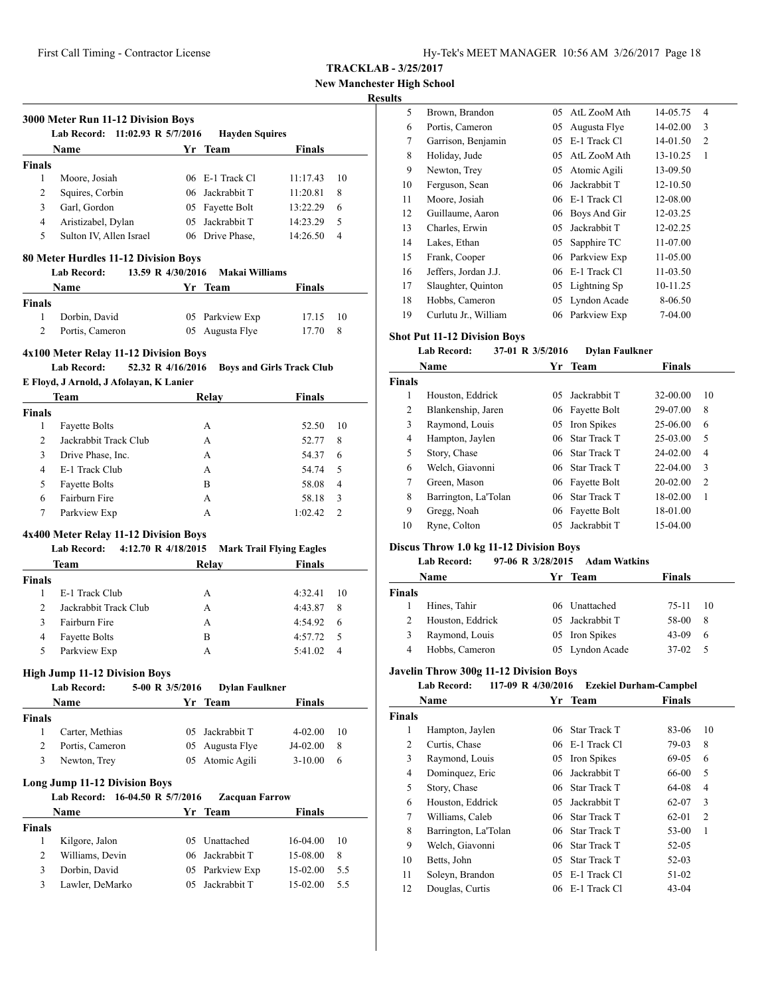| Hy-Tek's MEET MANAGER 10:56 AM 3/26/2017 Page 18 |  |  |  |
|--------------------------------------------------|--|--|--|
|--------------------------------------------------|--|--|--|

**New Manchester High School**

#### **Results**

|                | <b>Name</b>             |     | Yr Team           | <b>Finals</b> |    |
|----------------|-------------------------|-----|-------------------|---------------|----|
| <b>Finals</b>  |                         |     |                   |               |    |
| 1              | Moore, Josiah           |     | $06$ E-1 Track Cl | 11:17.43      | 10 |
| $\overline{c}$ | Squires, Corbin         |     | 06 Jackrabbit T   | 11:20.81      | 8  |
| 3              | Garl. Gordon            |     | 05 Fayette Bolt   | 13:22.29      | 6  |
| 4              | Aristizabel, Dylan      | 05. | Jackrabbit T      | 14:23.29      | 5  |
| 5              | Sulton IV, Allen Israel |     | 06 Drive Phase,   | 14:26.50      | 4  |

|               | <b>Name</b>     | Yr Team         | Finals   |  |
|---------------|-----------------|-----------------|----------|--|
| <b>Finals</b> |                 |                 |          |  |
|               | Dorbin, David   | 05 Parkview Exp | 17.15 10 |  |
|               | Portis, Cameron | 05 Augusta Flye | 17.70 8  |  |

#### **4x100 Meter Relay 11-12 Division Boys**

# **Lab Record: 52.32 R 4/16/2016 Boys and Girls Track Club**

#### **E Floyd, J Arnold, J Afolayan, K Lanier**

| Team           |                       | Relay | <b>Finals</b> |                |
|----------------|-----------------------|-------|---------------|----------------|
| <b>Finals</b>  |                       |       |               |                |
|                | <b>Fayette Bolts</b>  | А     | 52.50         | 10             |
| $\mathfrak{D}$ | Jackrabbit Track Club | А     | 52.77         | 8              |
| 3              | Drive Phase, Inc.     | А     | 54.37         | 6              |
| 4              | E-1 Track Club        | А     | 54.74         | .5             |
| 5              | <b>Fayette Bolts</b>  | B     | 58.08         | $\overline{4}$ |
| 6              | Fairburn Fire         | А     | 58.18         | 3              |
| 7              | Parkview Exp          | А     | 1:02.42       | 2              |

#### **4x400 Meter Relay 11-12 Division Boys**

| TATOO MUCU1 MClW1 H1 H1 H1 H10H DO19<br>4:12.70 R 4/18/2015 Mark Trail Flying Eagles<br>Lab Record: |                       |       |               |  |
|-----------------------------------------------------------------------------------------------------|-----------------------|-------|---------------|--|
|                                                                                                     | Team                  | Relay | <b>Finals</b> |  |
| <b>Finals</b>                                                                                       |                       |       |               |  |
|                                                                                                     | E-1 Track Club        | A     | 4:32.41<br>10 |  |
| 2                                                                                                   | Jackrabbit Track Club | A     | 4:43.87<br>8  |  |
| 3                                                                                                   | Fairburn Fire         | A     | 4:54.92<br>6  |  |
| 4                                                                                                   | <b>Fayette Bolts</b>  | в     | 4:57.72<br>-5 |  |
| 5                                                                                                   | Parkview Exp          | А     | 5:41.02<br>4  |  |
|                                                                                                     |                       |       |               |  |

#### **High Jump 11-12 Division Boys**

|               | <b>Lab Record:</b>                      | 5-00 R 3/5/2016 | <b>Dylan Faulkner</b>            |               |     |
|---------------|-----------------------------------------|-----------------|----------------------------------|---------------|-----|
|               | <b>Name</b>                             |                 | Yr Team                          | <b>Finals</b> |     |
| <b>Finals</b> |                                         |                 |                                  |               |     |
| 1             | Carter, Methias                         | 05              | Jackrabbit T                     | $4 - 02.00$   | 10  |
| 2             | Portis, Cameron                         |                 | 05 Augusta Flye                  | J4-02.00      | 8   |
| 3             | Newton, Trey                            | 05              | Atomic Agili                     | $3 - 10.00$   | 6   |
|               | <b>Long Jump 11-12 Division Boys</b>    |                 |                                  |               |     |
|               | Lab Record: 16-04.50 R 5/7/2016<br>Name |                 | <b>Zacquan Farrow</b><br>Yr Team | <b>Finals</b> |     |
| <b>Finals</b> |                                         |                 |                                  |               |     |
| 1             | Kilgore, Jalon                          | 05              | Unattached                       | $16-04.00$    | 10  |
| 2             | Williams, Devin                         |                 | 06 Jackrabbit T                  | 15-08.00      | 8   |
| 3             | Dorbin, David                           | 05              | Parkview Exp                     | 15-02.00      | 5.5 |

| 5  | Brown, Brandon       | 05 | AtL ZooM Ath    | 14-05.75 | 4              |
|----|----------------------|----|-----------------|----------|----------------|
| 6  | Portis, Cameron      | 05 | Augusta Flye    | 14-02.00 | 3              |
| 7  | Garrison, Benjamin   | 05 | E-1 Track Cl    | 14-01.50 | $\overline{c}$ |
| 8  | Holiday, Jude        | 05 | AtL ZooM Ath    | 13-10.25 | 1              |
| 9  | Newton, Trey         | 05 | Atomic Agili    | 13-09.50 |                |
| 10 | Ferguson, Sean       | 06 | Jackrabbit T    | 12-10.50 |                |
| 11 | Moore, Josiah        | 06 | E-1 Track Cl    | 12-08.00 |                |
| 12 | Guillaume, Aaron     | 06 | Boys And Gir    | 12-03.25 |                |
| 13 | Charles, Erwin       | 05 | Jackrabbit T    | 12-02.25 |                |
| 14 | Lakes, Ethan         | 05 | Sapphire TC     | 11-07.00 |                |
| 15 | Frank, Cooper        | 06 | Parkview Exp    | 11-05.00 |                |
| 16 | Jeffers, Jordan J.J. | 06 | E-1 Track Cl    | 11-03.50 |                |
| 17 | Slaughter, Quinton   |    | 05 Lightning Sp | 10-11.25 |                |
| 18 | Hobbs, Cameron       | 05 | Lyndon Acade    | 8-06.50  |                |
| 19 | Curlutu Jr., William | 06 | Parkview Exp    | 7-04.00  |                |

# **Shot Put 11-12 Division Boys**

#### **Lab Record: 37-01 R 3/5/2016 Dylan Faulkner**

|               | Name                 | Yr | <b>Team</b>     | <b>Finals</b> |                |
|---------------|----------------------|----|-----------------|---------------|----------------|
| <b>Finals</b> |                      |    |                 |               |                |
| 1             | Houston, Eddrick     | 05 | Jackrabbit T    | 32-00.00      | 10             |
| 2             | Blankenship, Jaren   |    | 06 Fayette Bolt | 29-07.00      | 8              |
| 3             | Raymond, Louis       |    | 05 Iron Spikes  | 25-06.00      | 6              |
| 4             | Hampton, Jaylen      |    | 06 Star Track T | 25-03.00      | 5              |
| 5             | Story, Chase         |    | 06 Star Track T | 24-02.00      | 4              |
| 6             | Welch, Giavonni      |    | 06 Star Track T | $22-04.00$    | 3              |
| 7             | Green, Mason         |    | 06 Fayette Bolt | $20 - 02.00$  | $\overline{c}$ |
| 8             | Barrington, La'Tolan |    | 06 Star Track T | 18-02.00      | 1              |
| 9             | Gregg, Noah          | 06 | Fayette Bolt    | 18-01.00      |                |
| 10            | Ryne, Colton         | 05 | Jackrabbit T    | 15-04.00      |                |

#### **Discus Throw 1.0 kg 11-12 Division Boys**

# **Lab Record: 97-06 R 3/28/2015 Adam Watkins**

| <b>Name</b>   |                  | Yr Team         | <b>Finals</b> |     |
|---------------|------------------|-----------------|---------------|-----|
| <b>Finals</b> |                  |                 |               |     |
|               | Hines, Tahir     | 06 Unattached   | $75-11$ 10    |     |
| $\mathcal{L}$ | Houston, Eddrick | 05 Jackrabbit T | 58-00         | - 8 |
| 3             | Raymond, Louis   | 05 Iron Spikes  | $43-09$       | -6  |
| 4             | Hobbs, Cameron   | 05 Lyndon Acade | 37-02         |     |

#### **Javelin Throw 300g 11-12 Division Boys**

# **Lab Record: 117-09 R 4/30/2016 Ezekiel Durham-Campbel**

| Name          |                      | Yr  | Team                | <b>Finals</b> |                |
|---------------|----------------------|-----|---------------------|---------------|----------------|
| <b>Finals</b> |                      |     |                     |               |                |
| 1             | Hampton, Jaylen      |     | 06 Star Track T     | 83-06         | 10             |
| 2             | Curtis, Chase        |     | $06$ E-1 Track Cl   | 79-03         | 8              |
| 3             | Raymond, Louis       |     | 05 Iron Spikes      | 69-05         | 6              |
| 4             | Dominquez, Eric      | 06. | Jackrabbit T        | 66-00         | 5              |
| 5             | Story, Chase         |     | 06 Star Track T     | 64-08         | 4              |
| 6             | Houston, Eddrick     | 05. | Jackrabbit T        | 62-07         | 3              |
| 7             | Williams, Caleb      |     | 06 Star Track T     | 62-01         | $\overline{c}$ |
| 8             | Barrington, La'Tolan |     | 06 Star Track T     | 53-00         | 1              |
| 9             | Welch, Giavonni      |     | 06 Star Track T     | $52 - 05$     |                |
| 10            | Betts, John          | 05. | <b>Star Track T</b> | $52-03$       |                |
| 11            | Soleyn, Brandon      |     | 05 E-1 Track Cl     | 51-02         |                |
| 12            | Douglas, Curtis      |     | 06 E-1 Track Cl     | $43 - 04$     |                |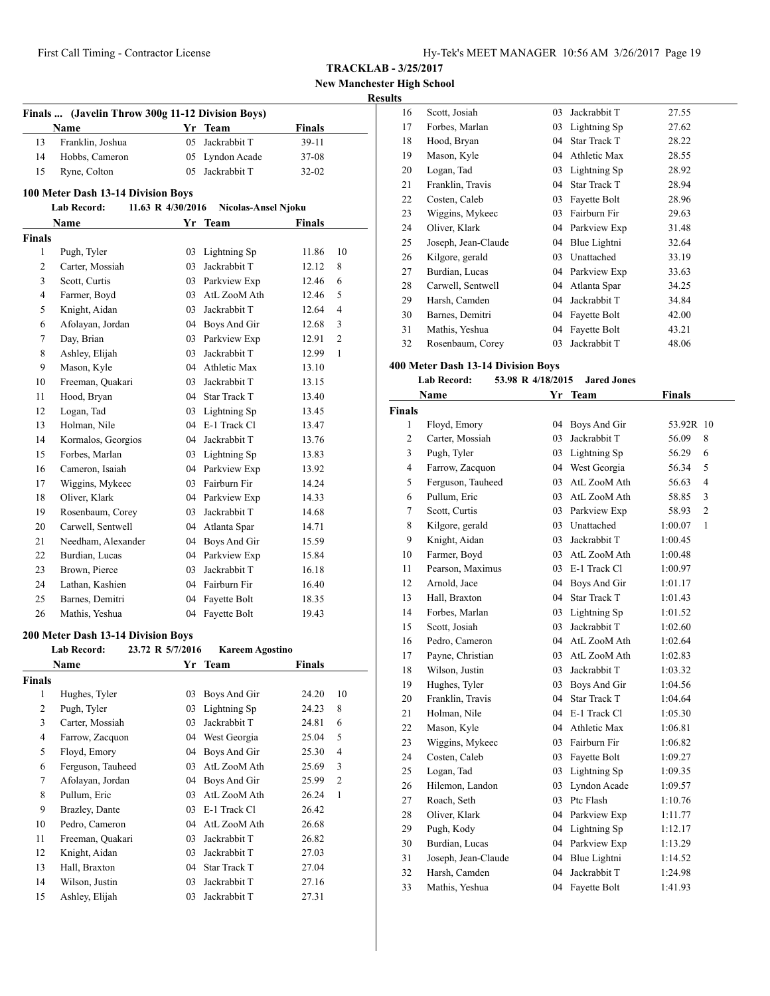**New Manchester High School**

# **Results**

|                | Finals  (Javelin Throw 300g 11-12 Division Boys) |                   |                        |               |                |
|----------------|--------------------------------------------------|-------------------|------------------------|---------------|----------------|
|                | Name                                             | Yr                | Team                   | <b>Finals</b> |                |
| 13             | Franklin, Joshua                                 | 05                | Jackrabbit T           | 39-11         |                |
| 14             | Hobbs, Cameron                                   |                   | 05 Lyndon Acade        | 37-08         |                |
| 15             | Ryne, Colton                                     | 05                | Jackrabbit T           | 32-02         |                |
|                | 100 Meter Dash 13-14 Division Boys               |                   |                        |               |                |
|                | <b>Lab Record:</b>                               | 11.63 R 4/30/2016 | Nicolas-Ansel Njoku    |               |                |
|                | Name                                             |                   | Yr Team                | Finals        |                |
| <b>Finals</b>  |                                                  |                   |                        |               |                |
| 1              | Pugh, Tyler                                      | 03                | Lightning Sp           | 11.86         | 10             |
| 2              | Carter, Mossiah                                  | 03                | Jackrabbit T           | 12.12         | 8              |
| 3              | Scott, Curtis                                    |                   | 03 Parkview Exp        | 12.46         | 6              |
| 4              | Farmer, Boyd                                     | 03                | AtL ZooM Ath           | 12.46         | 5              |
| 5              | Knight, Aidan                                    | 03                | Jackrabbit T           | 12.64         | 4              |
| 6              | Afolayan, Jordan                                 |                   | 04 Boys And Gir        | 12.68         | 3              |
| 7              | Day, Brian                                       |                   | 03 Parkview Exp        | 12.91         | $\overline{c}$ |
| 8              | Ashley, Elijah                                   |                   | 03 Jackrabbit T        | 12.99         | 1              |
| 9              | Mason, Kyle                                      |                   | 04 Athletic Max        | 13.10         |                |
| 10             | Freeman, Quakari                                 | 03                | Jackrabbit T           | 13.15         |                |
| 11             | Hood, Bryan                                      |                   | 04 Star Track T        | 13.40         |                |
| 12             | Logan, Tad                                       |                   | 03 Lightning Sp        | 13.45         |                |
| 13             | Holman, Nile                                     |                   | 04 E-1 Track Cl        | 13.47         |                |
| 14             | Kormalos, Georgios                               |                   | 04 Jackrabbit T        | 13.76         |                |
| 15             | Forbes, Marlan                                   |                   | 03 Lightning Sp        | 13.83         |                |
| 16             | Cameron, Isaiah                                  |                   | 04 Parkview Exp        | 13.92         |                |
| 17             | Wiggins, Mykeec                                  |                   | 03 Fairburn Fir        | 14.24         |                |
| 18             | Oliver, Klark                                    |                   | 04 Parkview Exp        | 14.33         |                |
| 19             | Rosenbaum, Corey                                 |                   | 03 Jackrabbit T        | 14.68         |                |
| 20             | Carwell, Sentwell                                |                   | 04 Atlanta Spar        | 14.71         |                |
| 21             | Needham, Alexander                               |                   | 04 Boys And Gir        | 15.59         |                |
| 22             | Burdian, Lucas                                   |                   | 04 Parkview Exp        | 15.84         |                |
| 23             | Brown, Pierce                                    | 03                | Jackrabbit T           | 16.18         |                |
| 24             | Lathan, Kashien                                  |                   | 04 Fairburn Fir        | 16.40         |                |
| 25             | Barnes, Demitri                                  | 04                | Fayette Bolt           | 18.35         |                |
| 26             | Mathis, Yeshua                                   | 04                | Fayette Bolt           | 19.43         |                |
|                | 200 Meter Dash 13-14 Division Boys               |                   |                        |               |                |
|                | <b>Lab Record:</b>                               | 23.72 R 5/7/2016  | <b>Kareem Agostino</b> |               |                |
|                | Name                                             | Yr                | <b>Team</b>            | Finals        |                |
| <b>Finals</b>  |                                                  |                   |                        |               |                |
| 1              | Hughes, Tyler                                    | 03                | Boys And Gir           | 24.20         | 10             |
| $\overline{c}$ | Pugh, Tyler                                      | 03                | Lightning Sp           | 24.23         | 8              |
| 3              | Carter, Mossiah                                  | 03                | Jackrabbit T           | 24.81         | 6              |
| 4              | Farrow, Zacquon                                  | 04                | West Georgia           | 25.04         | 5              |
| 5              | Floyd, Emory                                     | 04                | Boys And Gir           | 25.30         | 4              |
| 6              | Ferguson, Tauheed                                | 03                | AtL ZooM Ath           | 25.69         | 3              |
| 7              | Afolayan, Jordan                                 | 04                | Boys And Gir           | 25.99         | 2              |
| 8              | Pullum, Eric                                     | 03                | AtL ZooM Ath           | 26.24         | $\mathbf{1}$   |
| 9              | Brazley, Dante                                   | 03                | E-1 Track Cl           | 26.42         |                |
| 10             | Pedro, Cameron                                   | 04                | AtL ZooM Ath           | 26.68         |                |
| 11             | Freeman, Quakari                                 | 03                | Jackrabbit T           | 26.82         |                |
| 12             | Knight, Aidan                                    | 03                | Jackrabbit T           | 27.03         |                |
| 13             | Hall, Braxton                                    | 04                | <b>Star Track T</b>    | 27.04         |                |
| 14             | Wilson, Justin                                   | 03                | Jackrabbit T           | 27.16         |                |
| 15             | Ashley, Elijah                                   | 03                | Jackrabbit T           | 27.31         |                |
|                |                                                  |                   |                        |               |                |

| יי |                     |    |                     |       |
|----|---------------------|----|---------------------|-------|
| 16 | Scott, Josiah       | 03 | Jackrabbit T        | 27.55 |
| 17 | Forbes, Marlan      | 03 | Lightning Sp        | 27.62 |
| 18 | Hood, Bryan         | 04 | <b>Star Track T</b> | 28.22 |
| 19 | Mason, Kyle         | 04 | Athletic Max        | 28.55 |
| 20 | Logan, Tad          | 03 | Lightning Sp        | 28.92 |
| 21 | Franklin, Travis    | 04 | Star Track T        | 28.94 |
| 22 | Costen, Caleb       | 03 | Fayette Bolt        | 28.96 |
| 23 | Wiggins, Mykeec     | 03 | Fairburn Fir        | 29.63 |
| 24 | Oliver, Klark       |    | 04 Parkview Exp     | 31.48 |
| 25 | Joseph, Jean-Claude | 04 | Blue Lightni        | 32.64 |
| 26 | Kilgore, gerald     | 03 | Unattached          | 33.19 |
| 27 | Burdian, Lucas      | 04 | Parkview Exp        | 33.63 |
| 28 | Carwell, Sentwell   | 04 | Atlanta Spar        | 34.25 |
| 29 | Harsh, Camden       | 04 | Jackrabbit T        | 34.84 |
| 30 | Barnes, Demitri     | 04 | Fayette Bolt        | 42.00 |
| 31 | Mathis, Yeshua      | 04 | Fayette Bolt        | 43.21 |
| 32 | Rosenbaum, Corey    | 03 | Jackrabbit T        | 48.06 |
|    |                     |    |                     |       |

# **400 Meter Dash 13-14 Division Boys**

| <b>Lab Record:</b> |  | 53.98 R 4/18/2015 | <b>Jared Jones</b> |
|--------------------|--|-------------------|--------------------|
|                    |  |                   |                    |

|                | Name                | Yr | <b>Team</b>         | <b>Finals</b> |                |
|----------------|---------------------|----|---------------------|---------------|----------------|
| <b>Finals</b>  |                     |    |                     |               |                |
| 1              | Floyd, Emory        | 04 | Boys And Gir        | 53.92R        | 10             |
| $\overline{c}$ | Carter, Mossiah     | 03 | Jackrabbit T        | 56.09         | 8              |
| 3              | Pugh, Tyler         | 03 | Lightning Sp        | 56.29         | 6              |
| 4              | Farrow, Zacquon     | 04 | West Georgia        | 56.34         | 5              |
| 5              | Ferguson, Tauheed   | 03 | AtL ZooM Ath        | 56.63         | 4              |
| 6              | Pullum, Eric        | 03 | AtL ZooM Ath        | 58.85         | 3              |
| 7              | Scott, Curtis       | 03 | Parkview Exp        | 58.93         | $\overline{2}$ |
| 8              | Kilgore, gerald     | 03 | Unattached          | 1:00.07       | 1              |
| 9              | Knight, Aidan       | 03 | Jackrabbit T        | 1:00.45       |                |
| 10             | Farmer, Boyd        | 03 | AtL ZooM Ath        | 1:00.48       |                |
| 11             | Pearson, Maximus    | 03 | E-1 Track Cl        | 1:00.97       |                |
| 12             | Arnold, Jace        | 04 | Boys And Gir        | 1:01.17       |                |
| 13             | Hall, Braxton       | 04 | <b>Star Track T</b> | 1:01.43       |                |
| 14             | Forbes, Marlan      | 03 | Lightning Sp        | 1:01.52       |                |
| 15             | Scott, Josiah       | 03 | Jackrabbit T        | 1:02.60       |                |
| 16             | Pedro, Cameron      | 04 | AtL ZooM Ath        | 1:02.64       |                |
| 17             | Payne, Christian    | 03 | AtL ZooM Ath        | 1:02.83       |                |
| 18             | Wilson, Justin      | 03 | Jackrabbit T        | 1:03.32       |                |
| 19             | Hughes, Tyler       | 03 | Boys And Gir        | 1:04.56       |                |
| 20             | Franklin, Travis    | 04 | <b>Star Track T</b> | 1:04.64       |                |
| 21             | Holman, Nile        | 04 | E-1 Track Cl        | 1:05.30       |                |
| 22             | Mason, Kyle         | 04 | Athletic Max        | 1:06.81       |                |
| 23             | Wiggins, Mykeec     | 03 | Fairburn Fir        | 1:06.82       |                |
| 24             | Costen, Caleb       | 03 | Fayette Bolt        | 1:09.27       |                |
| 25             | Logan, Tad          | 03 | Lightning Sp        | 1:09.35       |                |
| 26             | Hilemon, Landon     | 03 | Lyndon Acade        | 1:09.57       |                |
| 27             | Roach, Seth         | 03 | Ptc Flash           | 1:10.76       |                |
| 28             | Oliver, Klark       | 04 | Parkview Exp        | 1:11.77       |                |
| 29             | Pugh, Kody          | 04 | Lightning Sp        | 1:12.17       |                |
| 30             | Burdian, Lucas      | 04 | Parkview Exp        | 1:13.29       |                |
| 31             | Joseph, Jean-Claude | 04 | Blue Lightni        | 1:14.52       |                |
| 32             | Harsh, Camden       | 04 | Jackrabbit T        | 1:24.98       |                |
| 33             | Mathis, Yeshua      | 04 | Fayette Bolt        | 1:41.93       |                |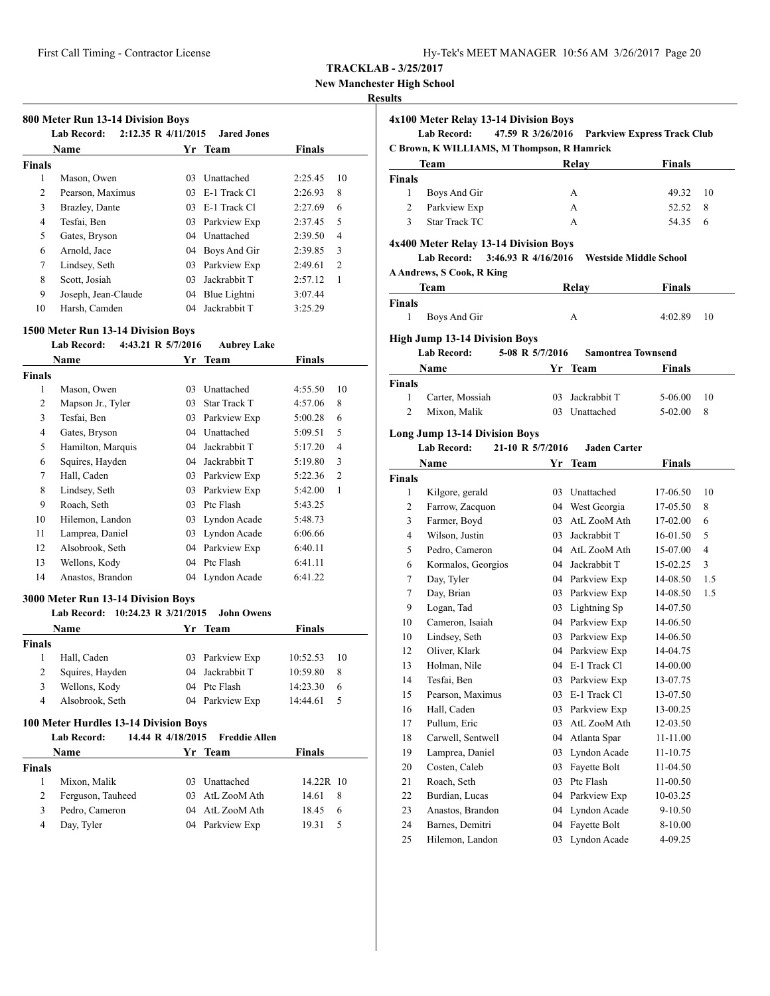**New Manchester High School**

#### **Results**

|               | Name                |    | Yr Team      | <b>Finals</b> |                |
|---------------|---------------------|----|--------------|---------------|----------------|
| <b>Finals</b> |                     |    |              |               |                |
| 1             | Mason, Owen         | 03 | Unattached   | 2:25.45       | 10             |
| 2             | Pearson, Maximus    | 03 | E-1 Track Cl | 2:26.93       | 8              |
| 3             | Brazley, Dante      | 03 | E-1 Track Cl | 2:27.69       | 6              |
| 4             | Tesfai, Ben         | 03 | Parkview Exp | 2:37.45       | 5              |
| 5             | Gates, Bryson       | 04 | Unattached   | 2:39.50       | 4              |
| 6             | Arnold, Jace        | 04 | Boys And Gir | 2:39.85       | 3              |
| 7             | Lindsey, Seth       | 03 | Parkview Exp | 2:49.61       | $\overline{c}$ |
| 8             | Scott, Josiah       | 03 | Jackrabbit T | 2:57.12       | 1              |
| 9             | Joseph, Jean-Claude | 04 | Blue Lightni | 3:07.44       |                |
| 10            | Harsh, Camden       | 04 | Jackrabbit T | 3:25.29       |                |

|                | <b>Name</b>                                | Yr                | <b>Team</b>          | <b>Finals</b> |                |
|----------------|--------------------------------------------|-------------------|----------------------|---------------|----------------|
| <b>Finals</b>  |                                            |                   |                      |               |                |
| 1              | Mason, Owen                                | 03.               | Unattached           | 4:55.50       | 10             |
| 2              | Mapson Jr., Tyler                          | 03.               | <b>Star Track T</b>  | 4:57.06       | 8              |
| 3              | Tesfai. Ben                                | 03                | Parkview Exp         | 5:00.28       | 6              |
| $\overline{4}$ | Gates, Bryson                              |                   | 04 Unattached        | 5:09.51       | 5              |
| 5              | Hamilton, Marquis                          | 04                | Jackrabbit T         | 5:17.20       | $\overline{4}$ |
| 6              | Squires, Hayden                            |                   | 04 Jackrabbit T      | 5:19.80       | 3              |
| 7              | Hall, Caden                                | 03                | Parkview Exp         | 5:22.36       | $\overline{2}$ |
| 8              | Lindsey, Seth                              | 03                | Parkview Exp         | 5:42.00       | $\mathbf{1}$   |
| 9              | Roach, Seth                                | 03                | Ptc Flash            | 5:43.25       |                |
| 10             | Hilemon, Landon                            | 03                | Lyndon Acade         | 5:48.73       |                |
| 11             | Lamprea, Daniel                            |                   | 03 Lyndon Acade      | 6:06.66       |                |
| 12             | Alsobrook, Seth                            | 04                | Parkview Exp         | 6:40.11       |                |
| 13             | Wellons, Kody                              | 04                | Ptc Flash            | 6:41.11       |                |
| 14             | Anastos, Brandon                           |                   | 04 Lyndon Acade      | 6:41.22       |                |
|                | 3000 Meter Run 13-14 Division Boys         |                   |                      |               |                |
|                | <b>Lab Record:</b><br>10:24.23 R 3/21/2015 |                   | <b>John Owens</b>    |               |                |
|                | Name                                       | Yr                | <b>Team</b>          | Finals        |                |
| <b>Finals</b>  |                                            |                   |                      |               |                |
| 1              | Hall, Caden                                | 03                | Parkview Exp         | 10:52.53      | 10             |
| 2              | Squires, Hayden                            | 04                | Jackrabbit T         | 10:59.80      | 8              |
| 3              | Wellons, Kody                              |                   | 04 Ptc Flash         | 14:23.30      | 6              |
| $\overline{4}$ | Alsobrook, Seth                            | 04                | Parkview Exp         | 14:44.61      | 5              |
|                | 100 Meter Hurdles 13-14 Division Boys      |                   |                      |               |                |
|                | <b>Lab Record:</b>                         | 14.44 R 4/18/2015 | <b>Freddie Allen</b> |               |                |
|                | Name                                       |                   | Yr Team              | <b>Finals</b> |                |
| <b>Finals</b>  |                                            |                   |                      |               |                |
| 1              | Mixon, Malik                               | 03                | Unattached           | $14.22R$ 10   |                |
| $\overline{2}$ | Ferguson, Tauheed                          | 03                | AtL ZooM Ath         | 14.61         | 8              |

 Pedro, Cameron 04 AtL ZooM Ath 18.45 6 Day, Tyler 04 Parkview Exp 19.31 5

|                    | 4x100 Meter Relay 13-14 Division Boys<br><b>Lab Record:</b> | 47.59 R 3/26/2016 | <b>Parkview Express Track Club</b> |                |     |
|--------------------|-------------------------------------------------------------|-------------------|------------------------------------|----------------|-----|
|                    | C Brown, K WILLIAMS, M Thompson, R Hamrick                  |                   |                                    |                |     |
|                    | Team                                                        |                   | Relay                              | <b>Finals</b>  |     |
| <b>Finals</b><br>1 |                                                             |                   | А                                  |                | 10  |
| 2                  | Boys And Gir<br>Parkview Exp                                |                   | A                                  | 49.32<br>52.52 | 8   |
| 3                  | <b>Star Track TC</b>                                        |                   | A                                  |                |     |
|                    |                                                             |                   |                                    | 54.35          | 6   |
|                    | 4x400 Meter Relay 13-14 Division Boys                       |                   |                                    |                |     |
|                    | 3:46.93 R $4/16/2016$<br><b>Lab Record:</b>                 |                   | <b>Westside Middle School</b>      |                |     |
|                    | <b>A Andrews, S Cook, R King</b>                            |                   |                                    |                |     |
|                    | Team                                                        |                   | Relay                              | <b>Finals</b>  |     |
| <b>Finals</b>      |                                                             |                   |                                    |                |     |
| 1                  | Boys And Gir                                                |                   | A                                  | 4:02.89        | 10  |
|                    | <b>High Jump 13-14 Division Boys</b>                        |                   |                                    |                |     |
|                    | <b>Lab Record:</b>                                          | 5-08 R 5/7/2016   | <b>Samontrea Townsend</b>          |                |     |
|                    | Name                                                        | Yr                | <b>Team</b>                        | Finals         |     |
| <b>Finals</b>      |                                                             |                   |                                    |                |     |
| 1                  | Carter, Mossiah                                             |                   | 03 Jackrabbit T                    | 5-06.00        | 10  |
| 2                  | Mixon, Malik                                                |                   | 03 Unattached                      | 5-02.00        | 8   |
|                    | <b>Lab Record:</b><br>Name                                  | 21-10 R 5/7/2016  | <b>Jaden Carter</b><br>Yr Team     | <b>Finals</b>  |     |
| <b>Finals</b>      |                                                             |                   |                                    |                |     |
| 1                  | Kilgore, gerald                                             |                   | 03 Unattached                      | 17-06.50       | 10  |
| 2                  | Farrow, Zacquon                                             |                   | 04 West Georgia                    | 17-05.50       | 8   |
| 3                  | Farmer, Boyd                                                |                   | 03 AtL ZooM Ath                    | 17-02.00       | 6   |
| 4                  | Wilson, Justin                                              |                   | 03 Jackrabbit T                    | 16-01.50       | 5   |
| 5                  | Pedro, Cameron                                              |                   | 04 AtL ZooM Ath                    | 15-07.00       | 4   |
| 6                  | Kormalos, Georgios                                          |                   | 04 Jackrabbit T                    | 15-02.25       | 3   |
| 7                  | Day, Tyler                                                  |                   | 04 Parkview Exp                    | 14-08.50       | 1.5 |
| 7                  | Day, Brian                                                  |                   | 03 Parkview Exp                    | 14-08.50       | 1.5 |
| 9                  | Logan, Tad                                                  |                   | 03 Lightning Sp                    | 14-07.50       |     |
| 10                 | Cameron, Isaiah                                             |                   | 04 Parkview Exp                    | 14-06.50       |     |
| 10                 | Lindsey, Seth                                               |                   | 03 Parkview Exp                    | 14-06.50       |     |
| 12                 | Oliver, Klark                                               |                   | 04 Parkview Exp                    | 14-04.75       |     |
| 13                 | Holman, Nile                                                |                   | 04 E-1 Track Cl                    | 14-00.00       |     |
| 14                 | Tesfai, Ben                                                 | 03                | Parkview Exp                       | 13-07.75       |     |
| 15                 | Pearson, Maximus                                            | 03                | E-1 Track Cl                       | 13-07.50       |     |
| 16                 | Hall, Caden                                                 | 03                | Parkview Exp                       | 13-00.25       |     |
| 17                 | Pullum, Eric                                                | 03                | AtL ZooM Ath                       | 12-03.50       |     |
| 18                 | Carwell, Sentwell                                           | 04                | Atlanta Spar                       | 11-11.00       |     |
| 19                 | Lamprea, Daniel                                             | 03                | Lyndon Acade                       | 11-10.75       |     |
| 20                 | Costen, Caleb                                               | 03                | Fayette Bolt                       | 11-04.50       |     |
| 21                 | Roach, Seth                                                 | 03                | Ptc Flash                          | 11-00.50       |     |

24 Barnes, Demitri 04 Fayette Bolt 8-10.00

 Burdian, Lucas 04 Parkview Exp 10-03.25 Anastos, Brandon 04 Lyndon Acade 9-10.50

Hilemon, Landon 03 Lyndon Acade 4-09.25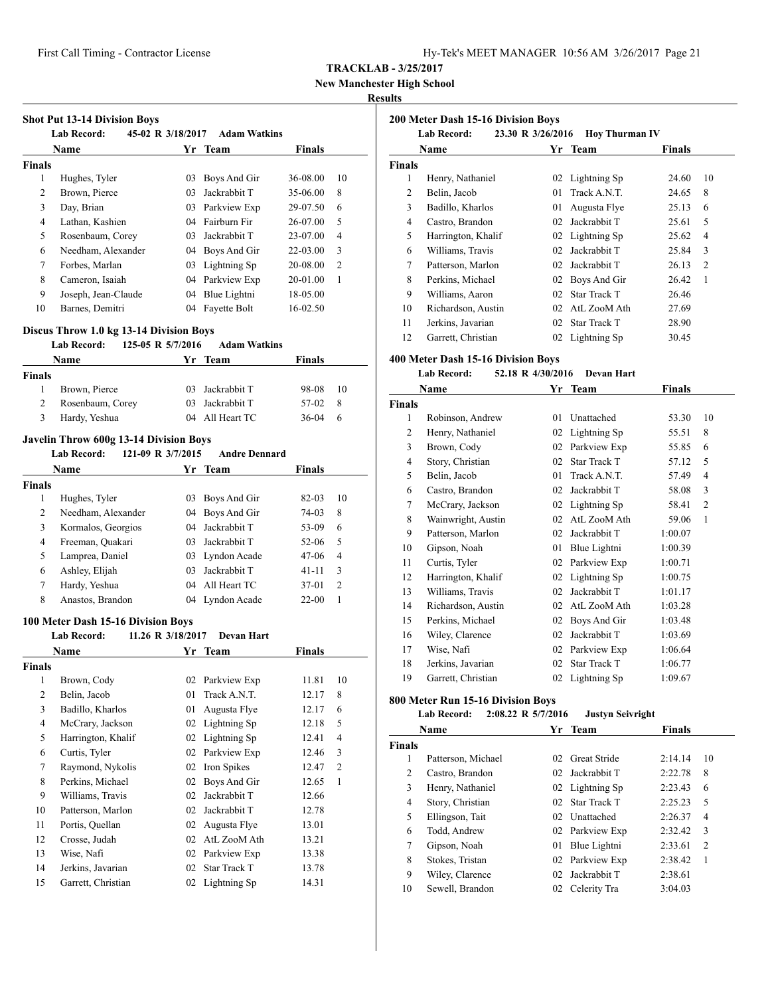**New Manchester High School**

#### **Results**

|                          | <b>Lab Record:</b>                                                                       | 45-02 R 3/18/2017 | <b>Adam Watkins</b>                |                |                     |
|--------------------------|------------------------------------------------------------------------------------------|-------------------|------------------------------------|----------------|---------------------|
|                          | <b>Name</b>                                                                              |                   | Yr Team                            | <b>Finals</b>  |                     |
| <b>Finals</b>            |                                                                                          |                   |                                    |                |                     |
| 1<br>2                   | Hughes, Tyler                                                                            |                   | 03 Boys And Gir<br>03 Jackrabbit T | 36-08.00       | 10                  |
|                          | Brown, Pierce                                                                            |                   |                                    | 35-06.00       | 8                   |
| 3                        | Day, Brian                                                                               |                   | 03 Parkview Exp                    | 29-07.50       | 6                   |
| $\overline{4}$           | Lathan, Kashien                                                                          |                   | 04 Fairburn Fir                    | 26-07.00       | 5<br>$\overline{4}$ |
| 5                        | Rosenbaum, Corey                                                                         |                   | 03 Jackrabbit T                    | 23-07.00       |                     |
| 6                        | Needham, Alexander                                                                       |                   | 04 Boys And Gir                    | 22-03.00       | 3                   |
| 7                        | Forbes, Marlan                                                                           |                   | 03 Lightning Sp                    | 20-08.00       | $\overline{2}$      |
| 8                        | Cameron, Isaiah                                                                          |                   | 04 Parkview Exp                    | 20-01.00       | 1                   |
| 9                        | Joseph, Jean-Claude                                                                      |                   | 04 Blue Lightni                    | 18-05.00       |                     |
| 10                       | Barnes, Demitri                                                                          |                   | 04 Fayette Bolt                    | 16-02.50       |                     |
|                          | Discus Throw 1.0 kg 13-14 Division Boys                                                  |                   |                                    |                |                     |
|                          | 125-05 R 5/7/2016<br><b>Lab Record:</b>                                                  |                   | <b>Adam Watkins</b>                |                |                     |
|                          | <b>Name</b>                                                                              |                   | Yr Team                            | Finals         |                     |
| <b>Finals</b>            |                                                                                          |                   |                                    |                |                     |
| 1                        | Brown, Pierce                                                                            |                   | 03 Jackrabbit T                    | 98-08          | 10                  |
| $\overline{c}$           | Rosenbaum, Corey                                                                         |                   | 03 Jackrabbit T                    | 57-02          | 8                   |
| 3                        | Hardy, Yeshua                                                                            |                   | 04 All Heart TC                    | $36 - 04$      | 6                   |
|                          |                                                                                          |                   |                                    |                |                     |
|                          | <b>Javelin Throw 600g 13-14 Division Boys</b><br><b>Lab Record:</b><br>121-09 R 3/7/2015 |                   | <b>Andre Dennard</b>               |                |                     |
|                          | Name                                                                                     |                   |                                    |                |                     |
|                          |                                                                                          |                   | Yr Team                            | Finals         |                     |
| <b>Finals</b><br>1       | Hughes, Tyler                                                                            |                   | 03 Boys And Gir                    |                | 10                  |
| 2                        | Needham, Alexander                                                                       |                   | 04 Boys And Gir                    | 82-03          | 8                   |
| 3                        | Kormalos, Georgios                                                                       |                   | 04 Jackrabbit T                    | 74-03          | 6                   |
| 4                        | Freeman, Quakari                                                                         |                   | 03 Jackrabbit T                    | 53-09          | 5                   |
|                          |                                                                                          |                   |                                    | 52-06          |                     |
| 5                        | Lamprea, Daniel                                                                          |                   | 03 Lyndon Acade                    | 47-06          | $\overline{4}$      |
| 6                        | Ashley, Elijah                                                                           |                   | 03 Jackrabbit T                    | 41-11          | 3                   |
| 7                        | Hardy, Yeshua                                                                            |                   | 04 All Heart TC                    | 37-01          | $\overline{c}$      |
| 8                        | Anastos, Brandon                                                                         |                   | 04 Lyndon Acade                    | $22 - 00$      | 1                   |
|                          |                                                                                          |                   |                                    |                |                     |
|                          | 100 Meter Dash 15-16 Division Boys                                                       |                   |                                    |                |                     |
|                          | <b>Lab Record:</b>                                                                       | 11.26 R 3/18/2017 | <b>Devan Hart</b>                  |                |                     |
|                          | Name                                                                                     | Yr                | Team                               | Finals         |                     |
|                          |                                                                                          |                   |                                    |                |                     |
| $\mathbf{1}$             | Brown, Cody                                                                              | 02                | Parkview Exp                       | 11.81          | 10                  |
| $\sqrt{2}$               | Belin, Jacob                                                                             | 01                | Track A.N.T.                       | 12.17          | 8                   |
| 3                        | Badillo, Kharlos                                                                         | 01                | Augusta Flye                       |                | 6                   |
| $\overline{\mathcal{L}}$ | McCrary, Jackson                                                                         | 02                | Lightning Sp                       | 12.17<br>12.18 | 5                   |
| 5                        | Harrington, Khalif                                                                       | 02                |                                    | 12.41          | $\overline{4}$      |
|                          |                                                                                          |                   | Lightning Sp                       | 12.46          |                     |
| 6                        | Curtis, Tyler                                                                            | 02                | Parkview Exp                       |                | 3                   |
| $\tau$                   | Raymond, Nykolis                                                                         | 02                | Iron Spikes                        | 12.47          | $\overline{c}$<br>1 |
| 8<br>9                   | Perkins, Michael<br>Williams, Travis                                                     | 02                | 02 Boys And Gir                    | 12.65<br>12.66 |                     |
|                          |                                                                                          |                   | Jackrabbit T                       |                |                     |
| <b>Finals</b><br>10      | Patterson, Marlon                                                                        |                   | 02 Jackrabbit T                    | 12.78          |                     |
| 11                       | Portis, Quellan                                                                          |                   | 02 Augusta Flye                    | 13.01          |                     |
| 12                       | Crosse, Judah                                                                            |                   | 02 AtL ZooM Ath                    | 13.21          |                     |
| 13<br>14                 | Wise, Nafi<br>Jerkins, Javarian                                                          | 02                | 02 Parkview Exp<br>Star Track T    | 13.38<br>13.78 |                     |

|               | 200 Meter Dash 15-16 Division Boys |                   |                       |               |                |
|---------------|------------------------------------|-------------------|-----------------------|---------------|----------------|
|               | <b>Lab Record:</b>                 | 23.30 R 3/26/2016 | <b>Hov Thurman IV</b> |               |                |
|               | Name                               | Yr                | <b>Team</b>           | <b>Finals</b> |                |
| <b>Finals</b> |                                    |                   |                       |               |                |
| 1             | Henry, Nathaniel                   |                   | 02 Lightning Sp       | 24.60         | 10             |
| 2             | Belin, Jacob                       | 01                | Track A.N.T.          | 24.65         | 8              |
| 3             | Badillo, Kharlos                   | 01                | Augusta Flye          | 25.13         | 6              |
| 4             | Castro, Brandon                    | 02                | Jackrabbit T          | 25.61         | 5              |
| 5             | Harrington, Khalif                 | 02                | Lightning Sp          | 25.62         | 4              |
| 6             | Williams, Travis                   | 02                | Jackrabbit T          | 25.84         | 3              |
| 7             | Patterson, Marlon                  | 02                | Jackrabbit T          | 26.13         | $\overline{2}$ |
| 8             | Perkins, Michael                   | 02                | Boys And Gir          | 26.42         | 1              |
| 9             | Williams, Aaron                    | 02                | <b>Star Track T</b>   | 26.46         |                |
| 10            | Richardson, Austin                 | 02                | AtL ZooM Ath          | 27.69         |                |
| 11            | Jerkins, Javarian                  | 02                | <b>Star Track T</b>   | 28.90         |                |
| 12            | Garrett, Christian                 | 02                | Lightning Sp          | 30.45         |                |

#### **400 Meter Dash 15-16 Division Boys**

|               | <b>Lab Record:</b> | 52.18 R 4/30/2016 | Devan Hart          |         |    |
|---------------|--------------------|-------------------|---------------------|---------|----|
|               | Name               |                   | Yr Team             | Finals  |    |
| <b>Finals</b> |                    |                   |                     |         |    |
| 1             | Robinson, Andrew   | 01                | Unattached          | 53.30   | 10 |
| 2             | Henry, Nathaniel   | 02                | Lightning Sp        | 55.51   | 8  |
| 3             | Brown, Cody        | 02                | Parkview Exp        | 55.85   | 6  |
| 4             | Story, Christian   | 02                | Star Track T        | 57.12   | 5  |
| 5             | Belin, Jacob       | 01                | Track A.N.T.        | 57.49   | 4  |
| 6             | Castro, Brandon    | 02                | Jackrabbit T        | 58.08   | 3  |
| 7             | McCrary, Jackson   | 02                | Lightning Sp        | 58.41   | 2  |
| 8             | Wainwright, Austin | 02                | AtL ZooM Ath        | 59.06   | 1  |
| 9             | Patterson, Marlon  | 02                | Jackrabbit T        | 1:00.07 |    |
| 10            | Gipson, Noah       | 01                | Blue Lightni        | 1:00.39 |    |
| 11            | Curtis, Tyler      | 02                | Parkview Exp        | 1:00.71 |    |
| 12            | Harrington, Khalif | 02                | Lightning Sp        | 1:00.75 |    |
| 13            | Williams, Travis   | 02                | Jackrabbit T        | 1:01.17 |    |
| 14            | Richardson, Austin | 02                | AtL ZooM Ath        | 1:03.28 |    |
| 15            | Perkins, Michael   | 02                | Boys And Gir        | 1:03.48 |    |
| 16            | Wiley, Clarence    | 02                | Jackrabbit T        | 1:03.69 |    |
| 17            | Wise, Nafi         | 02                | Parkview Exp        | 1:06.64 |    |
| 18            | Jerkins, Javarian  | 02                | <b>Star Track T</b> | 1:06.77 |    |
| 19            | Garrett, Christian | 02                | Lightning Sp        | 1:09.67 |    |

#### **800 Meter Run 15-16 Division Boys**

**Lab Record: 2:08.22 R 5/7/2016 Justyn Seivright**

|               | Name               | Yr              | Team                | <b>Finals</b> |                |
|---------------|--------------------|-----------------|---------------------|---------------|----------------|
| <b>Finals</b> |                    |                 |                     |               |                |
| 1             | Patterson, Michael | 02 <sub>1</sub> | <b>Great Stride</b> | 2:14.14       | 10             |
| 2             | Castro, Brandon    | $02 -$          | Jackrabbit T        | 2:22.78       | 8              |
| 3             | Henry, Nathaniel   |                 | 02 Lightning Sp     | 2:23.43       | 6              |
| 4             | Story, Christian   |                 | 02 Star Track T     | 2:25.23       | 5              |
| 5             | Ellingson, Tait    |                 | 02 Unattached       | 2:26.37       | 4              |
| 6             | Todd, Andrew       |                 | 02 Parkview Exp     | 2:32.42       | 3              |
| 7             | Gipson, Noah       | 01              | Blue Lightni        | 2:33.61       | $\overline{2}$ |
| 8             | Stokes, Tristan    |                 | 02 Parkview Exp     | 2:38.42       | 1              |
| 9             | Wiley, Clarence    | 02 <sup>2</sup> | Jackrabbit T        | 2:38.61       |                |
| 10            | Sewell, Brandon    |                 | 02 Celerity Tra     | 3:04.03       |                |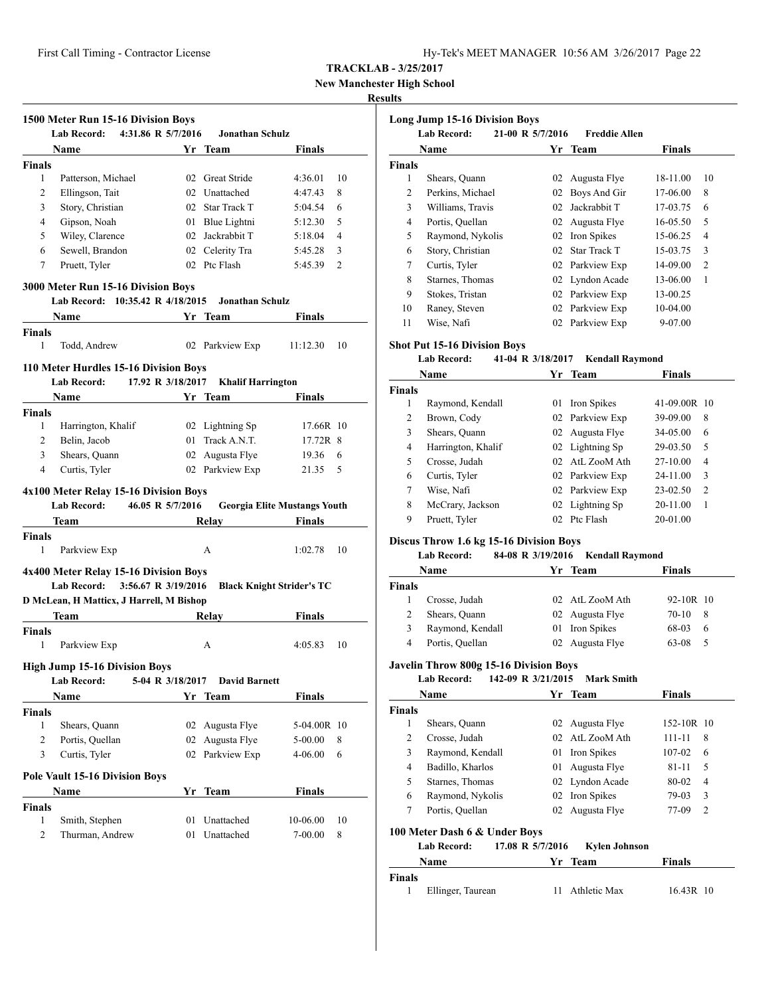**New Manchester High School**

#### **Results**

| 1500 Meter Run 15-16 Division Boys          |          |                          |                                     |                |
|---------------------------------------------|----------|--------------------------|-------------------------------------|----------------|
| <b>Lab Record:</b><br>4:31.86 R 5/7/2016    |          | <b>Jonathan Schulz</b>   |                                     |                |
| Name                                        |          | Yr Team                  | Finals                              |                |
| Finals                                      |          |                          |                                     |                |
| Patterson, Michael<br>1                     |          | 02 Great Stride          | 4:36.01                             | 10             |
| 2<br>Ellingson, Tait                        |          | 02 Unattached            | 4:47.43                             | 8              |
| 3<br>Story, Christian                       |          | 02 Star Track T          | 5:04.54                             | 6              |
| Gipson, Noah<br>$\overline{4}$              |          | 01 Blue Lightni          | 5:12.30                             | 5              |
| Wiley, Clarence<br>5                        |          | 02 Jackrabbit T          | 5:18.04                             | $\overline{4}$ |
| Sewell, Brandon<br>6                        |          | 02 Celerity Tra          | 5:45.28                             | 3              |
| Pruett, Tyler<br>7                          |          | 02 Ptc Flash             | 5:45.39                             | $\overline{c}$ |
| 3000 Meter Run 15-16 Division Boys          |          |                          |                                     |                |
| Lab Record: 10:35.42 R 4/18/2015            |          | <b>Jonathan Schulz</b>   |                                     |                |
| <b>Name</b>                                 |          | Yr Team                  | Finals                              |                |
| <b>Finals</b>                               |          |                          |                                     |                |
| 1<br>Todd, Andrew                           |          | 02 Parkview Exp          | 11:12.30                            | 10             |
| 110 Meter Hurdles 15-16 Division Boys       |          |                          |                                     |                |
| <b>Lab Record:</b><br>17.92 R 3/18/2017     |          | <b>Khalif Harrington</b> |                                     |                |
| <b>Name</b>                                 |          | Yr Team                  | <b>Finals</b>                       |                |
| <b>Finals</b>                               |          |                          |                                     |                |
| 1<br>Harrington, Khalif                     |          | 02 Lightning Sp          | 17.66R 10                           |                |
| 2<br>Belin, Jacob                           |          | 01 Track A.N.T.          | 17.72R 8                            |                |
| 3<br>Shears, Quann                          |          | 02 Augusta Flye          | 19.36                               | 6              |
| Curtis, Tyler<br>$\overline{4}$             |          | 02 Parkview Exp          | 21.35                               | 5              |
|                                             |          |                          |                                     |                |
|                                             |          |                          |                                     |                |
| 4x100 Meter Relay 15-16 Division Boys       |          |                          |                                     |                |
| <b>Lab Record:</b><br>46.05 R 5/7/2016      |          |                          | <b>Georgia Elite Mustangs Youth</b> |                |
| Team                                        |          | Relay                    | <b>Finals</b>                       |                |
| <b>Finals</b>                               |          |                          |                                     |                |
| 1<br>Parkview Exp                           |          | А                        | 1:02.78                             | 10             |
| 4x400 Meter Relay 15-16 Division Boys       |          |                          |                                     |                |
| <b>Lab Record:</b><br>3:56.67 R 3/19/2016   |          |                          | <b>Black Knight Strider's TC</b>    |                |
| D McLean, H Matticx, J Harrell, M Bishop    |          |                          |                                     |                |
| Team                                        |          | Relay                    | <b>Finals</b>                       |                |
| <b>Finals</b>                               |          |                          |                                     |                |
| 1<br>Parkview Exp                           |          | А                        | 4:05.83                             | 10             |
| <b>High Jump 15-16 Division Boys</b>        |          |                          |                                     |                |
| Lab Record:<br>5-04 R 3/18/2017             |          | <b>David Barnett</b>     |                                     |                |
| Name                                        |          | Yr Team                  | <b>Finals</b>                       |                |
| <b>Finals</b>                               |          |                          |                                     |                |
| 1<br>Shears, Quann                          | 02       | Augusta Flye             | 5-04.00R 10                         |                |
| 2<br>Portis, Quellan                        | 02       | Augusta Flye             | 5-00.00                             | 8              |
| 3<br>Curtis, Tyler                          | 02       | Parkview Exp             | 4-06.00                             | 6              |
|                                             |          |                          |                                     |                |
| <b>Pole Vault 15-16 Division Boys</b>       |          |                          |                                     |                |
| Name                                        |          | Yr Team                  | Finals                              |                |
| <b>Finals</b>                               |          |                          |                                     |                |
| 1<br>Smith, Stephen<br>2<br>Thurman, Andrew | 01<br>01 | Unattached<br>Unattached | 10-06.00<br>7-00.00                 | 10<br>8        |

|               | <b>Long Jump 15-16 Division Boys</b><br><b>Lab Record:</b> | 21-00 R 5/7/2016 | <b>Freddie Allen</b> |          |                |
|---------------|------------------------------------------------------------|------------------|----------------------|----------|----------------|
|               | Name                                                       | Yr.              | Team                 | Finals   |                |
| <b>Finals</b> |                                                            |                  |                      |          |                |
| 1             | Shears, Quann                                              | 02               | Augusta Flye         | 18-11.00 | 10             |
| 2             | Perkins, Michael                                           | 02               | Boys And Gir         | 17-06.00 | 8              |
| 3             | Williams, Travis                                           | 02               | Jackrabbit T         | 17-03.75 | 6              |
| 4             | Portis, Quellan                                            | 02               | Augusta Flye         | 16-05.50 | 5              |
| 5             | Raymond, Nykolis                                           | 02               | Iron Spikes          | 15-06.25 | $\overline{4}$ |
| 6             | Story, Christian                                           | 02               | Star Track T         | 15-03.75 | 3              |
| 7             | Curtis, Tyler                                              | 02               | Parkview Exp         | 14-09.00 | $\overline{2}$ |
| 8             | Starnes, Thomas                                            | 02               | Lyndon Acade         | 13-06.00 | 1              |
| 9             | Stokes, Tristan                                            | 02               | Parkview Exp         | 13-00.25 |                |
| 10            | Raney, Steven                                              | 02               | Parkview Exp         | 10-04.00 |                |
| 11            | Wise, Nafi                                                 | 02               | Parkview Exp         | 9-07.00  |                |

#### **Shot Put 15-16 Division Boys**

#### **Lab Record: 41-04 R 3/18/2017 Kendall Raymond**

|               | Name               | Yr. | Team            | <b>Finals</b> |                |
|---------------|--------------------|-----|-----------------|---------------|----------------|
| <b>Finals</b> |                    |     |                 |               |                |
| 1             | Raymond, Kendall   | 01  | Iron Spikes     | 41-09.00R 10  |                |
| 2             | Brown, Cody        |     | 02 Parkview Exp | 39-09.00      | 8              |
| 3             | Shears, Quann      |     | 02 Augusta Flye | 34-05.00      | 6              |
| 4             | Harrington, Khalif |     | 02 Lightning Sp | 29-03.50      | 5              |
| 5             | Crosse, Judah      | 02  | AtL ZooM Ath    | 27-10.00      | 4              |
| 6             | Curtis, Tyler      |     | 02 Parkview Exp | $24 - 11.00$  | 3              |
| 7             | Wise, Nafi         |     | 02 Parkview Exp | 23-02.50      | $\overline{c}$ |
| 8             | McCrary, Jackson   |     | 02 Lightning Sp | 20-11.00      | 1              |
| 9             | Pruett, Tyler      |     | 02 Ptc Flash    | 20-01.00      |                |

# **Discus Throw 1.6 kg 15-16 Division Boys**

#### **Lab Record: 84-08 R 3/19/2016 Kendall Raymond**

|               | Name             | Yr Team         | <b>Finals</b> |    |
|---------------|------------------|-----------------|---------------|----|
| <b>Finals</b> |                  |                 |               |    |
|               | Crosse, Judah    | 02 AtL ZooM Ath | 92-10R 10     |    |
|               | Shears, Quann    | 02 Augusta Flye | 70-10         | -8 |
| 3             | Raymond, Kendall | 01 Iron Spikes  | 68-03         | 6  |
| 4             | Portis, Quellan  | 02 Augusta Flye | 63-08         |    |

# **Javelin Throw 800g 15-16 Division Boys**

#### **Lab Record: 142-09 R 3/21/2015 Mark Smith**

|               | Name                          |    | Yr Team         | <b>Finals</b>           |  |
|---------------|-------------------------------|----|-----------------|-------------------------|--|
| <b>Finals</b> |                               |    |                 |                         |  |
| 1             | Shears, Quann                 |    | 02 Augusta Flye | $152 - 10R$ 10          |  |
| 2             | Crosse, Judah                 |    | 02 AtL ZooM Ath | 111-11<br>8             |  |
| 3             | Raymond, Kendall              | 01 | Iron Spikes     | 107-02<br>6             |  |
| 4             | Badillo, Kharlos              | 01 | Augusta Flye    | 5<br>$81 - 11$          |  |
| 5             | Starnes, Thomas               |    | 02 Lyndon Acade | 80-02<br>4              |  |
| 6             | Raymond, Nykolis              |    | 02 Iron Spikes  | 79-03<br>3              |  |
| 7             | Portis, Quellan               |    | 02 Augusta Flye | 77-09<br>$\overline{2}$ |  |
|               | 100 Meter Dash 6 & Under Boys |    |                 |                         |  |

| Lab Record: | 17.08 R 5/7/2016 | Kylen Johnson |               |
|-------------|------------------|---------------|---------------|
| <b>Name</b> | Yr Team          |               | <b>Finals</b> |

|        | гуаше             | тг теяні     | гицат     |
|--------|-------------------|--------------|-----------|
| Finals |                   |              |           |
|        | Ellinger, Taurean | Athletic Max | 16.43R 10 |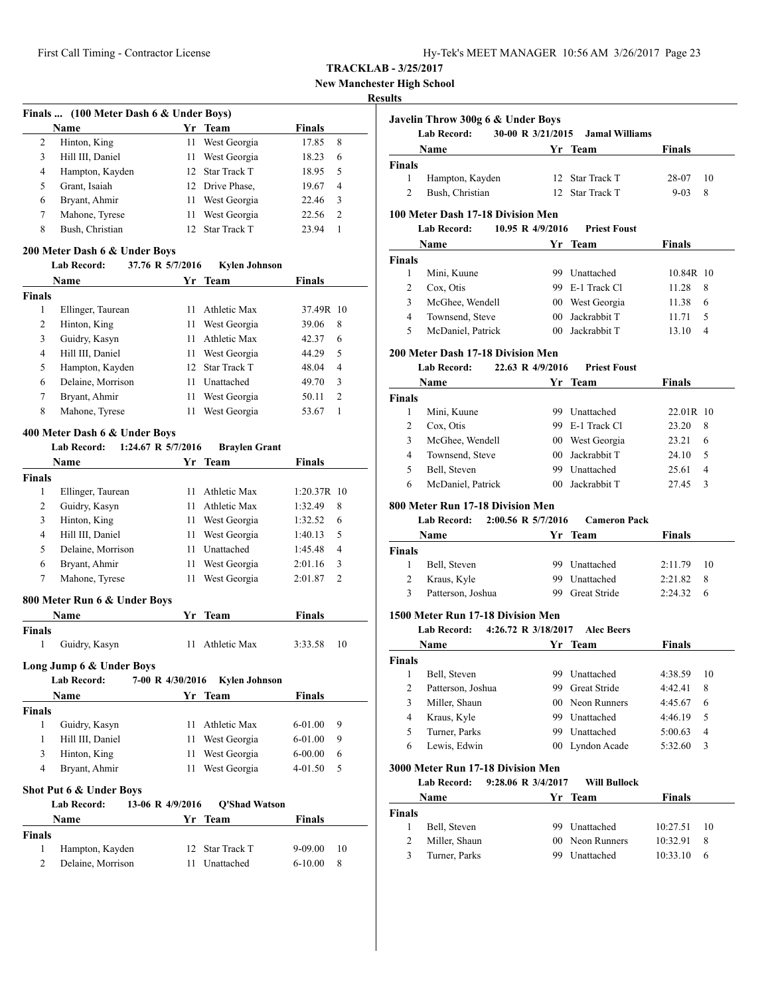| Hy-Tek's MEET MANAGER 10:56 AM 3/26/2017 Page 23 |  |  |  |
|--------------------------------------------------|--|--|--|
|--------------------------------------------------|--|--|--|

**New Manchester High School**

#### **Results**

|                | Finals  (100 Meter Dash 6 & Under Boys) |                  |                      |           |   |
|----------------|-----------------------------------------|------------------|----------------------|-----------|---|
|                | Name                                    | Yr               | Team                 | Finals    |   |
| 2              | Hinton, King                            | 11               | West Georgia         | 17.85     | 8 |
| 3              | Hill III, Daniel                        | 11               | West Georgia         | 18.23     | 6 |
| 4              | Hampton, Kayden                         | 12               | <b>Star Track T</b>  | 18.95     | 5 |
| 5              | Grant, Isaiah                           | 12               | Drive Phase,         | 19.67     | 4 |
| 6              | Bryant, Ahmir                           | 11               | West Georgia         | 22.46     | 3 |
| 7              | Mahone, Tyrese                          | 11               | West Georgia         | 22.56     | 2 |
| 8              | Bush, Christian                         | 12               | Star Track T         | 23.94     | 1 |
|                | 200 Meter Dash 6 & Under Boys           |                  |                      |           |   |
|                | Lab Record:                             | 37.76 R 5/7/2016 | <b>Kylen Johnson</b> |           |   |
|                | Name                                    |                  | Yr Team              | Finals    |   |
| <b>Finals</b>  |                                         |                  |                      |           |   |
| 1              | Ellinger, Taurean                       | 11               | <b>Athletic Max</b>  | 37.49R 10 |   |
| $\overline{2}$ | Hinton, King                            | 11               | West Georgia         | 39.06     | 8 |
| 3              | Guidry. Kasyn                           | 11               | Athletic Max         | 42.37     | 6 |

|   | Guidry, Kasyn     | 11 Athletic Max | 42.37 | 6             |
|---|-------------------|-----------------|-------|---------------|
| 4 | Hill III, Daniel  | 11 West Georgia | 44.29 | -5            |
| 5 | Hampton, Kayden   | 12 Star Track T | 48.04 | 4             |
| 6 | Delaine, Morrison | 11 Unattached   | 49.70 | $\mathcal{R}$ |
|   | Bryant, Ahmir     | 11 West Georgia | 50.11 |               |
| 8 | Mahone, Tyrese    | 11 West Georgia | 53.67 |               |
|   |                   |                 |       |               |

# **400 Meter Dash 6 & Under Boys**

|                | <b>Lab Record:</b>           | 1:24.67 R 5/7/2016 | <b>Braylen Grant</b> |               |                |
|----------------|------------------------------|--------------------|----------------------|---------------|----------------|
|                | <b>Name</b>                  |                    | Yr Team              | <b>Finals</b> |                |
| <b>Finals</b>  |                              |                    |                      |               |                |
| 1              | Ellinger, Taurean            | 11                 | Athletic Max         | 1:20.37R 10   |                |
| $\overline{2}$ | Guidry, Kasyn                | 11                 | Athletic Max         | 1:32.49       | 8              |
| 3              | Hinton, King                 | 11                 | West Georgia         | 1:32.52       | 6              |
| $\overline{4}$ | Hill III, Daniel             | 11                 | West Georgia         | 1:40.13       | 5              |
| 5              | Delaine, Morrison            | 11                 | Unattached           | 1:45.48       | 4              |
| 6              | Bryant, Ahmir                | 11                 | West Georgia         | 2:01.16       | 3              |
| 7              | Mahone, Tyrese               | 11                 | West Georgia         | 2:01.87       | $\overline{c}$ |
|                | 800 Meter Run 6 & Under Boys |                    |                      |               |                |
|                | <b>Name</b>                  | Yr                 | <b>Team</b>          | <b>Finals</b> |                |
| <b>Finals</b>  |                              |                    |                      |               |                |
| 1              | Guidry, Kasyn                | 11                 | Athletic Max         | 3:33.58       | 10             |
|                | Long Jump 6 & Under Boys     |                    |                      |               |                |
|                | <b>Lab Record:</b>           | 7-00 R 4/30/2016   | <b>Kylen Johnson</b> |               |                |
|                | <b>Name</b>                  | Yr                 | <b>Team</b>          | <b>Finals</b> |                |
| <b>Finals</b>  |                              |                    |                      |               |                |
| $\mathbf{1}$   | Guidry, Kasyn                | 11                 | Athletic Max         | $6 - 01.00$   | 9              |
| 1              | Hill III, Daniel             | 11                 | West Georgia         | 6-01.00       | 9              |
| 3              | Hinton, King                 | 11                 | West Georgia         | $6 - 00.00$   | 6              |
| $\overline{4}$ | Bryant, Ahmir                | 11                 | West Georgia         | 4-01.50       | 5              |
|                | Shot Put 6 & Under Boys      |                    |                      |               |                |
|                | <b>Lab Record:</b>           | 13-06 R 4/9/2016   | <b>Q'Shad Watson</b> |               |                |
|                | <b>Name</b>                  |                    | Yr Team              | <b>Finals</b> |                |
| <b>Finals</b>  |                              |                    |                      |               |                |
| 1              | Hampton, Kayden              | 12                 | <b>Star Track T</b>  | $9 - 09.00$   | 10             |
| $\overline{2}$ | Delaine, Morrison            | 11                 | Unattached           | $6 - 10.00$   | 8              |

|                | <b>Lab Record:</b>                                                                   | 30-00 R 3/21/2015 | <b>Jamal Williams</b>            |                      |        |
|----------------|--------------------------------------------------------------------------------------|-------------------|----------------------------------|----------------------|--------|
|                | Name                                                                                 |                   | Yr Team                          | Finals               |        |
| Finals         |                                                                                      |                   |                                  |                      |        |
| 1              | Hampton, Kayden                                                                      |                   | 12 Star Track T                  | 28-07                | 10     |
| $\overline{c}$ | Bush, Christian                                                                      |                   | 12 Star Track T                  | $9 - 03$             | 8      |
|                |                                                                                      |                   |                                  |                      |        |
|                | 100 Meter Dash 17-18 Division Men                                                    |                   |                                  |                      |        |
|                | <b>Lab Record:</b>                                                                   | 10.95 R 4/9/2016  | <b>Priest Foust</b>              |                      |        |
|                | <b>Name</b>                                                                          |                   | Yr Team                          | <b>Finals</b>        |        |
| <b>Finals</b>  |                                                                                      |                   | 99 Unattached                    |                      |        |
| 1              | Mini, Kuune                                                                          |                   |                                  | 10.84R 10            |        |
| 2              | Cox, Otis                                                                            |                   | 99 E-1 Track Cl                  | 11.28                | 8      |
| 3              | McGhee, Wendell                                                                      |                   | 00 West Georgia                  | 11.38                | 6      |
| 4              | Townsend, Steve                                                                      |                   | 00 Jackrabbit T                  | 11.71                | 5      |
| 5              | McDaniel, Patrick                                                                    |                   | 00 Jackrabbit T                  | 13.10                | 4      |
|                | <b>200 Meter Dash 17-18 Division Men</b>                                             |                   |                                  |                      |        |
|                | <b>Lab Record:</b>                                                                   | 22.63 R 4/9/2016  | <b>Priest Foust</b>              |                      |        |
|                | Name                                                                                 |                   | Yr Team                          | Finals               |        |
| Finals         |                                                                                      |                   |                                  |                      |        |
| 1              | Mini, Kuune                                                                          |                   | 99 Unattached                    | 22.01R 10            |        |
| $\overline{c}$ | Cox, Otis                                                                            |                   | 99 E-1 Track Cl                  | 23.20                | 8      |
| 3              | McGhee, Wendell                                                                      |                   | 00 West Georgia                  | 23.21                | 6      |
| 4              | Townsend, Steve                                                                      |                   | 00 Jackrabbit T                  | 24.10                | 5      |
| 5              | Bell, Steven                                                                         |                   | 99 Unattached                    | 25.61                | 4      |
| 6              | McDaniel, Patrick                                                                    |                   | 00 Jackrabbit T                  | 27.45                | 3      |
|                | 800 Meter Run 17-18 Division Men<br>2:00.56 R 5/7/2016<br><b>Lab Record:</b><br>Name |                   | <b>Cameron Pack</b><br>Yr Team   | Finals               |        |
| Finals         |                                                                                      |                   |                                  |                      |        |
| 1              | Bell, Steven                                                                         |                   | 99 Unattached                    | 2:11.79              | 10     |
|                | Kraus, Kyle                                                                          |                   |                                  |                      |        |
|                |                                                                                      |                   |                                  |                      |        |
| $\overline{c}$ |                                                                                      |                   | 99 Unattached                    | 2:21.82              | 8      |
| 3              | Patterson, Joshua<br>1500 Meter Run 17-18 Division Men                               |                   | 99 Great Stride                  | 2:24.32              | 6      |
|                | Lab Record: 4:26.72 R 3/18/2017                                                      |                   | <b>Alec Beers</b>                |                      |        |
|                | Name                                                                                 |                   | Yr Team                          | Finals               |        |
|                |                                                                                      |                   |                                  |                      |        |
| 1              | Bell, Steven                                                                         |                   | 99 Unattached                    | 4:38.59              | 10     |
| 2              | Patterson, Joshua                                                                    | 99                | <b>Great Stride</b>              | 4:42.41              | 8      |
| 3              | Miller, Shaun                                                                        | $00\,$            | Neon Runners                     | 4:45.67              | 6      |
| 4              | Kraus, Kyle                                                                          |                   | 99 Unattached                    | 4:46.19              | 5      |
| 5              | Turner, Parks                                                                        |                   | 99 Unattached                    | 5:00.63              | 4      |
| 6              | Lewis, Edwin                                                                         | $00-$             | Lyndon Acade                     | 5:32.60              | 3      |
|                |                                                                                      |                   |                                  |                      |        |
|                | 3000 Meter Run 17-18 Division Men                                                    |                   |                                  |                      |        |
|                | 9:28.06 R 3/4/2017<br>Lab Record:                                                    |                   | <b>Will Bullock</b>              |                      |        |
| Finals         | Name                                                                                 | Yr                | Team                             | <b>Finals</b>        |        |
|                |                                                                                      |                   |                                  |                      |        |
| Finals<br>1    | Bell, Steven                                                                         |                   | 99 Unattached                    | 10:27.51             | 10     |
| 2<br>3         | Miller, Shaun<br>Turner, Parks                                                       |                   | 00 Neon Runners<br>99 Unattached | 10:32.91<br>10:33.10 | 8<br>6 |